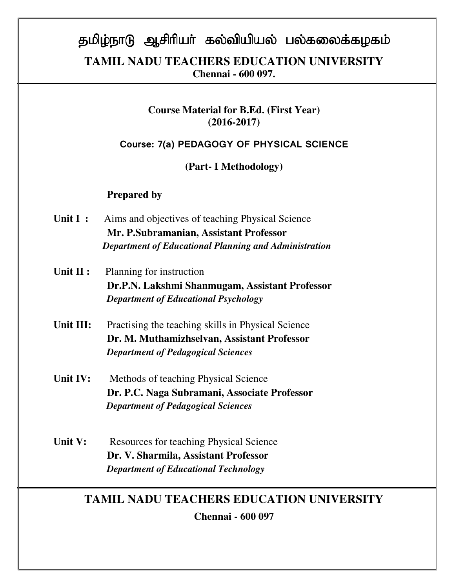# தமிழ்நாடு ஆசிரியா் கல்வியியல் பல்கலைக்கழகம் **TAMIL NADU TEACHERS EDUCATION UNIVERSITY Chennai - 600 097.**

**Course Material for B.Ed. (First Year) (2016-2017)** 

### **Course: 7(a) PEDAGOGY OF PHYSICAL SCIENCE**

### **(Part- I Methodology)**

#### **Prepared by**

- Unit I : Aims and objectives of teaching Physical Science  **Mr. P.Subramanian, Assistant Professor** *Department of Educational Planning and Administration*
- **Unit II:** Planning for instruction  **Dr.P.N. Lakshmi Shanmugam, Assistant Professor** *Department of Educational Psychology*
- **Unit III:** Practising the teaching skills in Physical Science  **Dr. M. Muthamizhselvan, Assistant Professor** *Department of Pedagogical Sciences*
- **Unit IV:** Methods of teaching Physical Science  **Dr. P.C. Naga Subramani, Associate Professor**   *Department of Pedagogical Sciences*
- **Unit V:** Resources for teaching Physical Science  **Dr. V. Sharmila, Assistant Professor** *Department of Educational Technology*

### **TAMIL NADU TEACHERS EDUCATION UNIVERSITY**

**Chennai - 600 097**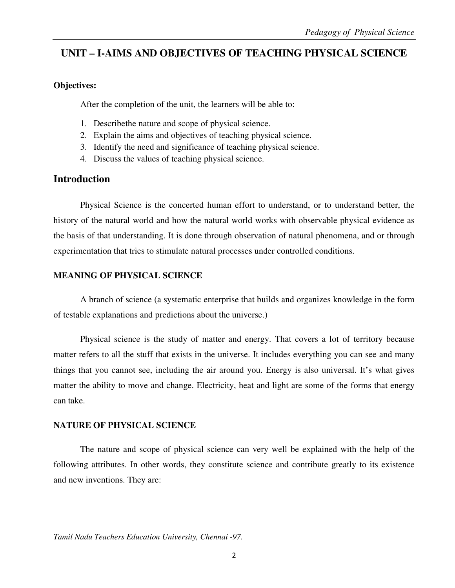## **UNIT – I-AIMS AND OBJECTIVES OF TEACHING PHYSICAL SCIENCE**

### **Objectives:**

After the completion of the unit, the learners will be able to:

- 1. Describethe nature and scope of physical science.
- 2. Explain the aims and objectives of teaching physical science.
- 3. Identify the need and significance of teaching physical science.
- 4. Discuss the values of teaching physical science.

### **Introduction**

 Physical Science is the concerted human effort to understand, or to understand better, the history of the natural world and how the natural world works with observable physical evidence as the basis of that understanding. It is done through observation of natural phenomena, and or through experimentation that tries to stimulate natural processes under controlled conditions.

### **MEANING OF PHYSICAL SCIENCE**

A branch of science (a systematic enterprise that builds and organizes knowledge in the form of testable explanations and predictions about the universe.)

Physical science is the study of matter and energy. That covers a lot of territory because matter refers to all the stuff that exists in the universe. It includes everything you can see and many things that you cannot see, including the air around you. Energy is also universal. It's what gives matter the ability to move and change. Electricity, heat and light are some of the forms that energy can take.

#### **NATURE OF PHYSICAL SCIENCE**

The nature and scope of physical science can very well be explained with the help of the following attributes. In other words, they constitute science and contribute greatly to its existence and new inventions. They are: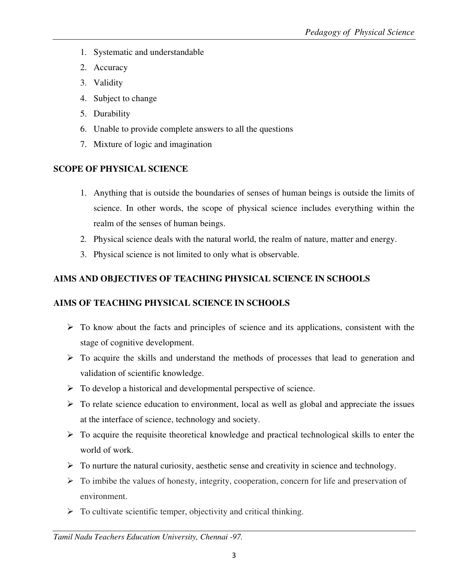- 1. Systematic and understandable
- 2. Accuracy
- 3. Validity
- 4. Subject to change
- 5. Durability
- 6. Unable to provide complete answers to all the questions
- 7. Mixture of logic and imagination

### **SCOPE OF PHYSICAL SCIENCE**

- 1. Anything that is outside the boundaries of senses of human beings is outside the limits of science. In other words, the scope of physical science includes everything within the realm of the senses of human beings.
- 2. Physical science deals with the natural world, the realm of nature, matter and energy.
- 3. Physical science is not limited to only what is observable.

### **AIMS AND OBJECTIVES OF TEACHING PHYSICAL SCIENCE IN SCHOOLS**

### **AIMS OF TEACHING PHYSICAL SCIENCE IN SCHOOLS**

- $\triangleright$  To know about the facts and principles of science and its applications, consistent with the stage of cognitive development.
- $\triangleright$  To acquire the skills and understand the methods of processes that lead to generation and validation of scientific knowledge.
- $\triangleright$  To develop a historical and developmental perspective of science.
- $\triangleright$  To relate science education to environment, local as well as global and appreciate the issues at the interface of science, technology and society.
- $\triangleright$  To acquire the requisite theoretical knowledge and practical technological skills to enter the world of work.
- $\triangleright$  To nurture the natural curiosity, aesthetic sense and creativity in science and technology.
- $\triangleright$  To imbibe the values of honesty, integrity, cooperation, concern for life and preservation of environment.
- $\triangleright$  To cultivate scientific temper, objectivity and critical thinking.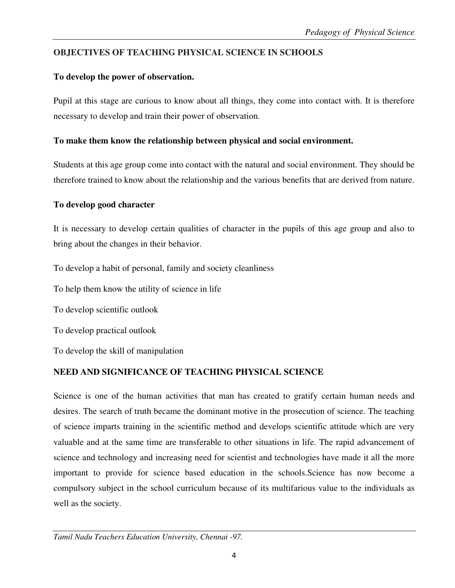### **OBJECTIVES OF TEACHING PHYSICAL SCIENCE IN SCHOOLS**

### **To develop the power of observation.**

Pupil at this stage are curious to know about all things, they come into contact with. It is therefore necessary to develop and train their power of observation.

### **To make them know the relationship between physical and social environment.**

Students at this age group come into contact with the natural and social environment. They should be therefore trained to know about the relationship and the various benefits that are derived from nature.

#### **To develop good character**

It is necessary to develop certain qualities of character in the pupils of this age group and also to bring about the changes in their behavior.

To develop a habit of personal, family and society cleanliness

To help them know the utility of science in life

To develop scientific outlook

To develop practical outlook

To develop the skill of manipulation

### **NEED AND SIGNIFICANCE OF TEACHING PHYSICAL SCIENCE**

Science is one of the human activities that man has created to gratify certain human needs and desires. The search of truth became the dominant motive in the prosecution of science. The teaching of science imparts training in the scientific method and develops scientific attitude which are very valuable and at the same time are transferable to other situations in life. The rapid advancement of science and technology and increasing need for scientist and technologies have made it all the more important to provide for science based education in the schools.Science has now become a compulsory subject in the school curriculum because of its multifarious value to the individuals as well as the society.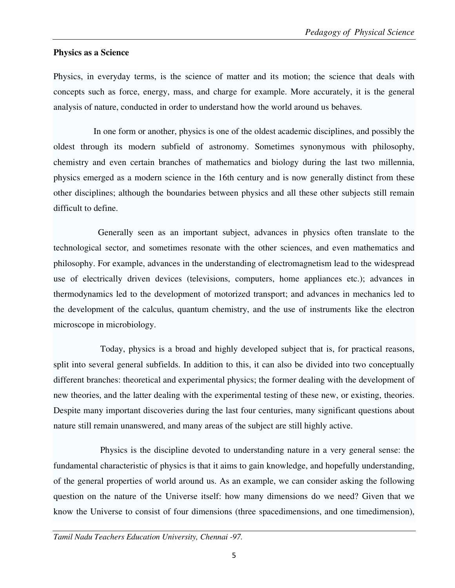#### **Physics as a Science**

Physics, in everyday terms, is the science of matter and its motion; the science that deals with concepts such as force, energy, mass, and charge for example. More accurately, it is the general analysis of nature, conducted in order to understand how the world around us behaves.

 In one form or another, physics is one of the oldest academic disciplines, and possibly the oldest through its modern subfield of astronomy. Sometimes synonymous with philosophy, chemistry and even certain branches of mathematics and biology during the last two millennia, physics emerged as a modern science in the 16th century and is now generally distinct from these other disciplines; although the boundaries between physics and all these other subjects still remain difficult to define.

 Generally seen as an important subject, advances in physics often translate to the technological sector, and sometimes resonate with the other sciences, and even mathematics and philosophy. For example, advances in the understanding of electromagnetism lead to the widespread use of electrically driven devices (televisions, computers, home appliances etc.); advances in thermodynamics led to the development of motorized transport; and advances in mechanics led to the development of the calculus, quantum chemistry, and the use of instruments like the electron microscope in microbiology.

 Today, physics is a broad and highly developed subject that is, for practical reasons, split into several general subfields. In addition to this, it can also be divided into two conceptually different branches: theoretical and experimental physics; the former dealing with the development of new theories, and the latter dealing with the experimental testing of these new, or existing, theories. Despite many important discoveries during the last four centuries, many significant questions about nature still remain unanswered, and many areas of the subject are still highly active.

 Physics is the discipline devoted to understanding nature in a very general sense: the fundamental characteristic of physics is that it aims to gain knowledge, and hopefully understanding, of the general properties of world around us. As an example, we can consider asking the following question on the nature of the Universe itself: how many dimensions do we need? Given that we know the Universe to consist of four dimensions (three spacedimensions, and one timedimension),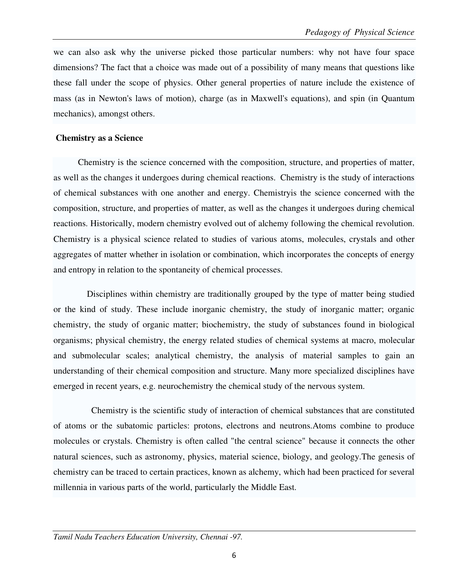we can also ask why the universe picked those particular numbers: why not have four space dimensions? The fact that a choice was made out of a possibility of many means that questions like these fall under the scope of physics. Other general properties of nature include the existence of mass (as in Newton's laws of motion), charge (as in Maxwell's equations), and spin (in Quantum mechanics), amongst others.

#### **Chemistry as a Science**

 Chemistry is the science concerned with the composition, structure, and properties of matter, as well as the changes it undergoes during chemical reactions. Chemistry is the study of interactions of chemical substances with one another and energy. Chemistryis the science concerned with the composition, structure, and properties of matter, as well as the changes it undergoes during chemical reactions. Historically, modern chemistry evolved out of alchemy following the chemical revolution. Chemistry is a physical science related to studies of various atoms, molecules, crystals and other aggregates of matter whether in isolation or combination, which incorporates the concepts of energy and entropy in relation to the spontaneity of chemical processes.

 Disciplines within chemistry are traditionally grouped by the type of matter being studied or the kind of study. These include inorganic chemistry, the study of inorganic matter; organic chemistry, the study of organic matter; biochemistry, the study of substances found in biological organisms; physical chemistry, the energy related studies of chemical systems at macro, molecular and submolecular scales; analytical chemistry, the analysis of material samples to gain an understanding of their chemical composition and structure. Many more specialized disciplines have emerged in recent years, e.g. neurochemistry the chemical study of the nervous system.

 Chemistry is the scientific study of interaction of chemical substances that are constituted of atoms or the subatomic particles: protons, electrons and neutrons.Atoms combine to produce molecules or crystals. Chemistry is often called "the central science" because it connects the other natural sciences, such as astronomy, physics, material science, biology, and geology.The genesis of chemistry can be traced to certain practices, known as alchemy, which had been practiced for several millennia in various parts of the world, particularly the Middle East.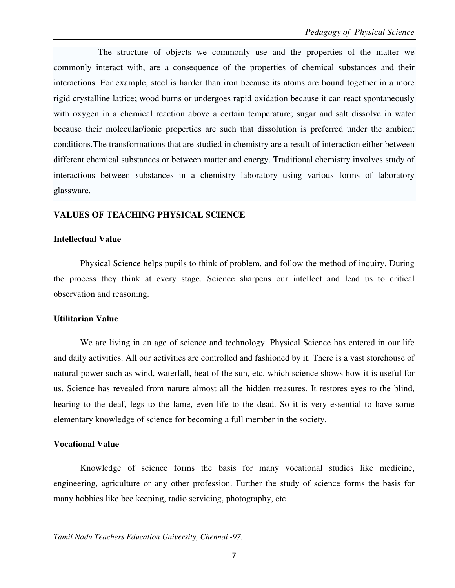The structure of objects we commonly use and the properties of the matter we commonly interact with, are a consequence of the properties of chemical substances and their interactions. For example, steel is harder than iron because its atoms are bound together in a more rigid crystalline lattice; wood burns or undergoes rapid oxidation because it can react spontaneously with oxygen in a chemical reaction above a certain temperature; sugar and salt dissolve in water because their molecular/ionic properties are such that dissolution is preferred under the ambient conditions.The transformations that are studied in chemistry are a result of interaction either between different chemical substances or between matter and energy. Traditional chemistry involves study of interactions between substances in a chemistry laboratory using various forms of laboratory glassware.

#### **VALUES OF TEACHING PHYSICAL SCIENCE**

#### **Intellectual Value**

 Physical Science helps pupils to think of problem, and follow the method of inquiry. During the process they think at every stage. Science sharpens our intellect and lead us to critical observation and reasoning.

#### **Utilitarian Value**

 We are living in an age of science and technology. Physical Science has entered in our life and daily activities. All our activities are controlled and fashioned by it. There is a vast storehouse of natural power such as wind, waterfall, heat of the sun, etc. which science shows how it is useful for us. Science has revealed from nature almost all the hidden treasures. It restores eyes to the blind, hearing to the deaf, legs to the lame, even life to the dead. So it is very essential to have some elementary knowledge of science for becoming a full member in the society.

#### **Vocational Value**

Knowledge of science forms the basis for many vocational studies like medicine, engineering, agriculture or any other profession. Further the study of science forms the basis for many hobbies like bee keeping, radio servicing, photography, etc.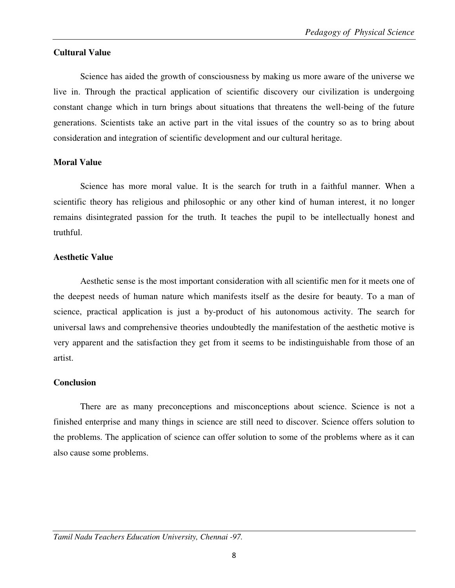#### **Cultural Value**

 Science has aided the growth of consciousness by making us more aware of the universe we live in. Through the practical application of scientific discovery our civilization is undergoing constant change which in turn brings about situations that threatens the well-being of the future generations. Scientists take an active part in the vital issues of the country so as to bring about consideration and integration of scientific development and our cultural heritage.

#### **Moral Value**

Science has more moral value. It is the search for truth in a faithful manner. When a scientific theory has religious and philosophic or any other kind of human interest, it no longer remains disintegrated passion for the truth. It teaches the pupil to be intellectually honest and truthful.

#### **Aesthetic Value**

 Aesthetic sense is the most important consideration with all scientific men for it meets one of the deepest needs of human nature which manifests itself as the desire for beauty. To a man of science, practical application is just a by-product of his autonomous activity. The search for universal laws and comprehensive theories undoubtedly the manifestation of the aesthetic motive is very apparent and the satisfaction they get from it seems to be indistinguishable from those of an artist.

#### **Conclusion**

There are as many preconceptions and misconceptions about science. Science is not a finished enterprise and many things in science are still need to discover. Science offers solution to the problems. The application of science can offer solution to some of the problems where as it can also cause some problems.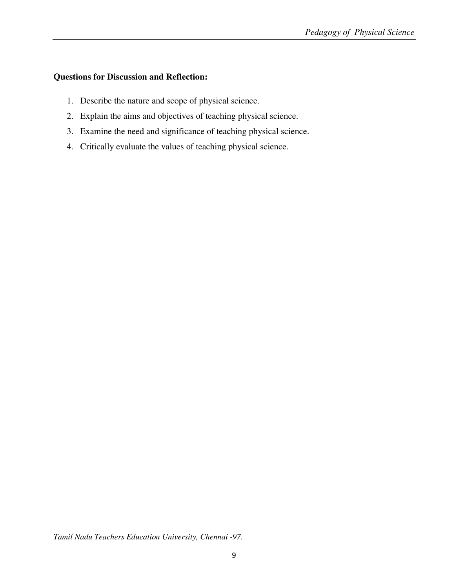### **Questions for Discussion and Reflection:**

- 1. Describe the nature and scope of physical science.
- 2. Explain the aims and objectives of teaching physical science.
- 3. Examine the need and significance of teaching physical science.
- 4. Critically evaluate the values of teaching physical science.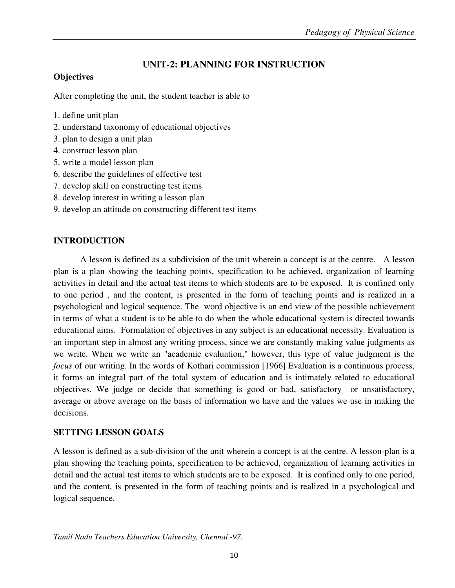### **UNIT-2: PLANNING FOR INSTRUCTION**

### **Objectives**

After completing the unit, the student teacher is able to

- 1. define unit plan
- 2. understand taxonomy of educational objectives
- 3. plan to design a unit plan
- 4. construct lesson plan
- 5. write a model lesson plan
- 6. describe the guidelines of effective test
- 7. develop skill on constructing test items
- 8. develop interest in writing a lesson plan
- 9. develop an attitude on constructing different test items

### **INTRODUCTION**

A lesson is defined as a subdivision of the unit wherein a concept is at the centre. A lesson plan is a plan showing the teaching points, specification to be achieved, organization of learning activities in detail and the actual test items to which students are to be exposed. It is confined only to one period , and the content, is presented in the form of teaching points and is realized in a psychological and logical sequence. The word objective is an end view of the possible achievement in terms of what a student is to be able to do when the whole educational system is directed towards educational aims. Formulation of objectives in any subject is an educational necessity. Evaluation is an important step in almost any writing process, since we are constantly making value judgments as we write. When we write an "academic evaluation," however, this type of value judgment is the *focus* of our writing. In the words of Kothari commission [1966] Evaluation is a continuous process, it forms an integral part of the total system of education and is intimately related to educational objectives. We judge or decide that something is good or bad, satisfactory or unsatisfactory, average or above average on the basis of information we have and the values we use in making the decisions.

### **SETTING LESSON GOALS**

A lesson is defined as a sub-division of the unit wherein a concept is at the centre. A lesson-plan is a plan showing the teaching points, specification to be achieved, organization of learning activities in detail and the actual test items to which students are to be exposed. It is confined only to one period, and the content, is presented in the form of teaching points and is realized in a psychological and logical sequence.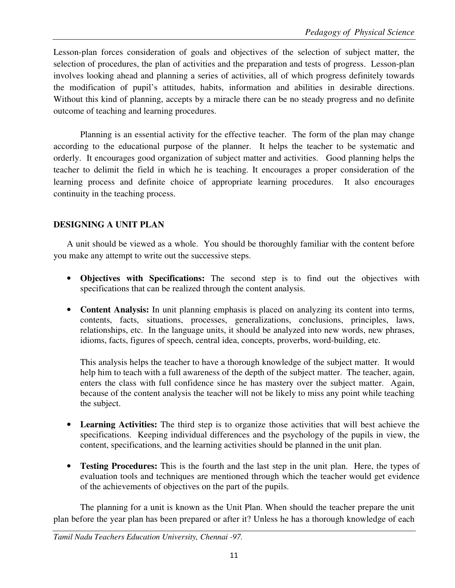Lesson-plan forces consideration of goals and objectives of the selection of subject matter, the selection of procedures, the plan of activities and the preparation and tests of progress. Lesson-plan involves looking ahead and planning a series of activities, all of which progress definitely towards the modification of pupil's attitudes, habits, information and abilities in desirable directions. Without this kind of planning, accepts by a miracle there can be no steady progress and no definite outcome of teaching and learning procedures.

 Planning is an essential activity for the effective teacher. The form of the plan may change according to the educational purpose of the planner. It helps the teacher to be systematic and orderly. It encourages good organization of subject matter and activities. Good planning helps the teacher to delimit the field in which he is teaching. It encourages a proper consideration of the learning process and definite choice of appropriate learning procedures. It also encourages continuity in the teaching process.

### **DESIGNING A UNIT PLAN**

A unit should be viewed as a whole. You should be thoroughly familiar with the content before you make any attempt to write out the successive steps.

- **Objectives with Specifications:** The second step is to find out the objectives with specifications that can be realized through the content analysis.
- **Content Analysis:** In unit planning emphasis is placed on analyzing its content into terms, contents, facts, situations, processes, generalizations, conclusions, principles, laws, relationships, etc. In the language units, it should be analyzed into new words, new phrases, idioms, facts, figures of speech, central idea, concepts, proverbs, word-building, etc.

This analysis helps the teacher to have a thorough knowledge of the subject matter. It would help him to teach with a full awareness of the depth of the subject matter. The teacher, again, enters the class with full confidence since he has mastery over the subject matter. Again, because of the content analysis the teacher will not be likely to miss any point while teaching the subject.

- **Learning Activities:** The third step is to organize those activities that will best achieve the specifications. Keeping individual differences and the psychology of the pupils in view, the content, specifications, and the learning activities should be planned in the unit plan.
- **Testing Procedures:** This is the fourth and the last step in the unit plan. Here, the types of evaluation tools and techniques are mentioned through which the teacher would get evidence of the achievements of objectives on the part of the pupils.

 The planning for a unit is known as the Unit Plan. When should the teacher prepare the unit plan before the year plan has been prepared or after it? Unless he has a thorough knowledge of each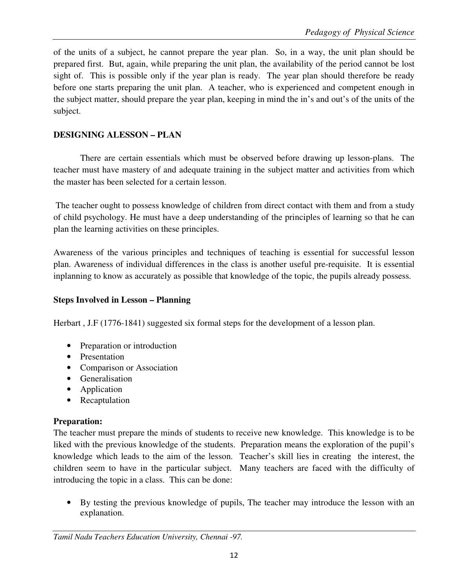of the units of a subject, he cannot prepare the year plan. So, in a way, the unit plan should be prepared first. But, again, while preparing the unit plan, the availability of the period cannot be lost sight of. This is possible only if the year plan is ready. The year plan should therefore be ready before one starts preparing the unit plan. A teacher, who is experienced and competent enough in the subject matter, should prepare the year plan, keeping in mind the in's and out's of the units of the subject.

### **DESIGNING ALESSON – PLAN**

 There are certain essentials which must be observed before drawing up lesson-plans. The teacher must have mastery of and adequate training in the subject matter and activities from which the master has been selected for a certain lesson.

 The teacher ought to possess knowledge of children from direct contact with them and from a study of child psychology. He must have a deep understanding of the principles of learning so that he can plan the learning activities on these principles.

Awareness of the various principles and techniques of teaching is essential for successful lesson plan. Awareness of individual differences in the class is another useful pre-requisite. It is essential inplanning to know as accurately as possible that knowledge of the topic, the pupils already possess.

### **Steps Involved in Lesson – Planning**

Herbart , J.F (1776-1841) suggested six formal steps for the development of a lesson plan.

- Preparation or introduction
- Presentation
- Comparison or Association
- Generalisation
- Application
- Recaptulation

### **Preparation:**

The teacher must prepare the minds of students to receive new knowledge. This knowledge is to be liked with the previous knowledge of the students. Preparation means the exploration of the pupil's knowledge which leads to the aim of the lesson. Teacher's skill lies in creating the interest, the children seem to have in the particular subject. Many teachers are faced with the difficulty of introducing the topic in a class. This can be done:

• By testing the previous knowledge of pupils, The teacher may introduce the lesson with an explanation.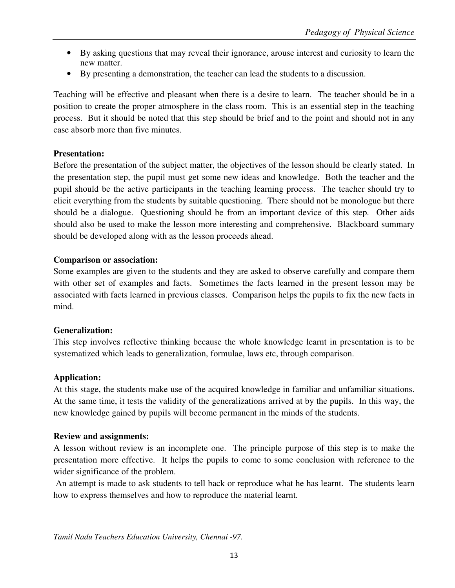- By asking questions that may reveal their ignorance, arouse interest and curiosity to learn the new matter.
- By presenting a demonstration, the teacher can lead the students to a discussion.

Teaching will be effective and pleasant when there is a desire to learn. The teacher should be in a position to create the proper atmosphere in the class room. This is an essential step in the teaching process. But it should be noted that this step should be brief and to the point and should not in any case absorb more than five minutes.

### **Presentation:**

Before the presentation of the subject matter, the objectives of the lesson should be clearly stated. In the presentation step, the pupil must get some new ideas and knowledge. Both the teacher and the pupil should be the active participants in the teaching learning process. The teacher should try to elicit everything from the students by suitable questioning. There should not be monologue but there should be a dialogue. Questioning should be from an important device of this step. Other aids should also be used to make the lesson more interesting and comprehensive. Blackboard summary should be developed along with as the lesson proceeds ahead.

### **Comparison or association:**

Some examples are given to the students and they are asked to observe carefully and compare them with other set of examples and facts. Sometimes the facts learned in the present lesson may be associated with facts learned in previous classes. Comparison helps the pupils to fix the new facts in mind.

### **Generalization:**

This step involves reflective thinking because the whole knowledge learnt in presentation is to be systematized which leads to generalization, formulae, laws etc, through comparison.

### **Application:**

At this stage, the students make use of the acquired knowledge in familiar and unfamiliar situations. At the same time, it tests the validity of the generalizations arrived at by the pupils. In this way, the new knowledge gained by pupils will become permanent in the minds of the students.

### **Review and assignments:**

A lesson without review is an incomplete one. The principle purpose of this step is to make the presentation more effective. It helps the pupils to come to some conclusion with reference to the wider significance of the problem.

 An attempt is made to ask students to tell back or reproduce what he has learnt. The students learn how to express themselves and how to reproduce the material learnt.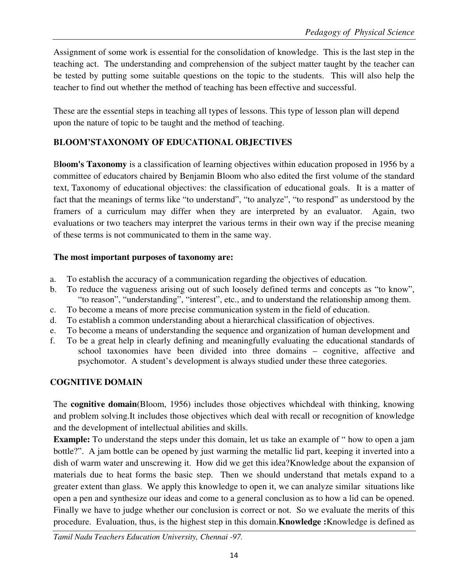Assignment of some work is essential for the consolidation of knowledge. This is the last step in the teaching act. The understanding and comprehension of the subject matter taught by the teacher can be tested by putting some suitable questions on the topic to the students. This will also help the teacher to find out whether the method of teaching has been effective and successful.

These are the essential steps in teaching all types of lessons. This type of lesson plan will depend upon the nature of topic to be taught and the method of teaching.

### **BLOOM'STAXONOMY OF EDUCATIONAL OBJECTIVES**

B**loom's Taxonomy** is a classification of learning objectives within education proposed in 1956 by a committee of educators chaired by Benjamin Bloom who also edited the first volume of the standard text, Taxonomy of educational objectives: the classification of educational goals. It is a matter of fact that the meanings of terms like "to understand", "to analyze", "to respond" as understood by the framers of a curriculum may differ when they are interpreted by an evaluator. Again, two evaluations or two teachers may interpret the various terms in their own way if the precise meaning of these terms is not communicated to them in the same way.

### **The most important purposes of taxonomy are:**

- a. To establish the accuracy of a communication regarding the objectives of education.
- b. To reduce the vagueness arising out of such loosely defined terms and concepts as "to know", "to reason", "understanding", "interest", etc., and to understand the relationship among them.
- c. To become a means of more precise communication system in the field of education.
- d. To establish a common understanding about a hierarchical classification of objectives.
- e. To become a means of understanding the sequence and organization of human development and
- f. To be a great help in clearly defining and meaningfully evaluating the educational standards of school taxonomies have been divided into three domains – cognitive, affective and psychomotor. A student's development is always studied under these three categories.

### **COGNITIVE DOMAIN**

The **cognitive domain**(Bloom, 1956) includes those objectives whichdeal with thinking, knowing and problem solving.It includes those objectives which deal with recall or recognition of knowledge and the development of intellectual abilities and skills.

**Example:** To understand the steps under this domain, let us take an example of " how to open a jam bottle?". A jam bottle can be opened by just warming the metallic lid part, keeping it inverted into a dish of warm water and unscrewing it. How did we get this idea?Knowledge about the expansion of materials due to heat forms the basic step. Then we should understand that metals expand to a greater extent than glass. We apply this knowledge to open it, we can analyze similar situations like open a pen and synthesize our ideas and come to a general conclusion as to how a lid can be opened. Finally we have to judge whether our conclusion is correct or not. So we evaluate the merits of this procedure. Evaluation, thus, is the highest step in this domain.**Knowledge :**Knowledge is defined as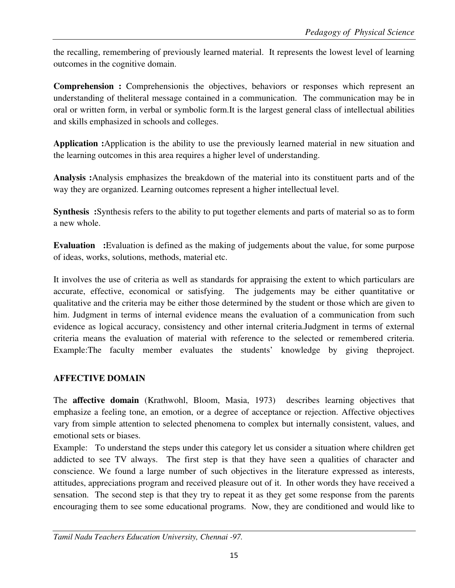the recalling, remembering of previously learned material. It represents the lowest level of learning outcomes in the cognitive domain.

**Comprehension :** Comprehensionis the objectives, behaviors or responses which represent an understanding of theliteral message contained in a communication. The communication may be in oral or written form, in verbal or symbolic form.It is the largest general class of intellectual abilities and skills emphasized in schools and colleges.

**Application :**Application is the ability to use the previously learned material in new situation and the learning outcomes in this area requires a higher level of understanding.

**Analysis :**Analysis emphasizes the breakdown of the material into its constituent parts and of the way they are organized. Learning outcomes represent a higher intellectual level.

**Synthesis :**Synthesis refers to the ability to put together elements and parts of material so as to form a new whole.

**Evaluation :**Evaluation is defined as the making of judgements about the value, for some purpose of ideas, works, solutions, methods, material etc.

It involves the use of criteria as well as standards for appraising the extent to which particulars are accurate, effective, economical or satisfying. The judgements may be either quantitative or qualitative and the criteria may be either those determined by the student or those which are given to him. Judgment in terms of internal evidence means the evaluation of a communication from such evidence as logical accuracy, consistency and other internal criteria.Judgment in terms of external criteria means the evaluation of material with reference to the selected or remembered criteria. Example:The faculty member evaluates the students' knowledge by giving theproject.

### **AFFECTIVE DOMAIN**

The **affective domain** (Krathwohl, Bloom, Masia, 1973) describes learning objectives that emphasize a feeling tone, an emotion, or a degree of acceptance or rejection. Affective objectives vary from simple attention to selected phenomena to complex but internally consistent, values, and emotional sets or biases.

Example: To understand the steps under this category let us consider a situation where children get addicted to see TV always. The first step is that they have seen a qualities of character and conscience. We found a large number of such objectives in the literature expressed as interests, attitudes, appreciations program and received pleasure out of it. In other words they have received a sensation. The second step is that they try to repeat it as they get some response from the parents encouraging them to see some educational programs. Now, they are conditioned and would like to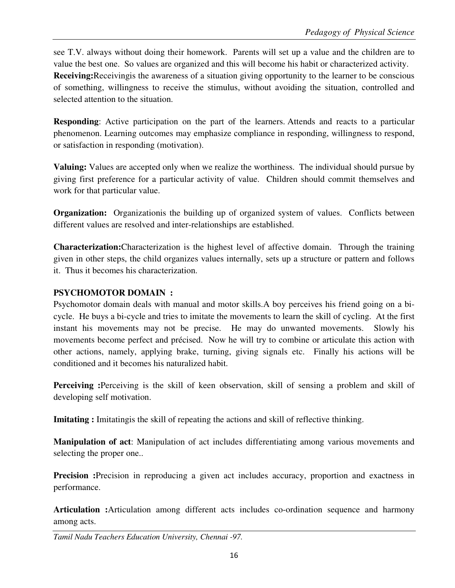see T.V. always without doing their homework. Parents will set up a value and the children are to value the best one. So values are organized and this will become his habit or characterized activity. **Receiving:**Receivingis the awareness of a situation giving opportunity to the learner to be conscious of something, willingness to receive the stimulus, without avoiding the situation, controlled and selected attention to the situation.

**Responding**: Active participation on the part of the learners. Attends and reacts to a particular phenomenon. Learning outcomes may emphasize compliance in responding, willingness to respond, or satisfaction in responding (motivation).

**Valuing:** Values are accepted only when we realize the worthiness. The individual should pursue by giving first preference for a particular activity of value. Children should commit themselves and work for that particular value.

**Organization:** Organizationis the building up of organized system of values. Conflicts between different values are resolved and inter-relationships are established.

**Characterization:**Characterization is the highest level of affective domain. Through the training given in other steps, the child organizes values internally, sets up a structure or pattern and follows it. Thus it becomes his characterization.

### **PSYCHOMOTOR DOMAIN :**

Psychomotor domain deals with manual and motor skills.A boy perceives his friend going on a bicycle. He buys a bi-cycle and tries to imitate the movements to learn the skill of cycling. At the first instant his movements may not be precise. He may do unwanted movements. Slowly his movements become perfect and précised. Now he will try to combine or articulate this action with other actions, namely, applying brake, turning, giving signals etc. Finally his actions will be conditioned and it becomes his naturalized habit.

**Perceiving :**Perceiving is the skill of keen observation, skill of sensing a problem and skill of developing self motivation.

**Imitating :** Imitatingis the skill of repeating the actions and skill of reflective thinking.

**Manipulation of act**: Manipulation of act includes differentiating among various movements and selecting the proper one..

**Precision :**Precision in reproducing a given act includes accuracy, proportion and exactness in performance.

**Articulation :**Articulation among different acts includes co-ordination sequence and harmony among acts.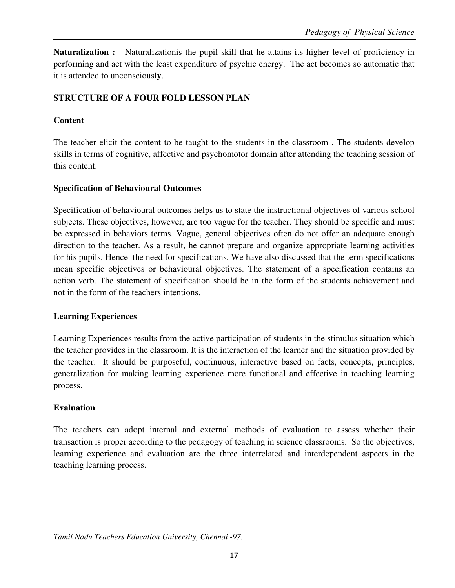**Naturalization :** Naturalizationis the pupil skill that he attains its higher level of proficiency in performing and act with the least expenditure of psychic energy. The act becomes so automatic that it is attended to unconsciousl**y**.

### **STRUCTURE OF A FOUR FOLD LESSON PLAN**

### **Content**

The teacher elicit the content to be taught to the students in the classroom . The students develop skills in terms of cognitive, affective and psychomotor domain after attending the teaching session of this content.

### **Specification of Behavioural Outcomes**

Specification of behavioural outcomes helps us to state the instructional objectives of various school subjects. These objectives, however, are too vague for the teacher. They should be specific and must be expressed in behaviors terms. Vague, general objectives often do not offer an adequate enough direction to the teacher. As a result, he cannot prepare and organize appropriate learning activities for his pupils. Hence the need for specifications. We have also discussed that the term specifications mean specific objectives or behavioural objectives. The statement of a specification contains an action verb. The statement of specification should be in the form of the students achievement and not in the form of the teachers intentions.

### **Learning Experiences**

Learning Experiences results from the active participation of students in the stimulus situation which the teacher provides in the classroom. It is the interaction of the learner and the situation provided by the teacher. It should be purposeful, continuous, interactive based on facts, concepts, principles, generalization for making learning experience more functional and effective in teaching learning process.

### **Evaluation**

The teachers can adopt internal and external methods of evaluation to assess whether their transaction is proper according to the pedagogy of teaching in science classrooms. So the objectives, learning experience and evaluation are the three interrelated and interdependent aspects in the teaching learning process.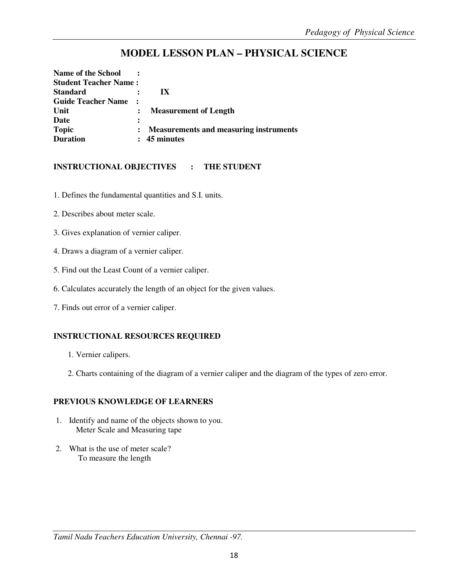### **MODEL LESSON PLAN – PHYSICAL SCIENCE**

| <b>Name of the School</b>    |              |                                               |
|------------------------------|--------------|-----------------------------------------------|
| <b>Student Teacher Name:</b> |              |                                               |
| <b>Standard</b>              |              | IX                                            |
| <b>Guide Teacher Name</b>    | $\mathbf{r}$ |                                               |
| Unit                         |              | <b>Measurement of Length</b>                  |
| Date                         |              |                                               |
| <b>Topic</b>                 |              | <b>Measurements and measuring instruments</b> |
| <b>Duration</b>              |              | 45 minutes                                    |

#### **INSTRUCTIONAL OBJECTIVES : THE STUDENT**

- 1. Defines the fundamental quantities and S.I. units.
- 2. Describes about meter scale.
- 3. Gives explanation of vernier caliper.
- 4. Draws a diagram of a vernier caliper.
- 5. Find out the Least Count of a vernier caliper.
- 6. Calculates accurately the length of an object for the given values.
- 7. Finds out error of a vernier caliper.

#### **INSTRUCTIONAL RESOURCES REQUIRED**

- 1. Vernier calipers.
- 2. Charts containing of the diagram of a vernier caliper and the diagram of the types of zero error.

#### **PREVIOUS KNOWLEDGE OF LEARNERS**

- 1. Identify and name of the objects shown to you. Meter Scale and Measuring tape
- 2. What is the use of meter scale? To measure the length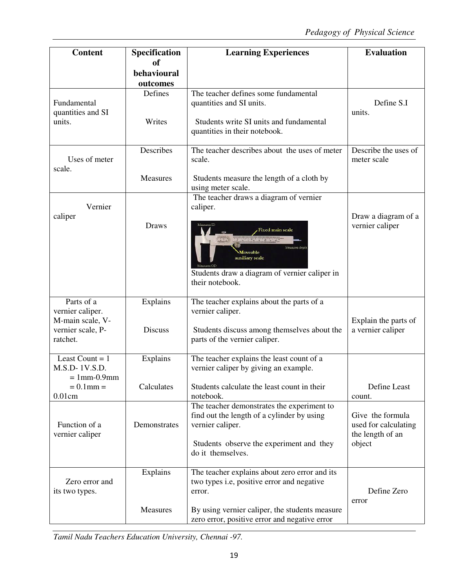| Specification<br><b>Content</b><br><b>Learning Experiences</b>                                                                                                                                                                                                       |                            |                                                                                                                                                                                                           | <b>Evaluation</b>                                                      |  |
|----------------------------------------------------------------------------------------------------------------------------------------------------------------------------------------------------------------------------------------------------------------------|----------------------------|-----------------------------------------------------------------------------------------------------------------------------------------------------------------------------------------------------------|------------------------------------------------------------------------|--|
| of<br>behavioural<br>outcomes                                                                                                                                                                                                                                        |                            |                                                                                                                                                                                                           |                                                                        |  |
| Fundamental<br>quantities and SI<br>units.                                                                                                                                                                                                                           | Defines<br>Writes          | The teacher defines some fundamental<br>quantities and SI units.<br>Students write SI units and fundamental<br>quantities in their notebook.                                                              | Define S.I<br>units.                                                   |  |
| Uses of meter<br>scale.                                                                                                                                                                                                                                              | Describes                  | The teacher describes about the uses of meter<br>scale.                                                                                                                                                   | Describe the uses of<br>meter scale                                    |  |
|                                                                                                                                                                                                                                                                      | Measures                   | Students measure the length of a cloth by<br>using meter scale.                                                                                                                                           |                                                                        |  |
| Vernier<br>caliper                                                                                                                                                                                                                                                   | Draws                      | The teacher draws a diagram of vernier<br>caliper.<br>Measures ID<br>Fixed main scale<br>Measures dept<br>Moveable<br>auxiliary scale<br>Students draw a diagram of vernier caliper in<br>their notebook. | Draw a diagram of a<br>vernier caliper                                 |  |
| Parts of a<br>vernier caliper.<br>M-main scale, V-<br>vernier scale, P-<br>ratchet.                                                                                                                                                                                  | Explains<br><b>Discuss</b> | The teacher explains about the parts of a<br>vernier caliper.<br>Students discuss among themselves about the<br>parts of the vernier caliper.                                                             | Explain the parts of<br>a vernier caliper                              |  |
| Least Count = $1$<br>M.S.D-1V.S.D.<br>$= 1$ mm-0.9mm<br>$= 0.1$ mm $=$<br>0.01cm                                                                                                                                                                                     | Explains<br>Calculates     | The teacher explains the least count of a<br>vernier caliper by giving an example.<br>Students calculate the least count in their<br>notebook.                                                            | Define Least<br>count.                                                 |  |
| Function of a<br>vernier caliper                                                                                                                                                                                                                                     | Demonstrates               | The teacher demonstrates the experiment to<br>find out the length of a cylinder by using<br>vernier caliper.<br>Students observe the experiment and they<br>do it themselves.                             | Give the formula<br>used for calculating<br>the length of an<br>object |  |
| Explains<br>The teacher explains about zero error and its<br>two types i.e, positive error and negative<br>Zero error and<br>its two types.<br>error.<br>Measures<br>By using vernier caliper, the students measure<br>zero error, positive error and negative error |                            | Define Zero<br>error                                                                                                                                                                                      |                                                                        |  |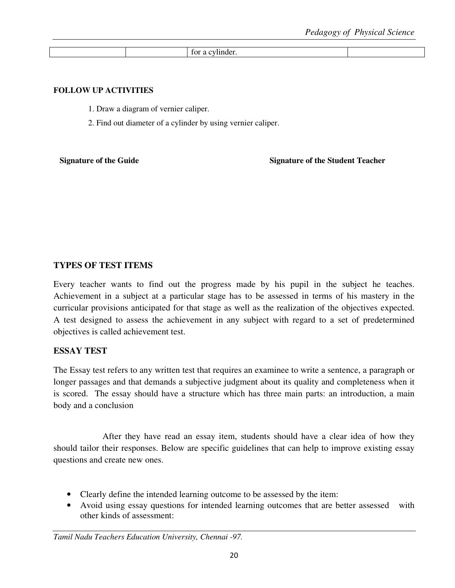#### **FOLLOW UP ACTIVITIES**

- 1. Draw a diagram of vernier caliper.
- 2. Find out diameter of a cylinder by using vernier caliper.

**Signature of the Guide Signature of the Student Teacher Signature of the Student Teacher** 

#### **TYPES OF TEST ITEMS**

Every teacher wants to find out the progress made by his pupil in the subject he teaches. Achievement in a subject at a particular stage has to be assessed in terms of his mastery in the curricular provisions anticipated for that stage as well as the realization of the objectives expected. A test designed to assess the achievement in any subject with regard to a set of predetermined objectives is called achievement test.

#### **ESSAY TEST**

The Essay test refers to any written test that requires an examinee to write a sentence, a paragraph or longer passages and that demands a subjective judgment about its quality and completeness when it is scored. The essay should have a structure which has three main parts: an introduction, a main body and a conclusion

 After they have read an essay item, students should have a clear idea of how they should tailor their responses. Below are specific guidelines that can help to improve existing essay questions and create new ones.

- Clearly define the intended learning outcome to be assessed by the item:
- Avoid using essay questions for intended learning outcomes that are better assessed with other kinds of assessment: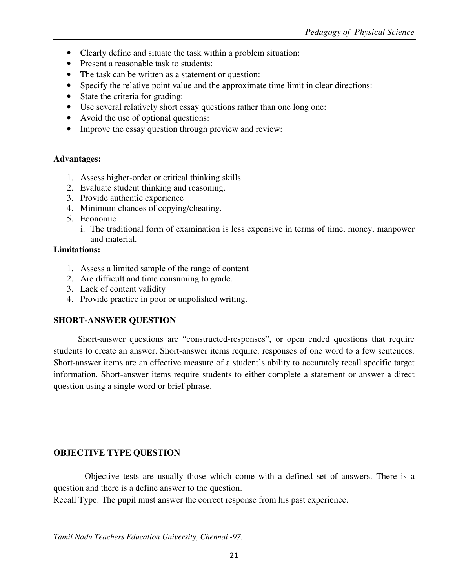- Clearly define and situate the task within a problem situation:
- Present a reasonable task to students:
- The task can be written as a statement or question:
- Specify the relative point value and the approximate time limit in clear directions:
- State the criteria for grading:
- Use several relatively short essay questions rather than one long one:
- Avoid the use of optional questions:
- Improve the essay question through preview and review:

### **Advantages:**

- 1. Assess higher-order or critical thinking skills.
- 2. Evaluate student thinking and reasoning.
- 3. Provide authentic experience
- 4. Minimum chances of copying/cheating.
- 5. Economic
	- i. The traditional form of examination is less expensive in terms of time, money, manpower and material.

### **Limitations:**

- 1. Assess a limited sample of the range of content
- 2. Are difficult and time consuming to grade.
- 3. Lack of content validity
- 4. Provide practice in poor or unpolished writing.

### **SHORT-ANSWER QUESTION**

 Short-answer questions are "constructed-responses", or open ended questions that require students to create an answer. Short-answer items require. responses of one word to a few sentences. Short-answer items are an effective measure of a student's ability to accurately recall specific target information. Short-answer items require students to either complete a statement or answer a direct question using a single word or brief phrase.

### **OBJECTIVE TYPE QUESTION**

 Objective tests are usually those which come with a defined set of answers. There is a question and there is a define answer to the question.

Recall Type: The pupil must answer the correct response from his past experience.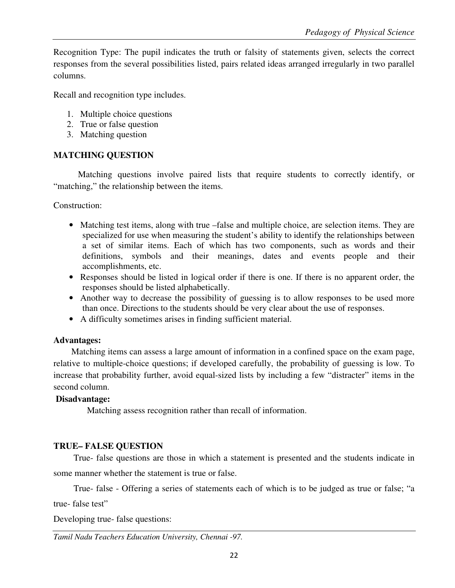Recognition Type: The pupil indicates the truth or falsity of statements given, selects the correct responses from the several possibilities listed, pairs related ideas arranged irregularly in two parallel columns.

Recall and recognition type includes.

- 1. Multiple choice questions
- 2. True or false question
- 3. Matching question

#### **MATCHING QUESTION**

 Matching questions involve paired lists that require students to correctly identify, or "matching," the relationship between the items.

Construction:

- Matching test items, along with true –false and multiple choice, are selection items. They are specialized for use when measuring the student's ability to identify the relationships between a set of similar items. Each of which has two components, such as words and their definitions, symbols and their meanings, dates and events people and their accomplishments, etc.
- Responses should be listed in logical order if there is one. If there is no apparent order, the responses should be listed alphabetically.
- Another way to decrease the possibility of guessing is to allow responses to be used more than once. Directions to the students should be very clear about the use of responses.
- A difficulty sometimes arises in finding sufficient material.

#### **Advantages:**

 Matching items can assess a large amount of information in a confined space on the exam page, relative to multiple-choice questions; if developed carefully, the probability of guessing is low. To increase that probability further, avoid equal-sized lists by including a few "distracter" items in the second column.

#### **Disadvantage:**

Matching assess recognition rather than recall of information.

#### **TRUE– FALSE QUESTION**

 True- false questions are those in which a statement is presented and the students indicate in some manner whether the statement is true or false.

True- false - Offering a series of statements each of which is to be judged as true or false; "a

true- false test"

Developing true- false questions: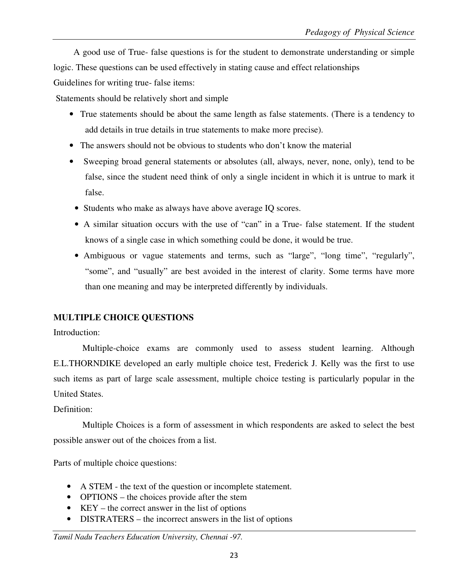A good use of True- false questions is for the student to demonstrate understanding or simple logic. These questions can be used effectively in stating cause and effect relationships Guidelines for writing true- false items:

Statements should be relatively short and simple

- True statements should be about the same length as false statements. (There is a tendency to add details in true details in true statements to make more precise).
- The answers should not be obvious to students who don't know the material
- Sweeping broad general statements or absolutes (all, always, never, none, only), tend to be false, since the student need think of only a single incident in which it is untrue to mark it false.
	- Students who make as always have above average IQ scores.
	- A similar situation occurs with the use of "can" in a True- false statement. If the student knows of a single case in which something could be done, it would be true.
	- Ambiguous or vague statements and terms, such as "large", "long time", "regularly", "some", and "usually" are best avoided in the interest of clarity. Some terms have more than one meaning and may be interpreted differently by individuals.

### **MULTIPLE CHOICE QUESTIONS**

Introduction:

 Multiple-choice exams are commonly used to assess student learning. Although E.L.THORNDIKE developed an early multiple choice test, Frederick J. Kelly was the first to use such items as part of large scale assessment, multiple choice testing is particularly popular in the United States.

Definition:

 Multiple Choices is a form of assessment in which respondents are asked to select the best possible answer out of the choices from a list.

Parts of multiple choice questions:

- A STEM the text of the question or incomplete statement.
- OPTIONS the choices provide after the stem
- KEY the correct answer in the list of options
- DISTRATERS the incorrect answers in the list of options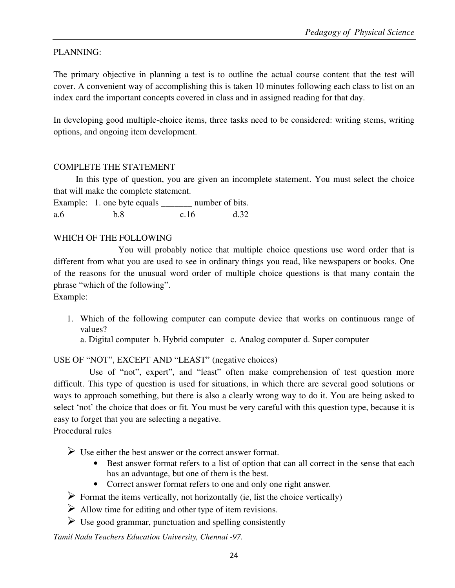### PLANNING:

The primary objective in planning a test is to outline the actual course content that the test will cover. A convenient way of accomplishing this is taken 10 minutes following each class to list on an index card the important concepts covered in class and in assigned reading for that day.

In developing good multiple-choice items, three tasks need to be considered: writing stems, writing options, and ongoing item development.

### COMPLETE THE STATEMENT

 In this type of question, you are given an incomplete statement. You must select the choice that will make the complete statement.

|     | Example: 1. one byte equals |      | number of bits. |
|-----|-----------------------------|------|-----------------|
| a.6 | b.8                         | c.16 | d.32            |

#### WHICH OF THE FOLLOWING

 You will probably notice that multiple choice questions use word order that is different from what you are used to see in ordinary things you read, like newspapers or books. One of the reasons for the unusual word order of multiple choice questions is that many contain the phrase "which of the following".

Example:

1. Which of the following computer can compute device that works on continuous range of values?

a. Digital computer b. Hybrid computer c. Analog computer d. Super computer

#### USE OF "NOT", EXCEPT AND "LEAST" (negative choices)

 Use of "not", expert", and "least" often make comprehension of test question more difficult. This type of question is used for situations, in which there are several good solutions or ways to approach something, but there is also a clearly wrong way to do it. You are being asked to select 'not' the choice that does or fit. You must be very careful with this question type, because it is easy to forget that you are selecting a negative.

Procedural rules

Use either the best answer or the correct answer format.

- Best answer format refers to a list of option that can all correct in the sense that each has an advantage, but one of them is the best.
- Correct answer format refers to one and only one right answer.
- $\triangleright$  Format the items vertically, not horizontally (ie, list the choice vertically)
- $\triangleright$  Allow time for editing and other type of item revisions.
- $\triangleright$  Use good grammar, punctuation and spelling consistently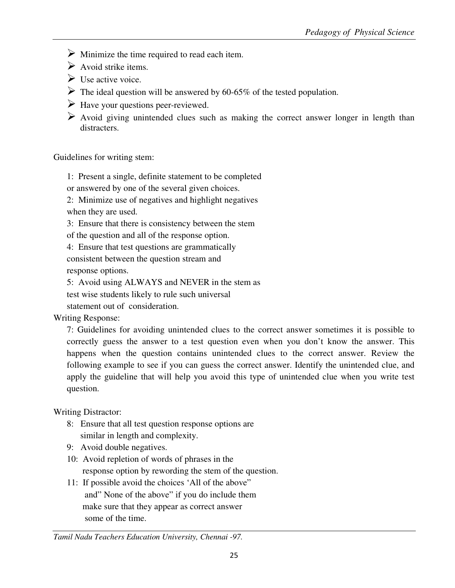- $\triangleright$  Minimize the time required to read each item.
- $\triangleright$  Avoid strike items.
- $\triangleright$  Use active voice.
- $\triangleright$  The ideal question will be answered by 60-65% of the tested population.
- $\triangleright$  Have your questions peer-reviewed.
- $\triangleright$  Avoid giving unintended clues such as making the correct answer longer in length than distracters.

Guidelines for writing stem:

- 1: Present a single, definite statement to be completed
- or answered by one of the several given choices.
- 2: Minimize use of negatives and highlight negatives when they are used.
- 3: Ensure that there is consistency between the stem
- of the question and all of the response option.
- 4: Ensure that test questions are grammatically

consistent between the question stream and

response options.

- 5: Avoid using ALWAYS and NEVER in the stem as
- test wise students likely to rule such universal

statement out of consideration.

### Writing Response:

7: Guidelines for avoiding unintended clues to the correct answer sometimes it is possible to correctly guess the answer to a test question even when you don't know the answer. This happens when the question contains unintended clues to the correct answer. Review the following example to see if you can guess the correct answer. Identify the unintended clue, and apply the guideline that will help you avoid this type of unintended clue when you write test question.

Writing Distractor:

- 8: Ensure that all test question response options are similar in length and complexity.
- 9: Avoid double negatives.
- 10: Avoid repletion of words of phrases in the response option by rewording the stem of the question.
- 11: If possible avoid the choices 'All of the above" and" None of the above" if you do include them make sure that they appear as correct answer some of the time.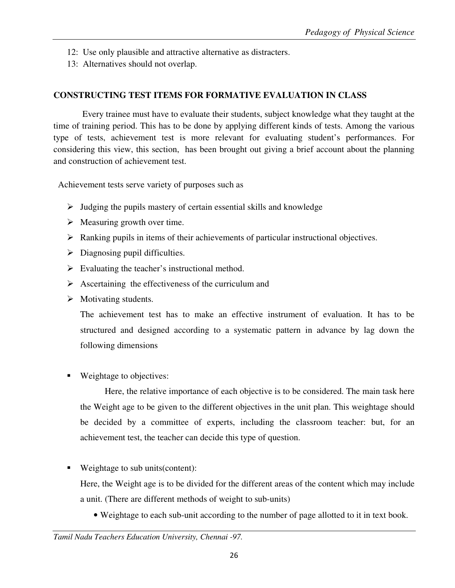- 12: Use only plausible and attractive alternative as distracters.
- 13: Alternatives should not overlap.

### **CONSTRUCTING TEST ITEMS FOR FORMATIVE EVALUATION IN CLASS**

 Every trainee must have to evaluate their students, subject knowledge what they taught at the time of training period. This has to be done by applying different kinds of tests. Among the various type of tests, achievement test is more relevant for evaluating student's performances. For considering this view, this section, has been brought out giving a brief account about the planning and construction of achievement test.

Achievement tests serve variety of purposes such as

- $\triangleright$  Judging the pupils mastery of certain essential skills and knowledge
- $\triangleright$  Measuring growth over time.
- $\triangleright$  Ranking pupils in items of their achievements of particular instructional objectives.
- $\triangleright$  Diagnosing pupil difficulties.
- $\triangleright$  Evaluating the teacher's instructional method.
- $\triangleright$  Ascertaining the effectiveness of the curriculum and
- $\triangleright$  Motivating students.

The achievement test has to make an effective instrument of evaluation. It has to be structured and designed according to a systematic pattern in advance by lag down the following dimensions

-Weightage to objectives:

> Here, the relative importance of each objective is to be considered. The main task here the Weight age to be given to the different objectives in the unit plan. This weightage should be decided by a committee of experts, including the classroom teacher: but, for an achievement test, the teacher can decide this type of question.

- Weightage to sub units(content):

Here, the Weight age is to be divided for the different areas of the content which may include a unit. (There are different methods of weight to sub-units)

• Weightage to each sub-unit according to the number of page allotted to it in text book.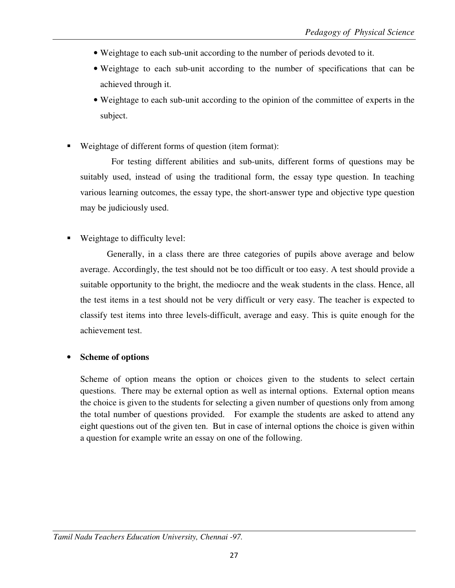- Weightage to each sub-unit according to the number of periods devoted to it.
- Weightage to each sub-unit according to the number of specifications that can be achieved through it.
- Weightage to each sub-unit according to the opinion of the committee of experts in the subject.
- -Weightage of different forms of question (item format):

 For testing different abilities and sub-units, different forms of questions may be suitably used, instead of using the traditional form, the essay type question. In teaching various learning outcomes, the essay type, the short-answer type and objective type question may be judiciously used.

-Weightage to difficulty level:

> Generally, in a class there are three categories of pupils above average and below average. Accordingly, the test should not be too difficult or too easy. A test should provide a suitable opportunity to the bright, the mediocre and the weak students in the class. Hence, all the test items in a test should not be very difficult or very easy. The teacher is expected to classify test items into three levels-difficult, average and easy. This is quite enough for the achievement test.

#### • **Scheme of options**

Scheme of option means the option or choices given to the students to select certain questions. There may be external option as well as internal options. External option means the choice is given to the students for selecting a given number of questions only from among the total number of questions provided. For example the students are asked to attend any eight questions out of the given ten. But in case of internal options the choice is given within a question for example write an essay on one of the following.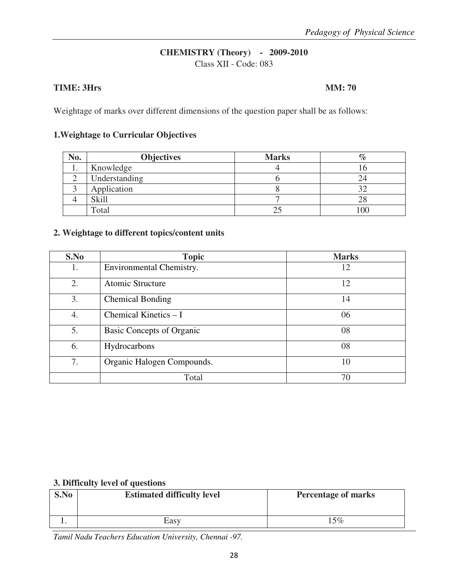### **CHEMISTRY (Theory) - 2009-2010**

Class XII - Code: 083

### **TIME: 3Hrs MM: 70**

Weightage of marks over different dimensions of the question paper shall be as follows:

### **1.Weightage to Curricular Objectives**

| No. | <b>Objectives</b> | <b>Marks</b> | $\%$ |
|-----|-------------------|--------------|------|
|     | Knowledge         |              |      |
|     | Understanding     |              |      |
|     | Application       |              |      |
|     | Skill             |              |      |
|     | Total             |              |      |

#### **2. Weightage to different topics/content units**

| S.No | <b>Topic</b>               | <b>Marks</b> |
|------|----------------------------|--------------|
| 1.   | Environmental Chemistry.   | 12           |
| 2.   | Atomic Structure           | 12           |
| 3.   | <b>Chemical Bonding</b>    | 14           |
| 4.   | Chemical Kinetics $- I$    | 06           |
| 5.   | Basic Concepts of Organic  | 08           |
| 6.   | Hydrocarbons               | 08           |
| 7.   | Organic Halogen Compounds. | 10           |
|      | Total                      | 70           |

#### **3. Difficulty level of questions**

| S.No | <b>Estimated difficulty level</b> | <b>Percentage of marks</b> |
|------|-----------------------------------|----------------------------|
|      | Easy                              | $5\%$                      |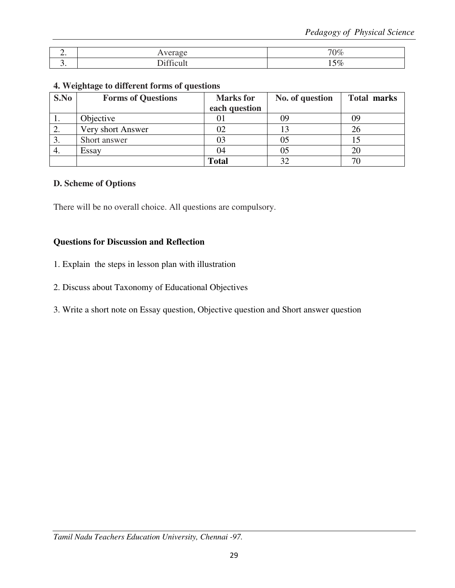| <u>.</u>                   |                                 | 70%<br>$\sigma$ /0              |
|----------------------------|---------------------------------|---------------------------------|
| $\overline{\phantom{a}}$ . | $\sim$ $\sim$<br>$\sim$ $\cdot$ | $\sim$ $\sim$<br>.,,<br>v<br>-- |

### **4. Weightage to different forms of questions**

| S.No | <b>Forms of Questions</b> | <b>Marks</b> for | No. of question | <b>Total marks</b> |
|------|---------------------------|------------------|-----------------|--------------------|
|      |                           | each question    |                 |                    |
|      | Objective                 |                  |                 |                    |
| 2.   | Very short Answer         | 02               |                 | 26                 |
| 3.   | Short answer              | 03               |                 |                    |
| 4.   | Essay                     | 04               |                 | 20                 |
|      |                           | <b>Total</b>     |                 | 71                 |

### **D. Scheme of Options**

There will be no overall choice. All questions are compulsory.

### **Questions for Discussion and Reflection**

- 1. Explain the steps in lesson plan with illustration
- 2. Discuss about Taxonomy of Educational Objectives
- 3. Write a short note on Essay question, Objective question and Short answer question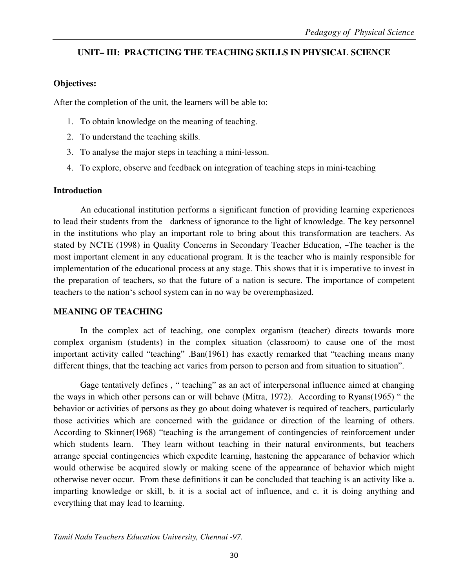### **UNIT– III: PRACTICING THE TEACHING SKILLS IN PHYSICAL SCIENCE**

### **Objectives:**

After the completion of the unit, the learners will be able to:

- 1. To obtain knowledge on the meaning of teaching.
- 2. To understand the teaching skills.
- 3. To analyse the major steps in teaching a mini-lesson.
- 4. To explore, observe and feedback on integration of teaching steps in mini-teaching

#### **Introduction**

An educational institution performs a significant function of providing learning experiences to lead their students from the darkness of ignorance to the light of knowledge. The key personnel in the institutions who play an important role to bring about this transformation are teachers. As stated by NCTE (1998) in Quality Concerns in Secondary Teacher Education, ―The teacher is the most important element in any educational program. It is the teacher who is mainly responsible for implementation of the educational process at any stage. This shows that it is imperative to invest in the preparation of teachers, so that the future of a nation is secure. The importance of competent teachers to the nation's school system can in no way be overemphasized.

#### **MEANING OF TEACHING**

In the complex act of teaching, one complex organism (teacher) directs towards more complex organism (students) in the complex situation (classroom) to cause one of the most important activity called "teaching" .Ban(1961) has exactly remarked that "teaching means many different things, that the teaching act varies from person to person and from situation to situation".

Gage tentatively defines , " teaching" as an act of interpersonal influence aimed at changing the ways in which other persons can or will behave (Mitra, 1972). According to Ryans(1965) " the behavior or activities of persons as they go about doing whatever is required of teachers, particularly those activities which are concerned with the guidance or direction of the learning of others. According to Skinner(1968) "teaching is the arrangement of contingencies of reinforcement under which students learn. They learn without teaching in their natural environments, but teachers arrange special contingencies which expedite learning, hastening the appearance of behavior which would otherwise be acquired slowly or making scene of the appearance of behavior which might otherwise never occur. From these definitions it can be concluded that teaching is an activity like a. imparting knowledge or skill, b. it is a social act of influence, and c. it is doing anything and everything that may lead to learning.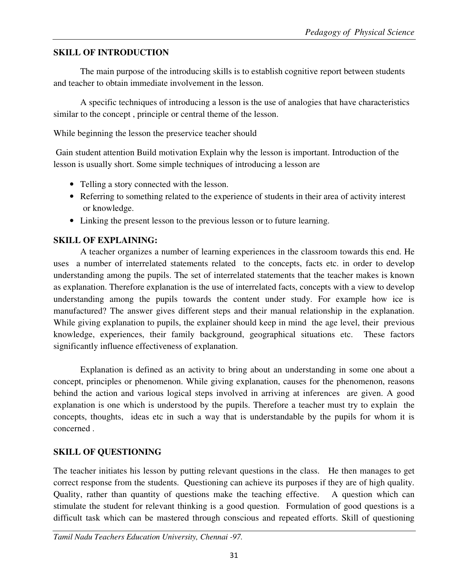### **SKILL OF INTRODUCTION**

 The main purpose of the introducing skills is to establish cognitive report between students and teacher to obtain immediate involvement in the lesson.

 A specific techniques of introducing a lesson is the use of analogies that have characteristics similar to the concept , principle or central theme of the lesson.

While beginning the lesson the preservice teacher should

 Gain student attention Build motivation Explain why the lesson is important. Introduction of the lesson is usually short. Some simple techniques of introducing a lesson are

- Telling a story connected with the lesson.
- Referring to something related to the experience of students in their area of activity interest or knowledge.
- Linking the present lesson to the previous lesson or to future learning.

### **SKILL OF EXPLAINING:**

A teacher organizes a number of learning experiences in the classroom towards this end. He uses a number of interrelated statements related to the concepts, facts etc. in order to develop understanding among the pupils. The set of interrelated statements that the teacher makes is known as explanation. Therefore explanation is the use of interrelated facts, concepts with a view to develop understanding among the pupils towards the content under study. For example how ice is manufactured? The answer gives different steps and their manual relationship in the explanation. While giving explanation to pupils, the explainer should keep in mind the age level, their previous knowledge, experiences, their family background, geographical situations etc. These factors significantly influence effectiveness of explanation.

Explanation is defined as an activity to bring about an understanding in some one about a concept, principles or phenomenon. While giving explanation, causes for the phenomenon, reasons behind the action and various logical steps involved in arriving at inferences are given. A good explanation is one which is understood by the pupils. Therefore a teacher must try to explain the concepts, thoughts, ideas etc in such a way that is understandable by the pupils for whom it is concerned .

### **SKILL OF QUESTIONING**

The teacher initiates his lesson by putting relevant questions in the class. He then manages to get correct response from the students. Questioning can achieve its purposes if they are of high quality. Quality, rather than quantity of questions make the teaching effective. A question which can stimulate the student for relevant thinking is a good question. Formulation of good questions is a difficult task which can be mastered through conscious and repeated efforts. Skill of questioning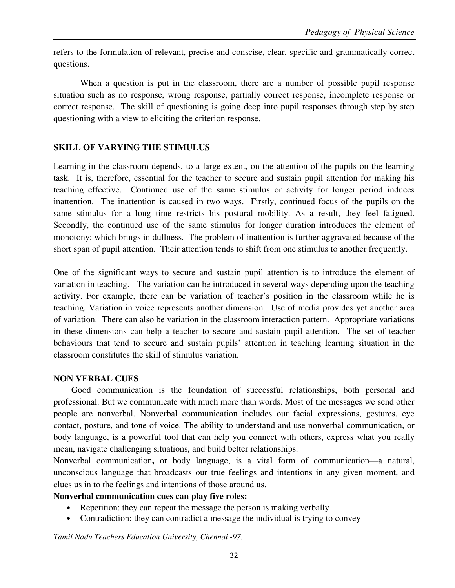refers to the formulation of relevant, precise and conscise, clear, specific and grammatically correct questions.

When a question is put in the classroom, there are a number of possible pupil response situation such as no response, wrong response, partially correct response, incomplete response or correct response. The skill of questioning is going deep into pupil responses through step by step questioning with a view to eliciting the criterion response.

### **SKILL OF VARYING THE STIMULUS**

Learning in the classroom depends, to a large extent, on the attention of the pupils on the learning task. It is, therefore, essential for the teacher to secure and sustain pupil attention for making his teaching effective. Continued use of the same stimulus or activity for longer period induces inattention. The inattention is caused in two ways. Firstly, continued focus of the pupils on the same stimulus for a long time restricts his postural mobility. As a result, they feel fatigued. Secondly, the continued use of the same stimulus for longer duration introduces the element of monotony; which brings in dullness. The problem of inattention is further aggravated because of the short span of pupil attention. Their attention tends to shift from one stimulus to another frequently.

One of the significant ways to secure and sustain pupil attention is to introduce the element of variation in teaching. The variation can be introduced in several ways depending upon the teaching activity. For example, there can be variation of teacher's position in the classroom while he is teaching. Variation in voice represents another dimension. Use of media provides yet another area of variation. There can also be variation in the classroom interaction pattern. Appropriate variations in these dimensions can help a teacher to secure and sustain pupil attention. The set of teacher behaviours that tend to secure and sustain pupils' attention in teaching learning situation in the classroom constitutes the skill of stimulus variation.

### **NON VERBAL CUES**

 Good communication is the foundation of successful relationships, both personal and professional. But we communicate with much more than words. Most of the messages we send other people are nonverbal. Nonverbal communication includes our facial expressions, gestures, eye contact, posture, and tone of voice. The ability to understand and use nonverbal communication, or body language, is a powerful tool that can help you connect with others, express what you really mean, navigate challenging situations, and build better relationships.

Nonverbal communication**,** or body language, is a vital form of communication—a natural, unconscious language that broadcasts our true feelings and intentions in any given moment, and clues us in to the feelings and intentions of those around us.

### **Nonverbal communication cues can play five roles:**

- Repetition: they can repeat the message the person is making verbally
- Contradiction: they can contradict a message the individual is trying to convey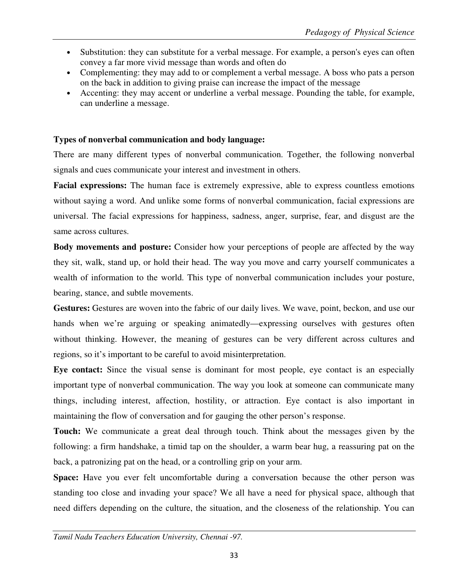- Substitution: they can substitute for a verbal message. For example, a person's eyes can often convey a far more vivid message than words and often do
- Complementing: they may add to or complement a verbal message. A boss who pats a person on the back in addition to giving praise can increase the impact of the message
- Accenting: they may accent or underline a verbal message. Pounding the table, for example, can underline a message.

#### **Types of nonverbal communication and body language:**

There are many different types of nonverbal communication. Together, the following nonverbal signals and cues communicate your interest and investment in others.

**Facial expressions:** The human face is extremely expressive, able to express countless emotions without saying a word. And unlike some forms of nonverbal communication, facial expressions are universal. The facial expressions for happiness, sadness, anger, surprise, fear, and disgust are the same across cultures.

**Body movements and posture:** Consider how your perceptions of people are affected by the way they sit, walk, stand up, or hold their head. The way you move and carry yourself communicates a wealth of information to the world. This type of nonverbal communication includes your posture, bearing, stance, and subtle movements.

**Gestures:** Gestures are woven into the fabric of our daily lives. We wave, point, beckon, and use our hands when we're arguing or speaking animatedly—expressing ourselves with gestures often without thinking. However, the meaning of gestures can be very different across cultures and regions, so it's important to be careful to avoid misinterpretation.

**Eye contact:** Since the visual sense is dominant for most people, eye contact is an especially important type of nonverbal communication. The way you look at someone can communicate many things, including interest, affection, hostility, or attraction. Eye contact is also important in maintaining the flow of conversation and for gauging the other person's response.

**Touch:** We communicate a great deal through touch. Think about the messages given by the following: a firm handshake, a timid tap on the shoulder, a warm bear hug, a reassuring pat on the back, a patronizing pat on the head, or a controlling grip on your arm.

**Space:** Have you ever felt uncomfortable during a conversation because the other person was standing too close and invading your space? We all have a need for physical space, although that need differs depending on the culture, the situation, and the closeness of the relationship. You can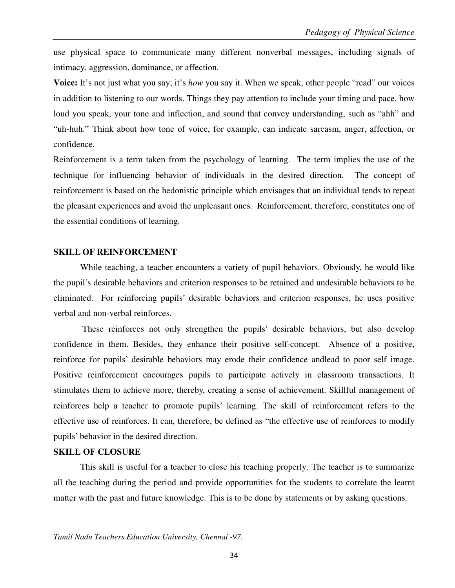use physical space to communicate many different nonverbal messages, including signals of intimacy, aggression, dominance, or affection.

**Voice:** It's not just what you say; it's *how* you say it. When we speak, other people "read" our voices in addition to listening to our words. Things they pay attention to include your timing and pace, how loud you speak, your tone and inflection, and sound that convey understanding, such as "ahh" and "uh-huh." Think about how tone of voice, for example, can indicate sarcasm, anger, affection, or confidence.

Reinforcement is a term taken from the psychology of learning. The term implies the use of the technique for influencing behavior of individuals in the desired direction. The concept of reinforcement is based on the hedonistic principle which envisages that an individual tends to repeat the pleasant experiences and avoid the unpleasant ones. Reinforcement, therefore, constitutes one of the essential conditions of learning.

#### **SKILL OF REINFORCEMENT**

 While teaching, a teacher encounters a variety of pupil behaviors. Obviously, he would like the pupil's desirable behaviors and criterion responses to be retained and undesirable behaviors to be eliminated. For reinforcing pupils' desirable behaviors and criterion responses, he uses positive verbal and non-verbal reinforces.

 These reinforces not only strengthen the pupils' desirable behaviors, but also develop confidence in them. Besides, they enhance their positive self-concept. Absence of a positive, reinforce for pupils' desirable behaviors may erode their confidence andlead to poor self image. Positive reinforcement encourages pupils to participate actively in classroom transactions. It stimulates them to achieve more, thereby, creating a sense of achievement. Skillful management of reinforces help a teacher to promote pupils' learning. The skill of reinforcement refers to the effective use of reinforces. It can, therefore, be defined as "the effective use of reinforces to modify pupils' behavior in the desired direction.

#### **SKILL OF CLOSURE**

This skill is useful for a teacher to close his teaching properly. The teacher is to summarize all the teaching during the period and provide opportunities for the students to correlate the learnt matter with the past and future knowledge. This is to be done by statements or by asking questions.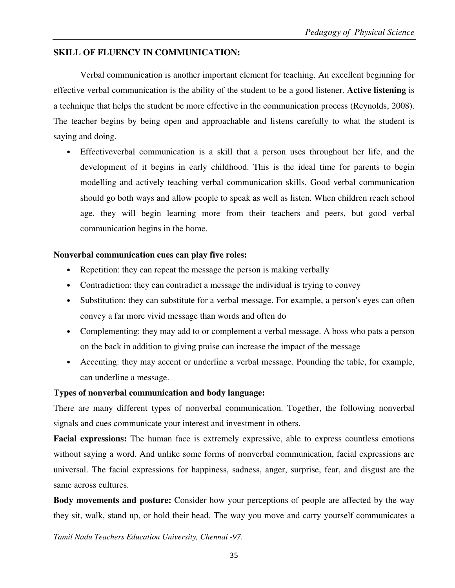#### **SKILL OF FLUENCY IN COMMUNICATION:**

 Verbal communication is another important element for teaching. An excellent beginning for effective verbal communication is the ability of the student to be a good listener. **Active listening** is a technique that helps the student be more effective in the communication process (Reynolds, 2008). The teacher begins by being open and approachable and listens carefully to what the student is saying and doing.

• Effectiveverbal communication is a skill that a person uses throughout her life, and the development of it begins in early childhood. This is the ideal time for parents to begin modelling and actively teaching verbal communication skills. Good verbal communication should go both ways and allow people to speak as well as listen. When children reach school age, they will begin learning more from their teachers and peers, but good verbal communication begins in the home.

### **Nonverbal communication cues can play five roles:**

- Repetition: they can repeat the message the person is making verbally
- Contradiction: they can contradict a message the individual is trying to convey
- Substitution: they can substitute for a verbal message. For example, a person's eyes can often convey a far more vivid message than words and often do
- Complementing: they may add to or complement a verbal message. A boss who pats a person on the back in addition to giving praise can increase the impact of the message
- Accenting: they may accent or underline a verbal message. Pounding the table, for example, can underline a message.

#### **Types of nonverbal communication and body language:**

There are many different types of nonverbal communication. Together, the following nonverbal signals and cues communicate your interest and investment in others.

**Facial expressions:** The human face is extremely expressive, able to express countless emotions without saying a word. And unlike some forms of nonverbal communication, facial expressions are universal. The facial expressions for happiness, sadness, anger, surprise, fear, and disgust are the same across cultures.

**Body movements and posture:** Consider how your perceptions of people are affected by the way they sit, walk, stand up, or hold their head. The way you move and carry yourself communicates a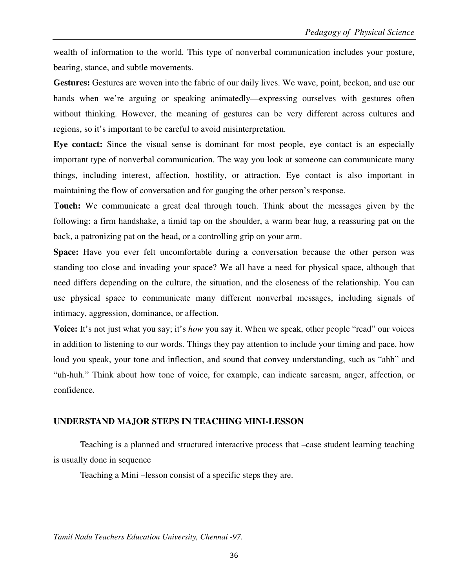wealth of information to the world. This type of nonverbal communication includes your posture, bearing, stance, and subtle movements.

Gestures: Gestures are woven into the fabric of our daily lives. We wave, point, beckon, and use our hands when we're arguing or speaking animatedly—expressing ourselves with gestures often without thinking. However, the meaning of gestures can be very different across cultures and regions, so it's important to be careful to avoid misinterpretation.

**Eye contact:** Since the visual sense is dominant for most people, eye contact is an especially important type of nonverbal communication. The way you look at someone can communicate many things, including interest, affection, hostility, or attraction. Eye contact is also important in maintaining the flow of conversation and for gauging the other person's response.

**Touch:** We communicate a great deal through touch. Think about the messages given by the following: a firm handshake, a timid tap on the shoulder, a warm bear hug, a reassuring pat on the back, a patronizing pat on the head, or a controlling grip on your arm.

**Space:** Have you ever felt uncomfortable during a conversation because the other person was standing too close and invading your space? We all have a need for physical space, although that need differs depending on the culture, the situation, and the closeness of the relationship. You can use physical space to communicate many different nonverbal messages, including signals of intimacy, aggression, dominance, or affection.

**Voice:** It's not just what you say; it's *how* you say it. When we speak, other people "read" our voices in addition to listening to our words. Things they pay attention to include your timing and pace, how loud you speak, your tone and inflection, and sound that convey understanding, such as "ahh" and "uh-huh." Think about how tone of voice, for example, can indicate sarcasm, anger, affection, or confidence.

#### **UNDERSTAND MAJOR STEPS IN TEACHING MINI-LESSON**

 Teaching is a planned and structured interactive process that –case student learning teaching is usually done in sequence

Teaching a Mini –lesson consist of a specific steps they are.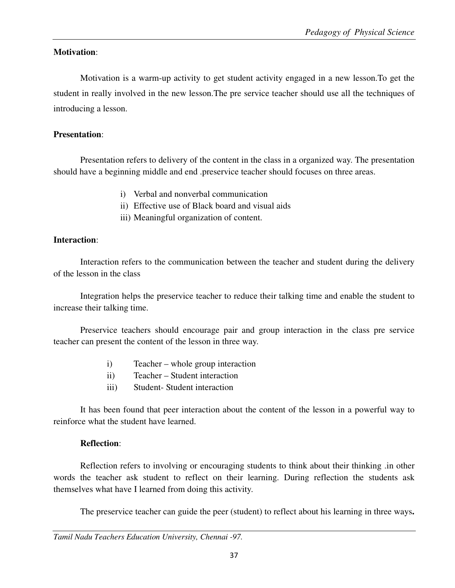## **Motivation**:

Motivation is a warm-up activity to get student activity engaged in a new lesson.To get the student in really involved in the new lesson.The pre service teacher should use all the techniques of introducing a lesson.

## **Presentation**:

 Presentation refers to delivery of the content in the class in a organized way. The presentation should have a beginning middle and end .preservice teacher should focuses on three areas.

- i) Verbal and nonverbal communication
- ii) Effective use of Black board and visual aids
- iii) Meaningful organization of content.

## **Interaction**:

Interaction refers to the communication between the teacher and student during the delivery of the lesson in the class

Integration helps the preservice teacher to reduce their talking time and enable the student to increase their talking time.

Preservice teachers should encourage pair and group interaction in the class pre service teacher can present the content of the lesson in three way.

- i) Teacher whole group interaction
- ii) Teacher Student interaction
- iii) Student- Student interaction

It has been found that peer interaction about the content of the lesson in a powerful way to reinforce what the student have learned.

### **Reflection**:

Reflection refers to involving or encouraging students to think about their thinking .in other words the teacher ask student to reflect on their learning. During reflection the students ask themselves what have I learned from doing this activity.

The preservice teacher can guide the peer (student) to reflect about his learning in three ways**.**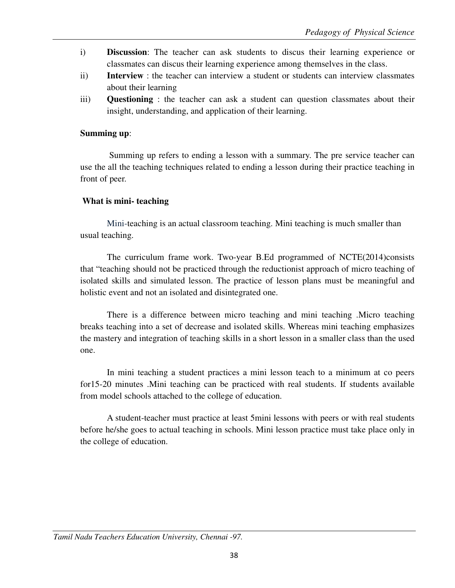- i) **Discussion**: The teacher can ask students to discus their learning experience or classmates can discus their learning experience among themselves in the class.
- ii) **Interview** : the teacher can interview a student or students can interview classmates about their learning
- iii) **Questioning** : the teacher can ask a student can question classmates about their insight, understanding, and application of their learning.

### **Summing up**:

 Summing up refers to ending a lesson with a summary. The pre service teacher can use the all the teaching techniques related to ending a lesson during their practice teaching in front of peer.

### **What is mini- teaching**

Mini-teaching is an actual classroom teaching. Mini teaching is much smaller than usual teaching.

The curriculum frame work. Two-year B.Ed programmed of NCTE(2014)consists that "teaching should not be practiced through the reductionist approach of micro teaching of isolated skills and simulated lesson. The practice of lesson plans must be meaningful and holistic event and not an isolated and disintegrated one.

There is a difference between micro teaching and mini teaching .Micro teaching breaks teaching into a set of decrease and isolated skills. Whereas mini teaching emphasizes the mastery and integration of teaching skills in a short lesson in a smaller class than the used one.

In mini teaching a student practices a mini lesson teach to a minimum at co peers for15-20 minutes .Mini teaching can be practiced with real students. If students available from model schools attached to the college of education.

A student-teacher must practice at least 5mini lessons with peers or with real students before he/she goes to actual teaching in schools. Mini lesson practice must take place only in the college of education.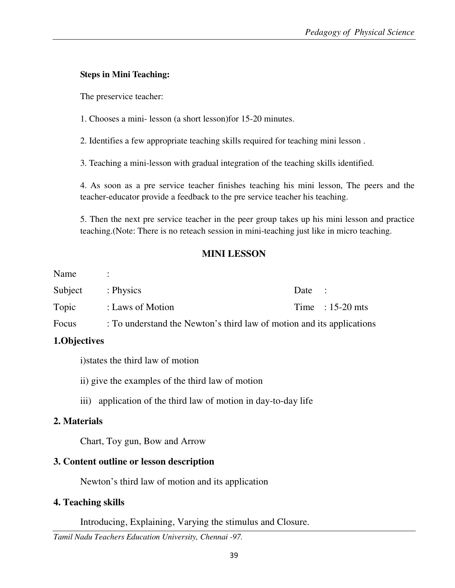# **Steps in Mini Teaching:**

The preservice teacher:

1. Chooses a mini- lesson (a short lesson)for 15-20 minutes.

2. Identifies a few appropriate teaching skills required for teaching mini lesson .

3. Teaching a mini-lesson with gradual integration of the teaching skills identified.

4. As soon as a pre service teacher finishes teaching his mini lesson, The peers and the teacher-educator provide a feedback to the pre service teacher his teaching.

5. Then the next pre service teacher in the peer group takes up his mini lesson and practice teaching.(Note: There is no reteach session in mini-teaching just like in micro teaching.

# **MINI LESSON**

| Name    |           |  |  |
|---------|-----------|--|--|
| Subject | : Physics |  |  |

| Subject : Physics |                  | Date : |                    |
|-------------------|------------------|--------|--------------------|
| Topic             | : Laws of Motion |        | Time : $15-20$ mts |

Focus : To understand the Newton's third law of motion and its applications

# **1.Objectives**

i)states the third law of motion

- ii) give the examples of the third law of motion
- iii) application of the third law of motion in day-to-day life

# **2. Materials**

Chart, Toy gun, Bow and Arrow

# **3. Content outline or lesson description**

Newton's third law of motion and its application

# **4. Teaching skills**

Introducing, Explaining, Varying the stimulus and Closure.

*Tamil Nadu Teachers Education University, Chennai -97.*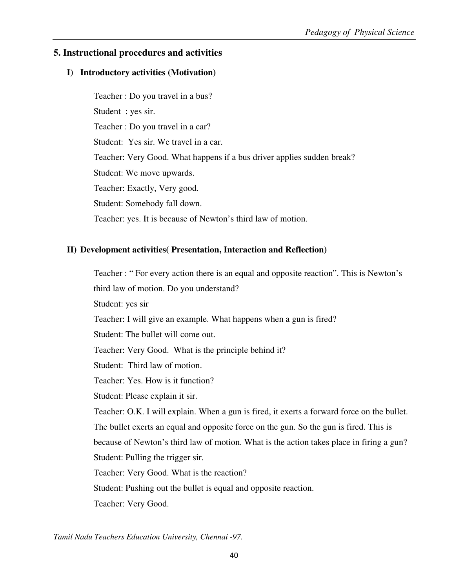## **5. Instructional procedures and activities**

### **I) Introductory activities (Motivation)**

Teacher : Do you travel in a bus? Student : yes sir. Teacher : Do you travel in a car? Student: Yes sir. We travel in a car. Teacher: Very Good. What happens if a bus driver applies sudden break? Student: We move upwards. Teacher: Exactly, Very good. Student: Somebody fall down. Teacher: yes. It is because of Newton's third law of motion.

## **II) Development activities( Presentation, Interaction and Reflection)**

Teacher : " For every action there is an equal and opposite reaction". This is Newton's third law of motion. Do you understand? Student: yes sir Teacher: I will give an example. What happens when a gun is fired? Student: The bullet will come out. Teacher: Very Good. What is the principle behind it? Student: Third law of motion. Teacher: Yes. How is it function? Student: Please explain it sir. Teacher: O.K. I will explain. When a gun is fired, it exerts a forward force on the bullet. The bullet exerts an equal and opposite force on the gun. So the gun is fired. This is because of Newton's third law of motion. What is the action takes place in firing a gun? Student: Pulling the trigger sir. Teacher: Very Good. What is the reaction? Student: Pushing out the bullet is equal and opposite reaction. Teacher: Very Good.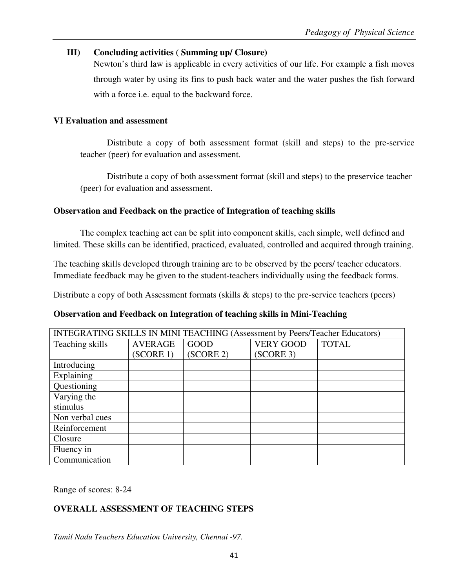## **III) Concluding activities ( Summing up/ Closure)**

Newton's third law is applicable in every activities of our life. For example a fish moves through water by using its fins to push back water and the water pushes the fish forward with a force i.e. equal to the backward force.

## **VI Evaluation and assessment**

 Distribute a copy of both assessment format (skill and steps) to the pre-service teacher (peer) for evaluation and assessment.

Distribute a copy of both assessment format (skill and steps) to the preservice teacher (peer) for evaluation and assessment.

## **Observation and Feedback on the practice of Integration of teaching skills**

 The complex teaching act can be split into component skills, each simple, well defined and limited. These skills can be identified, practiced, evaluated, controlled and acquired through training.

The teaching skills developed through training are to be observed by the peers/ teacher educators. Immediate feedback may be given to the student-teachers individually using the feedback forms.

Distribute a copy of both Assessment formats (skills  $\&$  steps) to the pre-service teachers (peers)

### **Observation and Feedback on Integration of teaching skills in Mini-Teaching**

| INTEGRATING SKILLS IN MINI TEACHING (Assessment by Peers/Teacher Educators) |                |             |                  |              |  |  |
|-----------------------------------------------------------------------------|----------------|-------------|------------------|--------------|--|--|
| Teaching skills                                                             | <b>AVERAGE</b> | <b>GOOD</b> | <b>VERY GOOD</b> | <b>TOTAL</b> |  |  |
|                                                                             | (SCORE 1)      | (SCORE 2)   | (SCORE 3)        |              |  |  |
| Introducing                                                                 |                |             |                  |              |  |  |
| Explaining                                                                  |                |             |                  |              |  |  |
| Questioning                                                                 |                |             |                  |              |  |  |
| Varying the                                                                 |                |             |                  |              |  |  |
| stimulus                                                                    |                |             |                  |              |  |  |
| Non verbal cues                                                             |                |             |                  |              |  |  |
| Reinforcement                                                               |                |             |                  |              |  |  |
| Closure                                                                     |                |             |                  |              |  |  |
| Fluency in                                                                  |                |             |                  |              |  |  |
| Communication                                                               |                |             |                  |              |  |  |

Range of scores: 8-24

# **OVERALL ASSESSMENT OF TEACHING STEPS**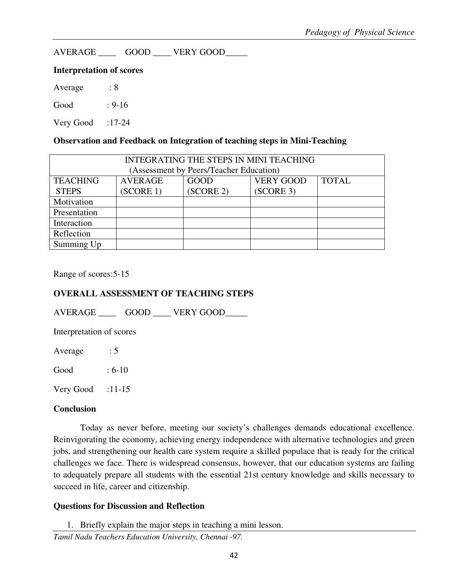AVERAGE \_\_\_\_\_\_ GOOD \_\_\_\_ VERY GOOD \_\_\_\_\_

#### **Interpretation of scores**

Average : 8

Good : 9-16

Very Good  $:17-24$ 

### **Observation and Feedback on Integration of teaching steps in Mini-Teaching**

| INTEGRATING THE STEPS IN MINI TEACHING  |                |             |                  |              |  |  |  |
|-----------------------------------------|----------------|-------------|------------------|--------------|--|--|--|
| (Assessment by Peers/Teacher Education) |                |             |                  |              |  |  |  |
| <b>TEACHING</b>                         | <b>AVERAGE</b> | <b>GOOD</b> | <b>VERY GOOD</b> | <b>TOTAL</b> |  |  |  |
| <b>STEPS</b>                            | (SCORE 1)      | (SCORE 2)   | (SCORE 3)        |              |  |  |  |
| Motivation                              |                |             |                  |              |  |  |  |
| Presentation                            |                |             |                  |              |  |  |  |
| Interaction                             |                |             |                  |              |  |  |  |
| Reflection                              |                |             |                  |              |  |  |  |
| Summing Up                              |                |             |                  |              |  |  |  |

Range of scores:5-15

### **OVERALL ASSESSMENT OF TEACHING STEPS**

AVERAGE GOOD VERY GOOD

Interpretation of scores

Average : 5

Good : 6-10

Very Good :11-15

### **Conclusion**

Today as never before, meeting our society's challenges demands educational excellence. Reinvigorating the economy, achieving energy independence with alternative technologies and green jobs, and strengthening our health care system require a skilled populace that is ready for the critical challenges we face. There is widespread consensus, however, that our education systems are failing to adequately prepare all students with the essential 21st century knowledge and skills necessary to succeed in life, career and citizenship.

### **Questions for Discussion and Reflection**

1. Briefly explain the major steps in teaching a mini lesson.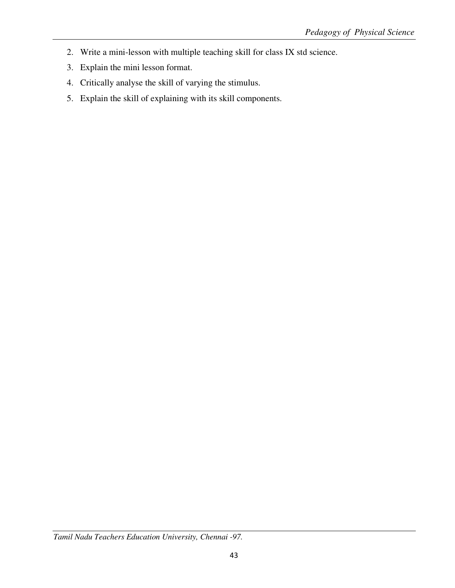- 2. Write a mini-lesson with multiple teaching skill for class IX std science.
- 3. Explain the mini lesson format.
- 4. Critically analyse the skill of varying the stimulus.
- 5. Explain the skill of explaining with its skill components.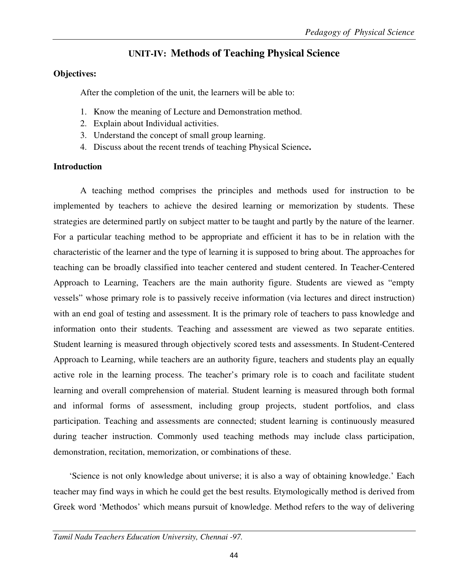# **UNIT-IV: Methods of Teaching Physical Science**

### **Objectives:**

After the completion of the unit, the learners will be able to:

- 1. Know the meaning of Lecture and Demonstration method.
- 2. Explain about Individual activities.
- 3. Understand the concept of small group learning.
- 4. Discuss about the recent trends of teaching Physical Science**.**

### **Introduction**

A teaching method comprises the principles and methods used for instruction to be implemented by teachers to achieve the desired learning or memorization by students. These strategies are determined partly on subject matter to be taught and partly by the nature of the learner. For a particular teaching method to be appropriate and efficient it has to be in relation with the characteristic of the learner and the type of learning it is supposed to bring about. The approaches for teaching can be broadly classified into teacher centered and student centered. In Teacher-Centered Approach to Learning, Teachers are the main authority figure. Students are viewed as "empty vessels" whose primary role is to passively receive information (via lectures and direct instruction) with an end goal of testing and assessment. It is the primary role of teachers to pass knowledge and information onto their students. Teaching and assessment are viewed as two separate entities. Student learning is measured through objectively scored tests and assessments. In Student-Centered Approach to Learning, while teachers are an authority figure, teachers and students play an equally active role in the learning process. The teacher's primary role is to coach and facilitate student learning and overall comprehension of material. Student learning is measured through both formal and informal forms of assessment, including group projects, student portfolios, and class participation. Teaching and assessments are connected; student learning is continuously measured during teacher instruction. Commonly used teaching methods may include class participation, demonstration, recitation, memorization, or combinations of these.

 'Science is not only knowledge about universe; it is also a way of obtaining knowledge.' Each teacher may find ways in which he could get the best results. Etymologically method is derived from Greek word 'Methodos' which means pursuit of knowledge. Method refers to the way of delivering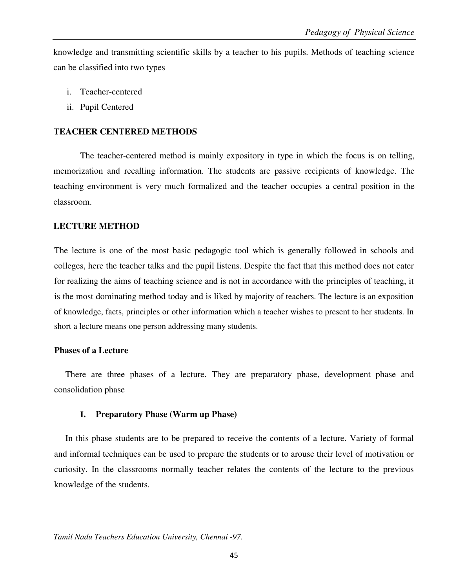knowledge and transmitting scientific skills by a teacher to his pupils. Methods of teaching science can be classified into two types

- i. Teacher-centered
- ii. Pupil Centered

### **TEACHER CENTERED METHODS**

The teacher-centered method is mainly expository in type in which the focus is on telling, memorization and recalling information. The students are passive recipients of knowledge. The teaching environment is very much formalized and the teacher occupies a central position in the classroom.

### **LECTURE METHOD**

The lecture is one of the most basic pedagogic tool which is generally followed in schools and colleges, here the teacher talks and the pupil listens. Despite the fact that this method does not cater for realizing the aims of teaching science and is not in accordance with the principles of teaching, it is the most dominating method today and is liked by majority of teachers. The lecture is an exposition of knowledge, facts, principles or other information which a teacher wishes to present to her students. In short a lecture means one person addressing many students.

#### **Phases of a Lecture**

There are three phases of a lecture. They are preparatory phase, development phase and consolidation phase

#### **I. Preparatory Phase (Warm up Phase)**

In this phase students are to be prepared to receive the contents of a lecture. Variety of formal and informal techniques can be used to prepare the students or to arouse their level of motivation or curiosity. In the classrooms normally teacher relates the contents of the lecture to the previous knowledge of the students.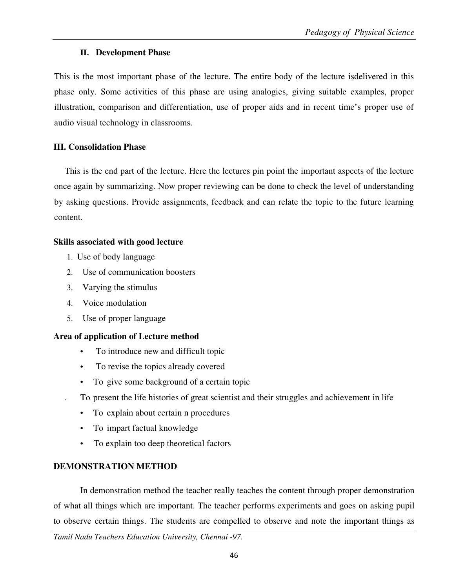## **II. Development Phase**

This is the most important phase of the lecture. The entire body of the lecture isdelivered in this phase only. Some activities of this phase are using analogies, giving suitable examples, proper illustration, comparison and differentiation, use of proper aids and in recent time's proper use of audio visual technology in classrooms.

### **III. Consolidation Phase**

This is the end part of the lecture. Here the lectures pin point the important aspects of the lecture once again by summarizing. Now proper reviewing can be done to check the level of understanding by asking questions. Provide assignments, feedback and can relate the topic to the future learning content.

## **Skills associated with good lecture**

- 1. Use of body language
- 2. Use of communication boosters
- 3. Varying the stimulus
- 4. Voice modulation
- 5. Use of proper language

## **Area of application of Lecture method**

- To introduce new and difficult topic
- To revise the topics already covered
- To give some background of a certain topic
- . To present the life histories of great scientist and their struggles and achievement in life
	- To explain about certain n procedures
	- To impart factual knowledge
	- To explain too deep theoretical factors

## **DEMONSTRATION METHOD**

In demonstration method the teacher really teaches the content through proper demonstration of what all things which are important. The teacher performs experiments and goes on asking pupil to observe certain things. The students are compelled to observe and note the important things as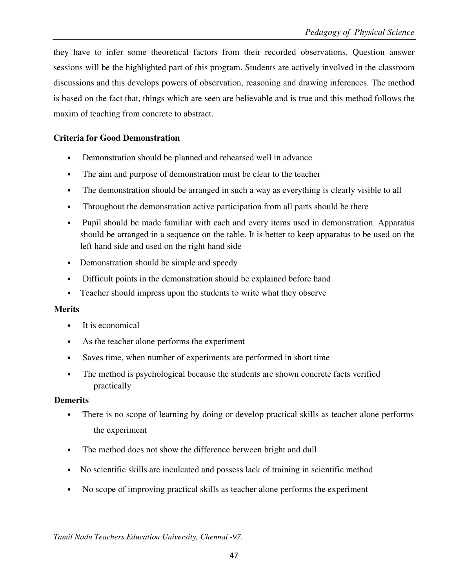they have to infer some theoretical factors from their recorded observations. Question answer sessions will be the highlighted part of this program. Students are actively involved in the classroom discussions and this develops powers of observation, reasoning and drawing inferences. The method is based on the fact that, things which are seen are believable and is true and this method follows the maxim of teaching from concrete to abstract.

## **Criteria for Good Demonstration**

- Demonstration should be planned and rehearsed well in advance
- The aim and purpose of demonstration must be clear to the teacher
- The demonstration should be arranged in such a way as everything is clearly visible to all
- Throughout the demonstration active participation from all parts should be there
- Pupil should be made familiar with each and every items used in demonstration. Apparatus should be arranged in a sequence on the table. It is better to keep apparatus to be used on the left hand side and used on the right hand side
- Demonstration should be simple and speedy
- Difficult points in the demonstration should be explained before hand
- Teacher should impress upon the students to write what they observe

#### **Merits**

- It is economical
- As the teacher alone performs the experiment
- Saves time, when number of experiments are performed in short time
- The method is psychological because the students are shown concrete facts verified practically

### **Demerits**

- There is no scope of learning by doing or develop practical skills as teacher alone performs the experiment
- The method does not show the difference between bright and dull
- No scientific skills are inculcated and possess lack of training in scientific method
- No scope of improving practical skills as teacher alone performs the experiment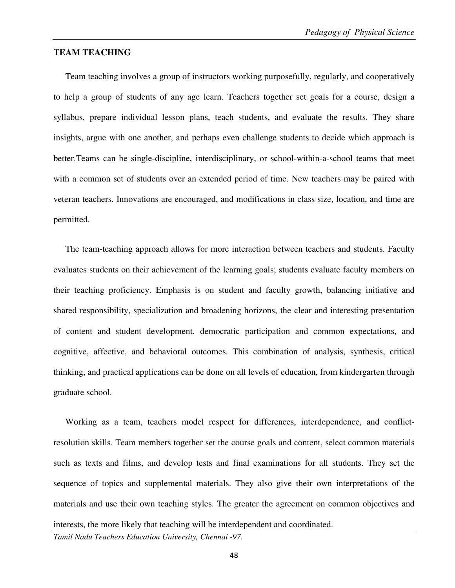#### **TEAM TEACHING**

Team teaching involves a group of instructors working purposefully, regularly, and cooperatively to help a group of students of any age learn. Teachers together set goals for a course, design a syllabus, prepare individual lesson plans, teach students, and evaluate the results. They share insights, argue with one another, and perhaps even challenge students to decide which approach is better.Teams can be single-discipline, interdisciplinary, or school-within-a-school teams that meet with a common set of students over an extended period of time. New teachers may be paired with veteran teachers. Innovations are encouraged, and modifications in class size, location, and time are permitted.

The team-teaching approach allows for more interaction between teachers and students. Faculty evaluates students on their achievement of the learning goals; students evaluate faculty members on their teaching proficiency. Emphasis is on student and faculty growth, balancing initiative and shared responsibility, specialization and broadening horizons, the clear and interesting presentation of content and student development, democratic participation and common expectations, and cognitive, affective, and behavioral outcomes. This combination of analysis, synthesis, critical thinking, and practical applications can be done on all levels of education, from kindergarten through graduate school.

Working as a team, teachers model respect for differences, interdependence, and conflictresolution skills. Team members together set the course goals and content, select common materials such as texts and films, and develop tests and final examinations for all students. They set the sequence of topics and supplemental materials. They also give their own interpretations of the materials and use their own teaching styles. The greater the agreement on common objectives and interests, the more likely that teaching will be interdependent and coordinated.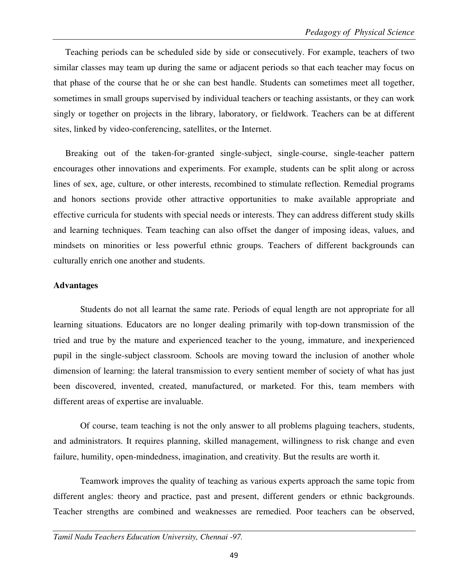Teaching periods can be scheduled side by side or consecutively. For example, teachers of two similar classes may team up during the same or adjacent periods so that each teacher may focus on that phase of the course that he or she can best handle. Students can sometimes meet all together, sometimes in small groups supervised by individual teachers or teaching assistants, or they can work singly or together on projects in the library, laboratory, or fieldwork. Teachers can be at different sites, linked by video-conferencing, satellites, or the Internet.

Breaking out of the taken-for-granted single-subject, single-course, single-teacher pattern encourages other innovations and experiments. For example, students can be split along or across lines of sex, age, culture, or other interests, recombined to stimulate reflection. Remedial programs and honors sections provide other attractive opportunities to make available appropriate and effective curricula for students with special needs or interests. They can address different study skills and learning techniques. Team teaching can also offset the danger of imposing ideas, values, and mindsets on minorities or less powerful ethnic groups. Teachers of different backgrounds can culturally enrich one another and students.

### **Advantages**

Students do not all learnat the same rate. Periods of equal length are not appropriate for all learning situations. Educators are no longer dealing primarily with top-down transmission of the tried and true by the mature and experienced teacher to the young, immature, and inexperienced pupil in the single-subject classroom. Schools are moving toward the inclusion of another whole dimension of learning: the lateral transmission to every sentient member of society of what has just been discovered, invented, created, manufactured, or marketed. For this, team members with different areas of expertise are invaluable.

Of course, team teaching is not the only answer to all problems plaguing teachers, students, and administrators. It requires planning, skilled management, willingness to risk change and even failure, humility, open-mindedness, imagination, and creativity. But the results are worth it.

Teamwork improves the quality of teaching as various experts approach the same topic from different angles: theory and practice, past and present, different genders or ethnic backgrounds. Teacher strengths are combined and weaknesses are remedied. Poor teachers can be observed,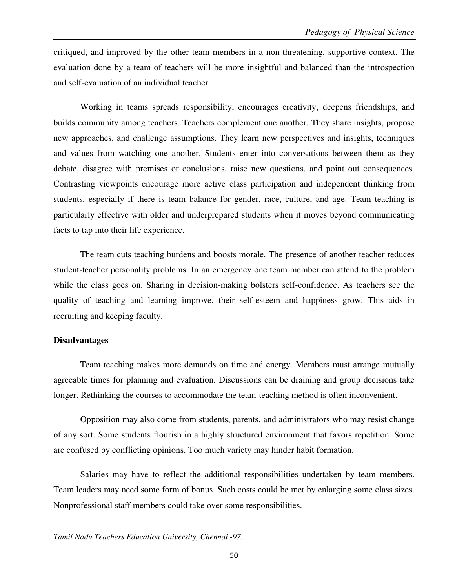critiqued, and improved by the other team members in a non-threatening, supportive context. The evaluation done by a team of teachers will be more insightful and balanced than the introspection and self-evaluation of an individual teacher.

Working in teams spreads responsibility, encourages creativity, deepens friendships, and builds community among teachers. Teachers complement one another. They share insights, propose new approaches, and challenge assumptions. They learn new perspectives and insights, techniques and values from watching one another. Students enter into conversations between them as they debate, disagree with premises or conclusions, raise new questions, and point out consequences. Contrasting viewpoints encourage more active class participation and independent thinking from students, especially if there is team balance for gender, race, culture, and age. Team teaching is particularly effective with older and underprepared students when it moves beyond communicating facts to tap into their life experience.

The team cuts teaching burdens and boosts morale. The presence of another teacher reduces student-teacher personality problems. In an emergency one team member can attend to the problem while the class goes on. Sharing in decision-making bolsters self-confidence. As teachers see the quality of teaching and learning improve, their self-esteem and happiness grow. This aids in recruiting and keeping faculty.

#### **Disadvantages**

Team teaching makes more demands on time and energy. Members must arrange mutually agreeable times for planning and evaluation. Discussions can be draining and group decisions take longer. Rethinking the courses to accommodate the team-teaching method is often inconvenient.

Opposition may also come from students, parents, and administrators who may resist change of any sort. Some students flourish in a highly structured environment that favors repetition. Some are confused by conflicting opinions. Too much variety may hinder habit formation.

Salaries may have to reflect the additional responsibilities undertaken by team members. Team leaders may need some form of bonus. Such costs could be met by enlarging some class sizes. Nonprofessional staff members could take over some responsibilities.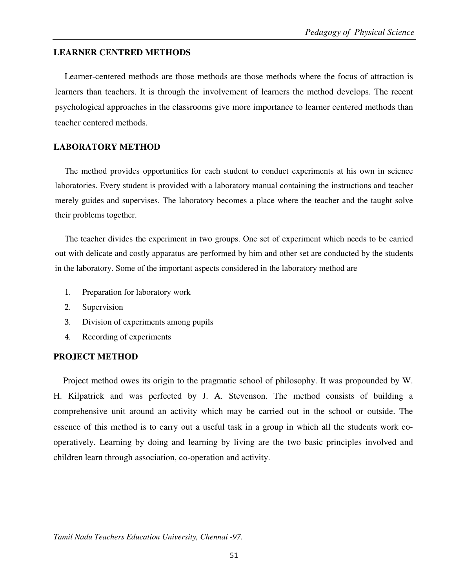### **LEARNER CENTRED METHODS**

Learner-centered methods are those methods are those methods where the focus of attraction is learners than teachers. It is through the involvement of learners the method develops. The recent psychological approaches in the classrooms give more importance to learner centered methods than teacher centered methods.

### **LABORATORY METHOD**

The method provides opportunities for each student to conduct experiments at his own in science laboratories. Every student is provided with a laboratory manual containing the instructions and teacher merely guides and supervises. The laboratory becomes a place where the teacher and the taught solve their problems together.

The teacher divides the experiment in two groups. One set of experiment which needs to be carried out with delicate and costly apparatus are performed by him and other set are conducted by the students in the laboratory. Some of the important aspects considered in the laboratory method are

- 1. Preparation for laboratory work
- 2. Supervision
- 3. Division of experiments among pupils
- 4. Recording of experiments

### **PROJECT METHOD**

Project method owes its origin to the pragmatic school of philosophy. It was propounded by W. H. Kilpatrick and was perfected by J. A. Stevenson. The method consists of building a comprehensive unit around an activity which may be carried out in the school or outside. The essence of this method is to carry out a useful task in a group in which all the students work cooperatively. Learning by doing and learning by living are the two basic principles involved and children learn through association, co-operation and activity.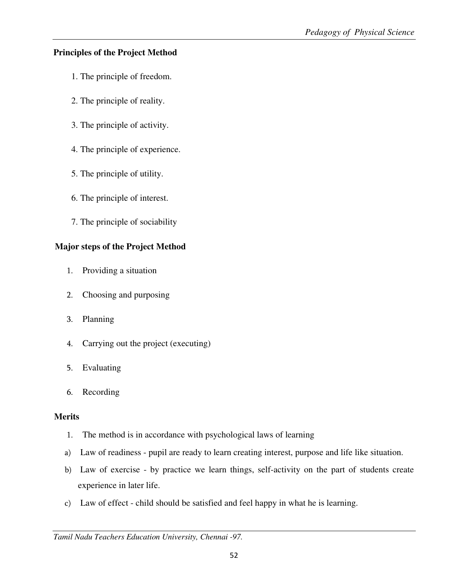# **Principles of the Project Method**

- 1. The principle of freedom.
- 2. The principle of reality.
- 3. The principle of activity.
- 4. The principle of experience.
- 5. The principle of utility.
- 6. The principle of interest.
- 7. The principle of sociability

# **Major steps of the Project Method**

- 1. Providing a situation
- 2. Choosing and purposing
- 3. Planning
- 4. Carrying out the project (executing)
- 5. Evaluating
- 6. Recording

# **Merits**

- 1. The method is in accordance with psychological laws of learning
- a) Law of readiness pupil are ready to learn creating interest, purpose and life like situation.
- b) Law of exercise by practice we learn things, self-activity on the part of students create experience in later life.
- c) Law of effect child should be satisfied and feel happy in what he is learning.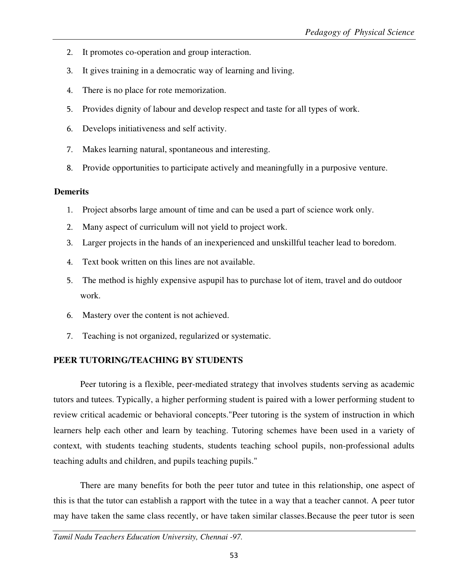- 2. It promotes co-operation and group interaction.
- 3. It gives training in a democratic way of learning and living.
- 4. There is no place for rote memorization.
- 5. Provides dignity of labour and develop respect and taste for all types of work.
- 6. Develops initiativeness and self activity.
- 7. Makes learning natural, spontaneous and interesting.
- 8. Provide opportunities to participate actively and meaningfully in a purposive venture.

### **Demerits**

- 1. Project absorbs large amount of time and can be used a part of science work only.
- 2. Many aspect of curriculum will not yield to project work.
- 3. Larger projects in the hands of an inexperienced and unskillful teacher lead to boredom.
- 4. Text book written on this lines are not available.
- 5. The method is highly expensive aspupil has to purchase lot of item, travel and do outdoor work.
- 6. Mastery over the content is not achieved.
- 7. Teaching is not organized, regularized or systematic.

### **PEER TUTORING/TEACHING BY STUDENTS**

Peer tutoring is a flexible, peer-mediated strategy that involves students serving as academic tutors and tutees. Typically, a higher performing student is paired with a lower performing student to review critical academic or behavioral concepts."Peer tutoring is the system of instruction in which learners help each other and learn by teaching. Tutoring schemes have been used in a variety of context, with students teaching students, students teaching school pupils, non-professional adults teaching adults and children, and pupils teaching pupils."

There are many benefits for both the peer tutor and tutee in this relationship, one aspect of this is that the tutor can establish a rapport with the tutee in a way that a teacher cannot. A peer tutor may have taken the same class recently, or have taken similar classes.Because the peer tutor is seen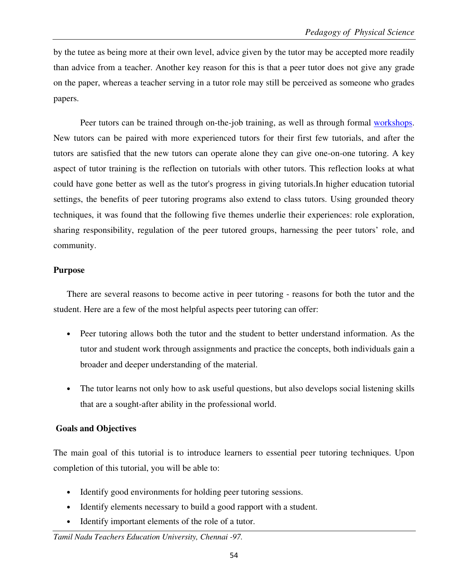by the tutee as being more at their own level, advice given by the tutor may be accepted more readily than advice from a teacher. Another key reason for this is that a peer tutor does not give any grade on the paper, whereas a teacher serving in a tutor role may still be perceived as someone who grades papers.

Peer tutors can be trained through on-the-job training, as well as through formal workshops. New tutors can be paired with more experienced tutors for their first few tutorials, and after the tutors are satisfied that the new tutors can operate alone they can give one-on-one tutoring. A key aspect of tutor training is the reflection on tutorials with other tutors. This reflection looks at what could have gone better as well as the tutor's progress in giving tutorials.In higher education tutorial settings, the benefits of peer tutoring programs also extend to class tutors. Using grounded theory techniques, it was found that the following five themes underlie their experiences: role exploration, sharing responsibility, regulation of the peer tutored groups, harnessing the peer tutors' role, and community.

### **Purpose**

There are several reasons to become active in peer tutoring - reasons for both the tutor and the student. Here are a few of the most helpful aspects peer tutoring can offer:

- Peer tutoring allows both the tutor and the student to better understand information. As the tutor and student work through assignments and practice the concepts, both individuals gain a broader and deeper understanding of the material.
- The tutor learns not only how to ask useful questions, but also develops social listening skills that are a sought-after ability in the professional world.

### **Goals and Objectives**

The main goal of this tutorial is to introduce learners to essential peer tutoring techniques. Upon completion of this tutorial, you will be able to:

- Identify good environments for holding peer tutoring sessions.
- Identify elements necessary to build a good rapport with a student.
- Identify important elements of the role of a tutor.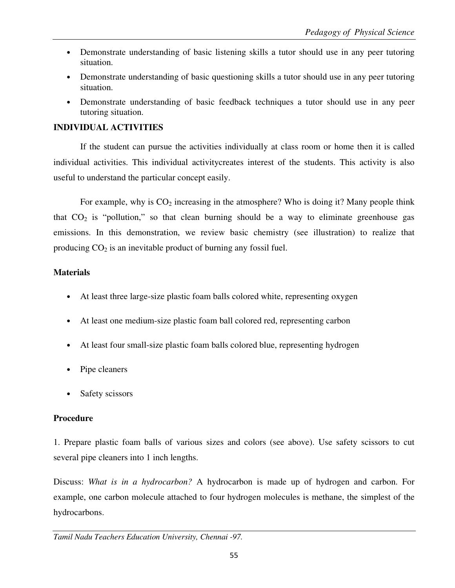- Demonstrate understanding of basic listening skills a tutor should use in any peer tutoring situation.
- Demonstrate understanding of basic questioning skills a tutor should use in any peer tutoring situation.
- Demonstrate understanding of basic feedback techniques a tutor should use in any peer tutoring situation.

### **INDIVIDUAL ACTIVITIES**

 If the student can pursue the activities individually at class room or home then it is called individual activities. This individual activitycreates interest of the students. This activity is also useful to understand the particular concept easily.

For example, why is  $CO_2$  increasing in the atmosphere? Who is doing it? Many people think that  $CO<sub>2</sub>$  is "pollution," so that clean burning should be a way to eliminate greenhouse gas emissions. In this demonstration, we review basic chemistry (see illustration) to realize that producing  $CO<sub>2</sub>$  is an inevitable product of burning any fossil fuel.

## **Materials**

- At least three large-size plastic foam balls colored white, representing oxygen
- At least one medium-size plastic foam ball colored red, representing carbon
- At least four small-size plastic foam balls colored blue, representing hydrogen
- Pipe cleaners
- Safety scissors

## **Procedure**

1. Prepare plastic foam balls of various sizes and colors (see above). Use safety scissors to cut several pipe cleaners into 1 inch lengths.

Discuss: *What is in a hydrocarbon?* A hydrocarbon is made up of hydrogen and carbon. For example, one carbon molecule attached to four hydrogen molecules is methane, the simplest of the hydrocarbons.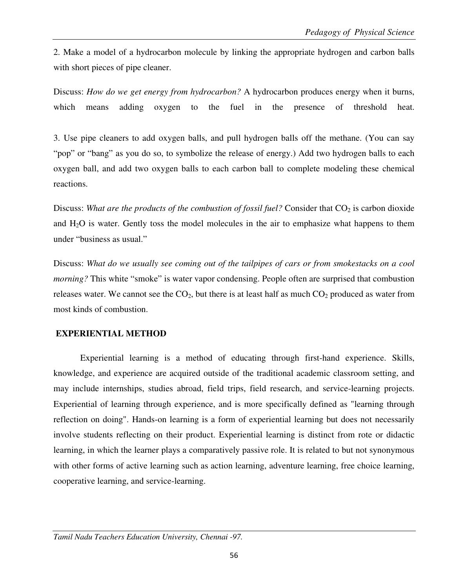2. Make a model of a hydrocarbon molecule by linking the appropriate hydrogen and carbon balls with short pieces of pipe cleaner.

Discuss: *How do we get energy from hydrocarbon?* A hydrocarbon produces energy when it burns, which means adding oxygen to the fuel in the presence of threshold heat.

3. Use pipe cleaners to add oxygen balls, and pull hydrogen balls off the methane. (You can say "pop" or "bang" as you do so, to symbolize the release of energy.) Add two hydrogen balls to each oxygen ball, and add two oxygen balls to each carbon ball to complete modeling these chemical reactions.

Discuss: *What are the products of the combustion of fossil fuel?* Consider that CO<sub>2</sub> is carbon dioxide and  $H_2O$  is water. Gently toss the model molecules in the air to emphasize what happens to them under "business as usual."

Discuss: *What do we usually see coming out of the tailpipes of cars or from smokestacks on a cool morning?* This white "smoke" is water vapor condensing. People often are surprised that combustion releases water. We cannot see the  $CO<sub>2</sub>$ , but there is at least half as much  $CO<sub>2</sub>$  produced as water from most kinds of combustion.

#### **EXPERIENTIAL METHOD**

Experiential learning is a method of educating through first-hand experience. Skills, knowledge, and experience are acquired outside of the traditional academic classroom setting, and may include internships, studies abroad, field trips, field research, and service-learning projects. Experiential of learning through experience, and is more specifically defined as "learning through reflection on doing". Hands-on learning is a form of experiential learning but does not necessarily involve students reflecting on their product. Experiential learning is distinct from rote or didactic learning, in which the learner plays a comparatively passive role. It is related to but not synonymous with other forms of active learning such as action learning, adventure learning, free choice learning, cooperative learning, and service-learning.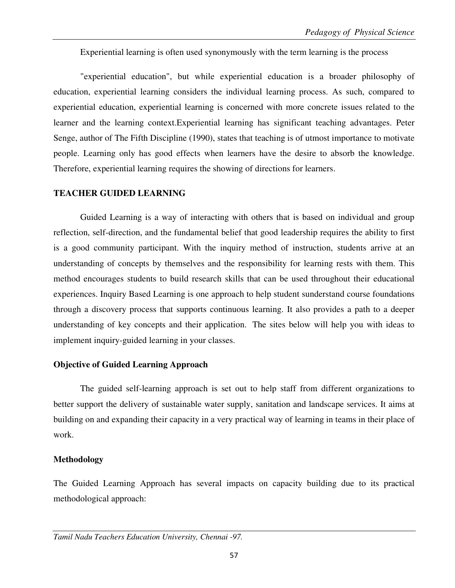Experiential learning is often used synonymously with the term learning is the process

"experiential education", but while experiential education is a broader philosophy of education, experiential learning considers the individual learning process. As such, compared to experiential education, experiential learning is concerned with more concrete issues related to the learner and the learning context.Experiential learning has significant teaching advantages. Peter Senge, author of The Fifth Discipline (1990), states that teaching is of utmost importance to motivate people. Learning only has good effects when learners have the desire to absorb the knowledge. Therefore, experiential learning requires the showing of directions for learners.

### **TEACHER GUIDED LEARNING**

Guided Learning is a way of interacting with others that is based on individual and group reflection, self-direction, and the fundamental belief that good leadership requires the ability to first is a good community participant. With the inquiry method of instruction, students arrive at an understanding of concepts by themselves and the responsibility for learning rests with them. This method encourages students to build research skills that can be used throughout their educational experiences. Inquiry Based Learning is one approach to help student sunderstand course foundations through a discovery process that supports continuous learning. It also provides a path to a deeper understanding of key concepts and their application. The sites below will help you with ideas to implement inquiry-guided learning in your classes.

### **Objective of Guided Learning Approach**

The guided self-learning approach is set out to help staff from different organizations to better support the delivery of sustainable water supply, sanitation and landscape services. It aims at building on and expanding their capacity in a very practical way of learning in teams in their place of work.

### **Methodology**

The Guided Learning Approach has several impacts on capacity building due to its practical methodological approach: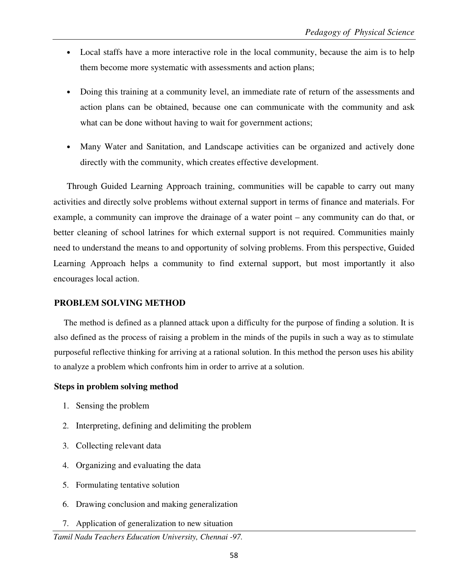- Local staffs have a more interactive role in the local community, because the aim is to help them become more systematic with assessments and action plans;
- Doing this training at a community level, an immediate rate of return of the assessments and action plans can be obtained, because one can communicate with the community and ask what can be done without having to wait for government actions;
- Many Water and Sanitation, and Landscape activities can be organized and actively done directly with the community, which creates effective development.

Through Guided Learning Approach training, communities will be capable to carry out many activities and directly solve problems without external support in terms of finance and materials. For example, a community can improve the drainage of a water point – any community can do that, or better cleaning of school latrines for which external support is not required. Communities mainly need to understand the means to and opportunity of solving problems. From this perspective, Guided Learning Approach helps a community to find external support, but most importantly it also encourages local action.

#### **PROBLEM SOLVING METHOD**

The method is defined as a planned attack upon a difficulty for the purpose of finding a solution. It is also defined as the process of raising a problem in the minds of the pupils in such a way as to stimulate purposeful reflective thinking for arriving at a rational solution. In this method the person uses his ability to analyze a problem which confronts him in order to arrive at a solution.

#### **Steps in problem solving method**

- 1. Sensing the problem
- 2. Interpreting, defining and delimiting the problem
- 3. Collecting relevant data
- 4. Organizing and evaluating the data
- 5. Formulating tentative solution
- 6. Drawing conclusion and making generalization
- 7. Application of generalization to new situation

*Tamil Nadu Teachers Education University, Chennai -97.*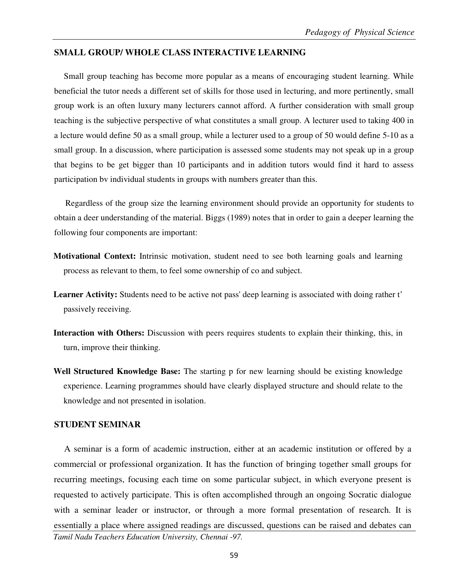#### **SMALL GROUP/ WHOLE CLASS INTERACTIVE LEARNING**

Small group teaching has become more popular as a means of encouraging student learning. While beneficial the tutor needs a different set of skills for those used in lecturing, and more pertinently, small group work is an often luxury many lecturers cannot afford. A further consideration with small group teaching is the subjective perspective of what constitutes a small group. A lecturer used to taking 400 in a lecture would define 50 as a small group, while a lecturer used to a group of 50 would define 5-10 as a small group. In a discussion, where participation is assessed some students may not speak up in a group that begins to be get bigger than 10 participants and in addition tutors would find it hard to assess participation bv individual students in groups with numbers greater than this.

Regardless of the group size the learning environment should provide an opportunity for students to obtain a deer understanding of the material. Biggs (1989) notes that in order to gain a deeper learning the following four components are important:

- **Motivational Context:** Intrinsic motivation, student need to see both learning goals and learning process as relevant to them, to feel some ownership of co and subject.
- **Learner Activity:** Students need to be active not pass' deep learning is associated with doing rather t' passively receiving.
- **Interaction with Others:** Discussion with peers requires students to explain their thinking, this, in turn, improve their thinking.
- **Well Structured Knowledge Base:** The starting p for new learning should be existing knowledge experience. Learning programmes should have clearly displayed structure and should relate to the knowledge and not presented in isolation.

#### **STUDENT SEMINAR**

*Tamil Nadu Teachers Education University, Chennai -97.*  A seminar is a form of academic instruction, either at an academic institution or offered by a commercial or professional organization. It has the function of bringing together small groups for recurring meetings, focusing each time on some particular subject, in which everyone present is requested to actively participate. This is often accomplished through an ongoing Socratic dialogue with a seminar leader or instructor, or through a more formal presentation of research. It is essentially a place where assigned readings are discussed, questions can be raised and debates can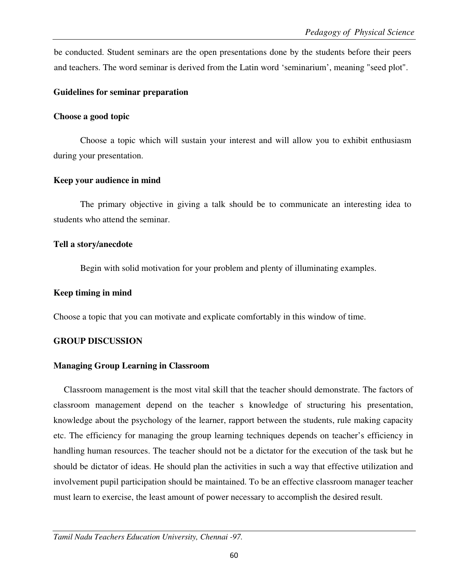be conducted. Student seminars are the open presentations done by the students before their peers and teachers. The word seminar is derived from the Latin word 'seminarium', meaning "seed plot".

#### **Guidelines for seminar preparation**

#### **Choose a good topic**

 Choose a topic which will sustain your interest and will allow you to exhibit enthusiasm during your presentation.

#### **Keep your audience in mind**

 The primary objective in giving a talk should be to communicate an interesting idea to students who attend the seminar.

#### **Tell a story/anecdote**

Begin with solid motivation for your problem and plenty of illuminating examples.

#### **Keep timing in mind**

Choose a topic that you can motivate and explicate comfortably in this window of time.

#### **GROUP DISCUSSION**

#### **Managing Group Learning in Classroom**

Classroom management is the most vital skill that the teacher should demonstrate. The factors of classroom management depend on the teacher s knowledge of structuring his presentation, knowledge about the psychology of the learner, rapport between the students, rule making capacity etc. The efficiency for managing the group learning techniques depends on teacher's efficiency in handling human resources. The teacher should not be a dictator for the execution of the task but he should be dictator of ideas. He should plan the activities in such a way that effective utilization and involvement pupil participation should be maintained. To be an effective classroom manager teacher must learn to exercise, the least amount of power necessary to accomplish the desired result.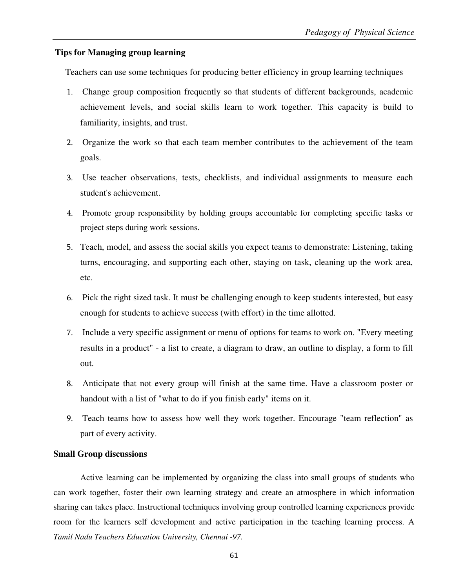#### **Tips for Managing group learning**

Teachers can use some techniques for producing better efficiency in group learning techniques

- 1. Change group composition frequently so that students of different backgrounds, academic achievement levels, and social skills learn to work together. This capacity is build to familiarity, insights, and trust.
- 2. Organize the work so that each team member contributes to the achievement of the team goals.
- 3. Use teacher observations, tests, checklists, and individual assignments to measure each student's achievement.
- 4. Promote group responsibility by holding groups accountable for completing specific tasks or project steps during work sessions.
- 5. Teach, model, and assess the social skills you expect teams to demonstrate: Listening, taking turns, encouraging, and supporting each other, staying on task, cleaning up the work area, etc.
- 6. Pick the right sized task. It must be challenging enough to keep students interested, but easy enough for students to achieve success (with effort) in the time allotted.
- 7. Include a very specific assignment or menu of options for teams to work on. "Every meeting results in a product" - a list to create, a diagram to draw, an outline to display, a form to fill out.
- 8. Anticipate that not every group will finish at the same time. Have a classroom poster or handout with a list of "what to do if you finish early" items on it.
- 9. Teach teams how to assess how well they work together. Encourage "team reflection" as part of every activity.

#### **Small Group discussions**

Active learning can be implemented by organizing the class into small groups of students who can work together, foster their own learning strategy and create an atmosphere in which information sharing can takes place. Instructional techniques involving group controlled learning experiences provide room for the learners self development and active participation in the teaching learning process. A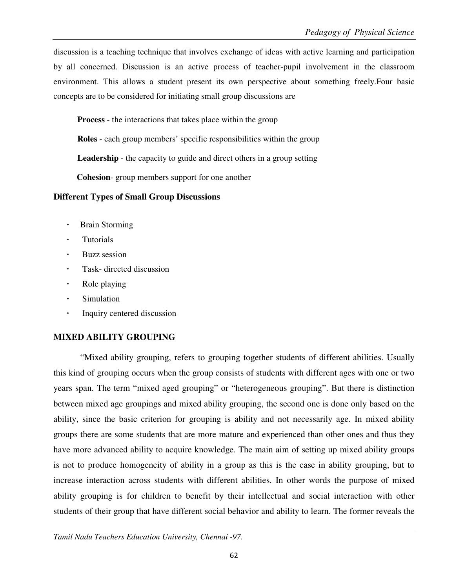discussion is a teaching technique that involves exchange of ideas with active learning and participation by all concerned. Discussion is an active process of teacher-pupil involvement in the classroom environment. This allows a student present its own perspective about something freely.Four basic concepts are to be considered for initiating small group discussions are

**Process** - the interactions that takes place within the group

**Roles** - each group members' specific responsibilities within the group

Leadership - the capacity to guide and direct others in a group setting

 **Cohesion**- group members support for one another

### **Different Types of Small Group Discussions**

- Brain Storming
- Tutorials
- Buzz session
- Task- directed discussion
- $\cdot$  Role playing
- Simulation
- Inquiry centered discussion

## **MIXED ABILITY GROUPING**

"Mixed ability grouping, refers to grouping together students of different abilities. Usually this kind of grouping occurs when the group consists of students with different ages with one or two years span. The term "mixed aged grouping" or "heterogeneous grouping". But there is distinction between mixed age groupings and mixed ability grouping, the second one is done only based on the ability, since the basic criterion for grouping is ability and not necessarily age. In mixed ability groups there are some students that are more mature and experienced than other ones and thus they have more advanced ability to acquire knowledge. The main aim of setting up mixed ability groups is not to produce homogeneity of ability in a group as this is the case in ability grouping, but to increase interaction across students with different abilities. In other words the purpose of mixed ability grouping is for children to benefit by their intellectual and social interaction with other students of their group that have different social behavior and ability to learn. The former reveals the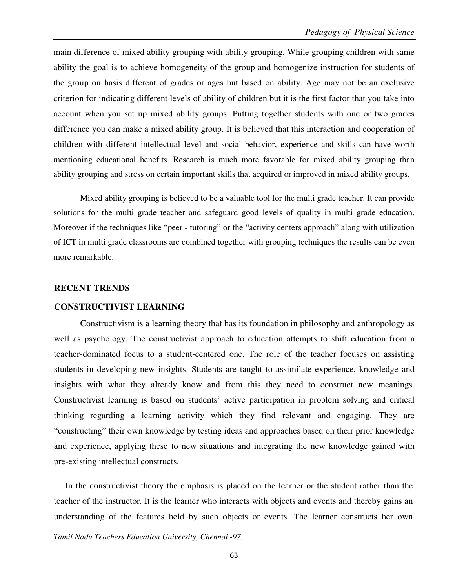main difference of mixed ability grouping with ability grouping. While grouping children with same ability the goal is to achieve homogeneity of the group and homogenize instruction for students of the group on basis different of grades or ages but based on ability. Age may not be an exclusive criterion for indicating different levels of ability of children but it is the first factor that you take into account when you set up mixed ability groups. Putting together students with one or two grades difference you can make a mixed ability group. It is believed that this interaction and cooperation of children with different intellectual level and social behavior, experience and skills can have worth mentioning educational benefits. Research is much more favorable for mixed ability grouping than ability grouping and stress on certain important skills that acquired or improved in mixed ability groups.

Mixed ability grouping is believed to be a valuable tool for the multi grade teacher. It can provide solutions for the multi grade teacher and safeguard good levels of quality in multi grade education. Moreover if the techniques like "peer - tutoring" or the "activity centers approach" along with utilization of ICT in multi grade classrooms are combined together with grouping techniques the results can be even more remarkable.

### **RECENT TRENDS**

#### **CONSTRUCTIVIST LEARNING**

Constructivism is a learning theory that has its foundation in philosophy and anthropology as well as psychology. The constructivist approach to education attempts to shift education from a teacher-dominated focus to a student-centered one. The role of the teacher focuses on assisting students in developing new insights. Students are taught to assimilate experience, knowledge and insights with what they already know and from this they need to construct new meanings. Constructivist learning is based on students' active participation in problem solving and critical thinking regarding a learning activity which they find relevant and engaging. They are "constructing" their own knowledge by testing ideas and approaches based on their prior knowledge and experience, applying these to new situations and integrating the new knowledge gained with pre-existing intellectual constructs.

In the constructivist theory the emphasis is placed on the learner or the student rather than the teacher of the instructor. It is the learner who interacts with objects and events and thereby gains an understanding of the features held by such objects or events. The learner constructs her own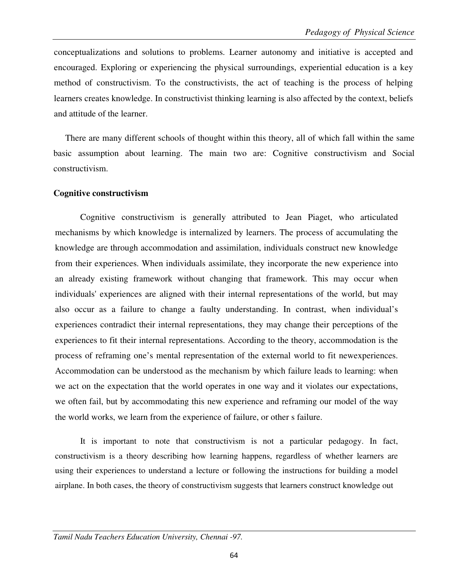conceptualizations and solutions to problems. Learner autonomy and initiative is accepted and encouraged. Exploring or experiencing the physical surroundings, experiential education is a key method of constructivism. To the constructivists, the act of teaching is the process of helping learners creates knowledge. In constructivist thinking learning is also affected by the context, beliefs and attitude of the learner.

There are many different schools of thought within this theory, all of which fall within the same basic assumption about learning. The main two are: Cognitive constructivism and Social constructivism.

#### **Cognitive constructivism**

Cognitive constructivism is generally attributed to Jean Piaget, who articulated mechanisms by which knowledge is internalized by learners. The process of accumulating the knowledge are through accommodation and assimilation, individuals construct new knowledge from their experiences. When individuals assimilate, they incorporate the new experience into an already existing framework without changing that framework. This may occur when individuals' experiences are aligned with their internal representations of the world, but may also occur as a failure to change a faulty understanding. In contrast, when individual's experiences contradict their internal representations, they may change their perceptions of the experiences to fit their internal representations. According to the theory, accommodation is the process of reframing one's mental representation of the external world to fit newexperiences. Accommodation can be understood as the mechanism by which failure leads to learning: when we act on the expectation that the world operates in one way and it violates our expectations, we often fail, but by accommodating this new experience and reframing our model of the way the world works, we learn from the experience of failure, or other s failure.

It is important to note that constructivism is not a particular pedagogy. In fact, constructivism is a theory describing how learning happens, regardless of whether learners are using their experiences to understand a lecture or following the instructions for building a model airplane. In both cases, the theory of constructivism suggests that learners construct knowledge out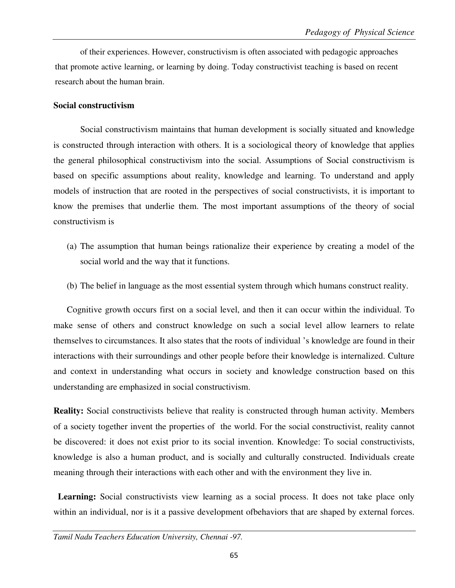of their experiences. However, constructivism is often associated with pedagogic approaches that promote active learning, or learning by doing. Today constructivist teaching is based on recent research about the human brain.

#### **Social constructivism**

 Social constructivism maintains that human development is socially situated and knowledge is constructed through interaction with others. It is a sociological theory of knowledge that applies the general philosophical constructivism into the social. Assumptions of Social constructivism is based on specific assumptions about reality, knowledge and learning. To understand and apply models of instruction that are rooted in the perspectives of social constructivists, it is important to know the premises that underlie them. The most important assumptions of the theory of social constructivism is

- (a) The assumption that human beings rationalize their experience by creating a model of the social world and the way that it functions.
- (b) The belief in language as the most essential system through which humans construct reality.

Cognitive growth occurs first on a social level, and then it can occur within the individual. To make sense of others and construct knowledge on such a social level allow learners to relate themselves to circumstances. It also states that the roots of individual 's knowledge are found in their interactions with their surroundings and other people before their knowledge is internalized. Culture and context in understanding what occurs in society and knowledge construction based on this understanding are emphasized in social constructivism.

**Reality:** Social constructivists believe that reality is constructed through human activity. Members of a society together invent the properties of the world. For the social constructivist, reality cannot be discovered: it does not exist prior to its social invention. Knowledge: To social constructivists, knowledge is also a human product, and is socially and culturally constructed. Individuals create meaning through their interactions with each other and with the environment they live in.

Learning: Social constructivists view learning as a social process. It does not take place only within an individual, nor is it a passive development ofbehaviors that are shaped by external forces.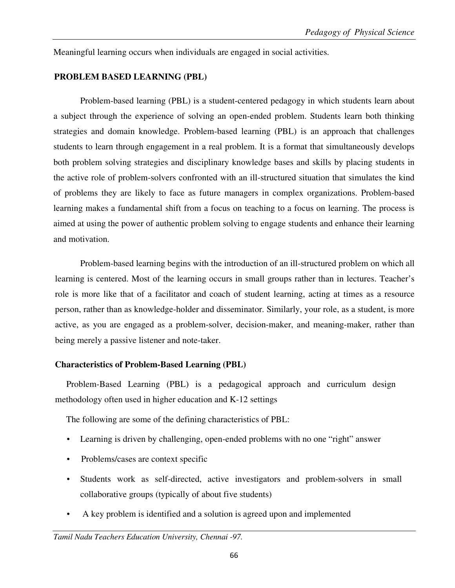Meaningful learning occurs when individuals are engaged in social activities.

## **PROBLEM BASED LEARNING (PBL)**

Problem-based learning (PBL) is a student-centered pedagogy in which students learn about a subject through the experience of solving an open-ended problem. Students learn both thinking strategies and domain knowledge. Problem-based learning (PBL) is an approach that challenges students to learn through engagement in a real problem. It is a format that simultaneously develops both problem solving strategies and disciplinary knowledge bases and skills by placing students in the active role of problem-solvers confronted with an ill-structured situation that simulates the kind of problems they are likely to face as future managers in complex organizations. Problem-based learning makes a fundamental shift from a focus on teaching to a focus on learning. The process is aimed at using the power of authentic problem solving to engage students and enhance their learning and motivation.

Problem-based learning begins with the introduction of an ill-structured problem on which all learning is centered. Most of the learning occurs in small groups rather than in lectures. Teacher's role is more like that of a facilitator and coach of student learning, acting at times as a resource person, rather than as knowledge-holder and disseminator. Similarly, your role, as a student, is more active, as you are engaged as a problem-solver, decision-maker, and meaning-maker, rather than being merely a passive listener and note-taker.

### **Characteristics of Problem-Based Learning (PBL)**

Problem-Based Learning (PBL) is a pedagogical approach and curriculum design methodology often used in higher education and K-12 settings

The following are some of the defining characteristics of PBL:

- Learning is driven by challenging, open-ended problems with no one "right" answer
- Problems/cases are context specific
- Students work as self-directed, active investigators and problem-solvers in small collaborative groups (typically of about five students)
- A key problem is identified and a solution is agreed upon and implemented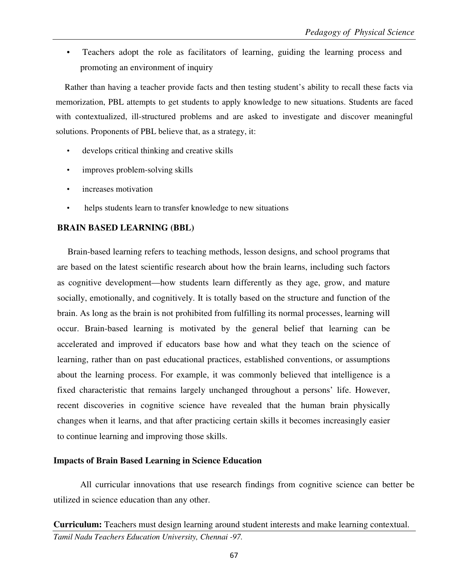• Teachers adopt the role as facilitators of learning, guiding the learning process and promoting an environment of inquiry

Rather than having a teacher provide facts and then testing student's ability to recall these facts via memorization, PBL attempts to get students to apply knowledge to new situations. Students are faced with contextualized, ill-structured problems and are asked to investigate and discover meaningful solutions. Proponents of PBL believe that, as a strategy, it:

- develops critical thinking and creative skills
- improves problem-solving skills
- increases motivation
- helps students learn to transfer knowledge to new situations

### **BRAIN BASED LEARNING (BBL)**

Brain-based learning refers to teaching methods, lesson designs, and school programs that are based on the latest scientific research about how the brain learns, including such factors as cognitive development—how students learn differently as they age, grow, and mature socially, emotionally, and cognitively. It is totally based on the structure and function of the brain. As long as the brain is not prohibited from fulfilling its normal processes, learning will occur. Brain-based learning is motivated by the general belief that learning can be accelerated and improved if educators base how and what they teach on the science of learning, rather than on past educational practices, established conventions, or assumptions about the learning process. For example, it was commonly believed that intelligence is a fixed characteristic that remains largely unchanged throughout a persons' life. However, recent discoveries in cognitive science have revealed that the human brain physically changes when it learns, and that after practicing certain skills it becomes increasingly easier to continue learning and improving those skills.

#### **Impacts of Brain Based Learning in Science Education**

All curricular innovations that use research findings from cognitive science can better be utilized in science education than any other.

*Tamil Nadu Teachers Education University, Chennai -97.*  **Curriculum:** Teachers must design learning around student interests and make learning contextual.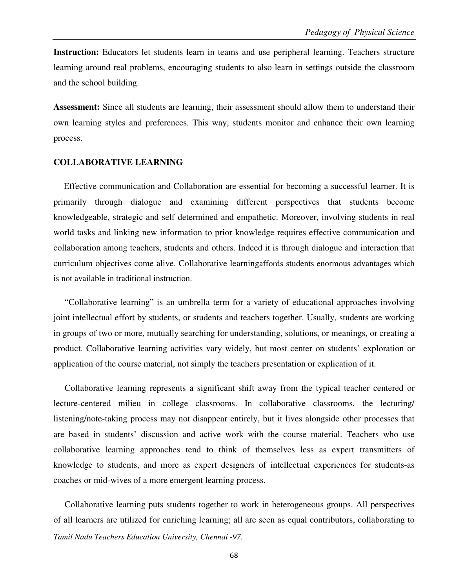**Instruction:** Educators let students learn in teams and use peripheral learning. Teachers structure learning around real problems, encouraging students to also learn in settings outside the classroom and the school building.

**Assessment:** Since all students are learning, their assessment should allow them to understand their own learning styles and preferences. This way, students monitor and enhance their own learning process.

#### **COLLABORATIVE LEARNING**

Effective communication and Collaboration are essential for becoming a successful learner. It is primarily through dialogue and examining different perspectives that students become knowledgeable, strategic and self determined and empathetic. Moreover, involving students in real world tasks and linking new information to prior knowledge requires effective communication and collaboration among teachers, students and others. Indeed it is through dialogue and interaction that curriculum objectives come alive. Collaborative learningaffords students enormous advantages which is not available in traditional instruction.

"Collaborative learning" is an umbrella term for a variety of educational approaches involving joint intellectual effort by students, or students and teachers together. Usually, students are working in groups of two or more, mutually searching for understanding, solutions, or meanings, or creating a product. Collaborative learning activities vary widely, but most center on students' exploration or application of the course material, not simply the teachers presentation or explication of it.

Collaborative learning represents a significant shift away from the typical teacher centered or lecture-centered milieu in college classrooms. In collaborative classrooms, the lecturing/ listening/note-taking process may not disappear entirely, but it lives alongside other processes that are based in students' discussion and active work with the course material. Teachers who use collaborative learning approaches tend to think of themselves less as expert transmitters of knowledge to students, and more as expert designers of intellectual experiences for students-as coaches or mid-wives of a more emergent learning process.

Collaborative learning puts students together to work in heterogeneous groups. All perspectives of all learners are utilized for enriching learning; all are seen as equal contributors, collaborating to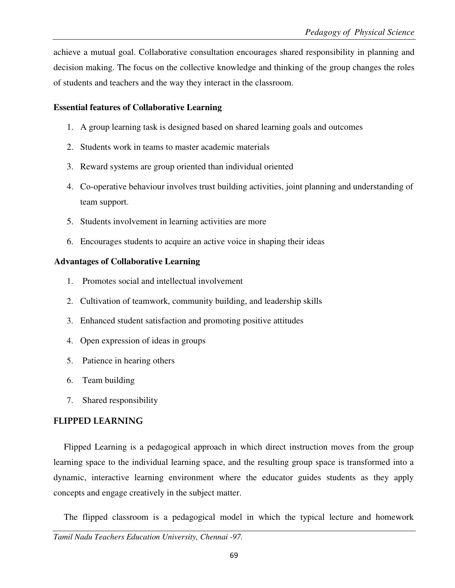achieve a mutual goal. Collaborative consultation encourages shared responsibility in planning and decision making. The focus on the collective knowledge and thinking of the group changes the roles of students and teachers and the way they interact in the classroom.

### **Essential features of Collaborative Learning**

- 1. A group learning task is designed based on shared learning goals and outcomes
- 2. Students work in teams to master academic materials
- 3. Reward systems are group oriented than individual oriented
- 4. Co-operative behaviour involves trust building activities, joint planning and understanding of team support.
- 5. Students involvement in learning activities are more
- 6. Encourages students to acquire an active voice in shaping their ideas

## **Advantages of Collaborative Learning**

- 1. Promotes social and intellectual involvement
- 2. Cultivation of teamwork, community building, and leadership skills
- 3. Enhanced student satisfaction and promoting positive attitudes
- 4. Open expression of ideas in groups
- 5. Patience in hearing others
- 6. Team building
- 7. Shared responsibility

## **FLIPPED LEARNING**

Flipped Learning is a pedagogical approach in which direct instruction moves from the group learning space to the individual learning space, and the resulting group space is transformed into a dynamic, interactive learning environment where the educator guides students as they apply concepts and engage creatively in the subject matter.

The flipped classroom is a pedagogical model in which the typical lecture and homework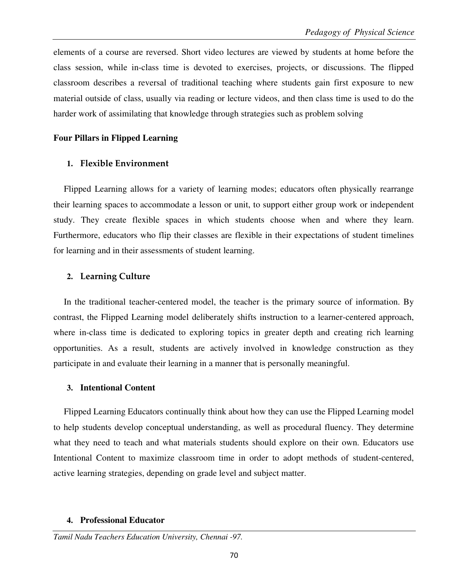elements of a course are reversed. Short video lectures are viewed by students at home before the class session, while in-class time is devoted to exercises, projects, or discussions. The flipped classroom describes a reversal of traditional teaching where students gain first exposure to new material outside of class, usually via reading or lecture videos, and then class time is used to do the harder work of assimilating that knowledge through strategies such as problem solving

#### **Four Pillars in Flipped Learning**

### **1. Flexible Environment**

Flipped Learning allows for a variety of learning modes; educators often physically rearrange their learning spaces to accommodate a lesson or unit, to support either group work or independent study. They create flexible spaces in which students choose when and where they learn. Furthermore, educators who flip their classes are flexible in their expectations of student timelines for learning and in their assessments of student learning.

#### **2. Learning Culture**

In the traditional teacher-centered model, the teacher is the primary source of information. By contrast, the Flipped Learning model deliberately shifts instruction to a learner-centered approach, where in-class time is dedicated to exploring topics in greater depth and creating rich learning opportunities. As a result, students are actively involved in knowledge construction as they participate in and evaluate their learning in a manner that is personally meaningful.

#### **3. Intentional Content**

Flipped Learning Educators continually think about how they can use the Flipped Learning model to help students develop conceptual understanding, as well as procedural fluency. They determine what they need to teach and what materials students should explore on their own. Educators use Intentional Content to maximize classroom time in order to adopt methods of student-centered, active learning strategies, depending on grade level and subject matter.

#### **4. Professional Educator**

*Tamil Nadu Teachers Education University, Chennai -97.*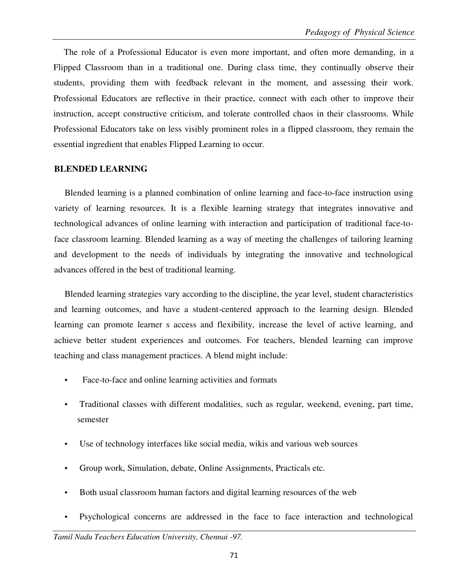The role of a Professional Educator is even more important, and often more demanding, in a Flipped Classroom than in a traditional one. During class time, they continually observe their students, providing them with feedback relevant in the moment, and assessing their work. Professional Educators are reflective in their practice, connect with each other to improve their instruction, accept constructive criticism, and tolerate controlled chaos in their classrooms. While Professional Educators take on less visibly prominent roles in a flipped classroom, they remain the essential ingredient that enables Flipped Learning to occur.

#### **BLENDED LEARNING**

Blended learning is a planned combination of online learning and face-to-face instruction using variety of learning resources. It is a flexible learning strategy that integrates innovative and technological advances of online learning with interaction and participation of traditional face-toface classroom learning. Blended learning as a way of meeting the challenges of tailoring learning and development to the needs of individuals by integrating the innovative and technological advances offered in the best of traditional learning.

Blended learning strategies vary according to the discipline, the year level, student characteristics and learning outcomes, and have a student-centered approach to the learning design. Blended learning can promote learner s access and flexibility, increase the level of active learning, and achieve better student experiences and outcomes. For teachers, blended learning can improve teaching and class management practices. A blend might include:

- Face-to-face and online learning activities and formats
- Traditional classes with different modalities, such as regular, weekend, evening, part time, semester
- Use of technology interfaces like social media, wikis and various web sources
- Group work, Simulation, debate, Online Assignments, Practicals etc.
- Both usual classroom human factors and digital learning resources of the web
- Psychological concerns are addressed in the face to face interaction and technological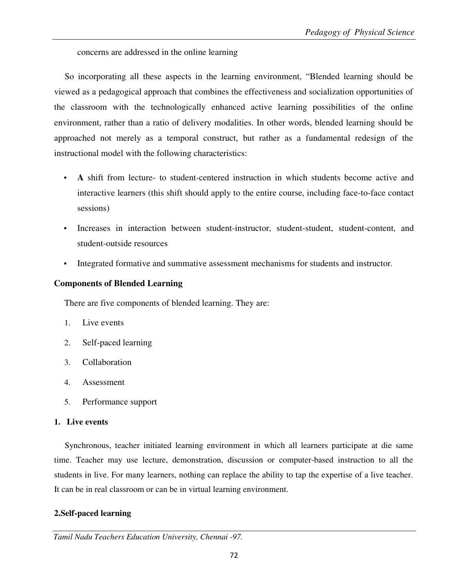concerns are addressed in the online learning

So incorporating all these aspects in the learning environment, "Blended learning should be viewed as a pedagogical approach that combines the effectiveness and socialization opportunities of the classroom with the technologically enhanced active learning possibilities of the online environment, rather than a ratio of delivery modalities. In other words, blended learning should be approached not merely as a temporal construct, but rather as a fundamental redesign of the instructional model with the following characteristics:

- **A** shift from lecture- to student-centered instruction in which students become active and interactive learners (this shift should apply to the entire course, including face-to-face contact sessions)
- Increases in interaction between student-instructor, student-student, student-content, and student-outside resources
- Integrated formative and summative assessment mechanisms for students and instructor.

### **Components of Blended Learning**

There are five components of blended learning. They are:

- 1. Live events
- 2. Self-paced learning
- 3. Collaboration
- 4. Assessment
- 5. Performance support

### **1. Live events**

Synchronous, teacher initiated learning environment in which all learners participate at die same time. Teacher may use lecture, demonstration, discussion or computer-based instruction to all the students in live. For many learners, nothing can replace the ability to tap the expertise of a live teacher. It can be in real classroom or can be in virtual learning environment.

### **2.Self-paced learning**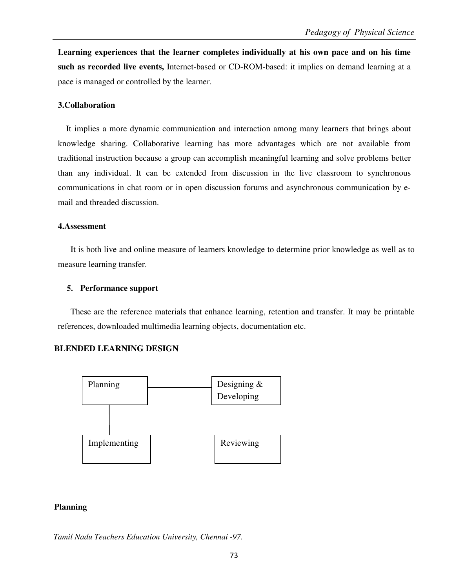**Learning experiences that the learner completes individually at his own pace and on his time such as recorded live events,** Internet-based or CD-ROM-based: it implies on demand learning at a pace is managed or controlled by the learner.

#### **3.Collaboration**

It implies a more dynamic communication and interaction among many learners that brings about knowledge sharing. Collaborative learning has more advantages which are not available from traditional instruction because a group can accomplish meaningful learning and solve problems better than any individual. It can be extended from discussion in the live classroom to synchronous communications in chat room or in open discussion forums and asynchronous communication by email and threaded discussion.

#### **4.Assessment**

It is both live and online measure of learners knowledge to determine prior knowledge as well as to measure learning transfer.

#### **5. Performance support**

These are the reference materials that enhance learning, retention and transfer. It may be printable references, downloaded multimedia learning objects, documentation etc.

### **BLENDED LEARNING DESIGN**



### **Planning**

*Tamil Nadu Teachers Education University, Chennai -97.*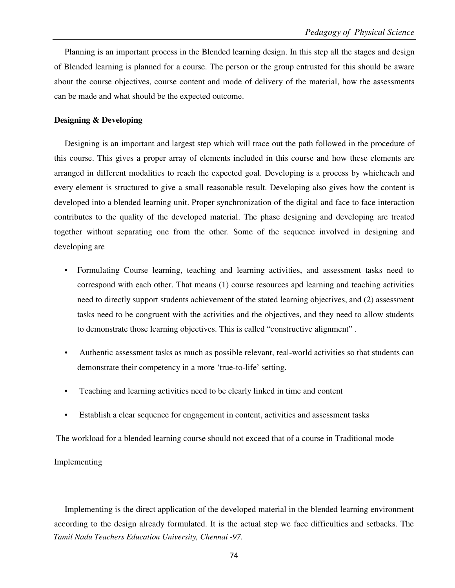Planning is an important process in the Blended learning design. In this step all the stages and design of Blended learning is planned for a course. The person or the group entrusted for this should be aware about the course objectives, course content and mode of delivery of the material, how the assessments can be made and what should be the expected outcome.

#### **Designing & Developing**

Designing is an important and largest step which will trace out the path followed in the procedure of this course. This gives a proper array of elements included in this course and how these elements are arranged in different modalities to reach the expected goal. Developing is a process by whicheach and every element is structured to give a small reasonable result. Developing also gives how the content is developed into a blended learning unit. Proper synchronization of the digital and face to face interaction contributes to the quality of the developed material. The phase designing and developing are treated together without separating one from the other. Some of the sequence involved in designing and developing are

- Formulating Course learning, teaching and learning activities, and assessment tasks need to correspond with each other. That means (1) course resources apd learning and teaching activities need to directly support students achievement of the stated learning objectives, and (2) assessment tasks need to be congruent with the activities and the objectives, and they need to allow students to demonstrate those learning objectives. This is called "constructive alignment" .
- Authentic assessment tasks as much as possible relevant, real-world activities so that students can demonstrate their competency in a more 'true-to-life' setting.
- Teaching and learning activities need to be clearly linked in time and content
- Establish a clear sequence for engagement in content, activities and assessment tasks

The workload for a blended learning course should not exceed that of a course in Traditional mode

#### Implementing

*Tamil Nadu Teachers Education University, Chennai -97.*  Implementing is the direct application of the developed material in the blended learning environment according to the design already formulated. It is the actual step we face difficulties and setbacks. The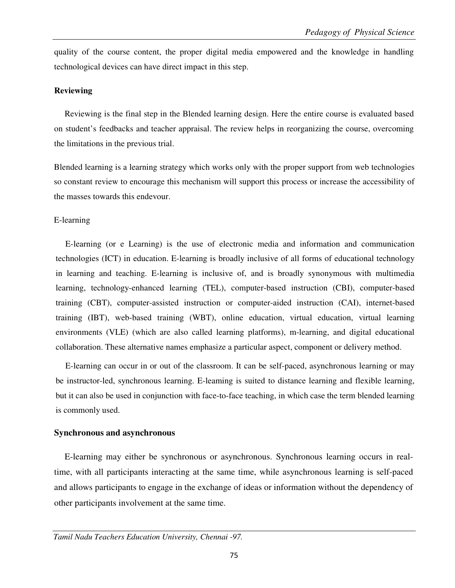quality of the course content, the proper digital media empowered and the knowledge in handling technological devices can have direct impact in this step.

#### **Reviewing**

Reviewing is the final step in the Blended learning design. Here the entire course is evaluated based on student's feedbacks and teacher appraisal. The review helps in reorganizing the course, overcoming the limitations in the previous trial.

Blended learning is a learning strategy which works only with the proper support from web technologies so constant review to encourage this mechanism will support this process or increase the accessibility of the masses towards this endevour.

#### E-learning

E-learning (or e Learning) is the use of electronic media and information and communication technologies (ICT) in education. E-learning is broadly inclusive of all forms of educational technology in learning and teaching. E-learning is inclusive of, and is broadly synonymous with multimedia learning, technology-enhanced learning (TEL), computer-based instruction (CBI), computer-based training (CBT), computer-assisted instruction or computer-aided instruction (CAI), internet-based training (IBT), web-based training (WBT), online education, virtual education, virtual learning environments (VLE) (which are also called learning platforms), m-learning, and digital educational collaboration. These alternative names emphasize a particular aspect, component or delivery method.

E-learning can occur in or out of the classroom. It can be self-paced, asynchronous learning or may be instructor-led, synchronous learning. E-leaming is suited to distance learning and flexible learning, but it can also be used in conjunction with face-to-face teaching, in which case the term blended learning is commonly used.

#### **Synchronous and asynchronous**

E-learning may either be synchronous or asynchronous. Synchronous learning occurs in realtime, with all participants interacting at the same time, while asynchronous learning is self-paced and allows participants to engage in the exchange of ideas or information without the dependency of other participants involvement at the same time.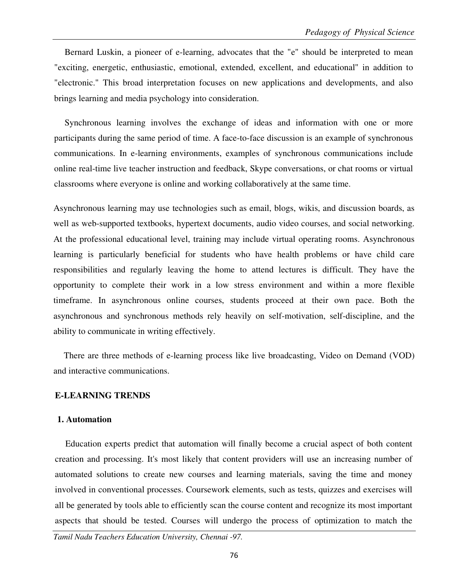Bernard Luskin, a pioneer of e-learning, advocates that the "e" should be interpreted to mean "exciting, energetic, enthusiastic, emotional, extended, excellent, and educational" in addition to "electronic." This broad interpretation focuses on new applications and developments, and also brings learning and media psychology into consideration.

Synchronous learning involves the exchange of ideas and information with one or more participants during the same period of time. A face-to-face discussion is an example of synchronous communications. In e-learning environments, examples of synchronous communications include online real-time live teacher instruction and feedback, Skype conversations, or chat rooms or virtual classrooms where everyone is online and working collaboratively at the same time.

Asynchronous learning may use technologies such as email, blogs, wikis, and discussion boards, as well as web-supported textbooks, hypertext documents, audio video courses, and social networking. At the professional educational level, training may include virtual operating rooms. Asynchronous learning is particularly beneficial for students who have health problems or have child care responsibilities and regularly leaving the home to attend lectures is difficult. They have the opportunity to complete their work in a low stress environment and within a more flexible timeframe. In asynchronous online courses, students proceed at their own pace. Both the asynchronous and synchronous methods rely heavily on self-motivation, self-discipline, and the ability to communicate in writing effectively.

There are three methods of e-learning process like live broadcasting, Video on Demand (VOD) and interactive communications.

### **E-LEARNING TRENDS**

### **1. Automation**

Education experts predict that automation will finally become a crucial aspect of both content creation and processing. It's most likely that content providers will use an increasing number of automated solutions to create new courses and learning materials, saving the time and money involved in conventional processes. Coursework elements, such as tests, quizzes and exercises will all be generated by tools able to efficiently scan the course content and recognize its most important aspects that should be tested. Courses will undergo the process of optimization to match the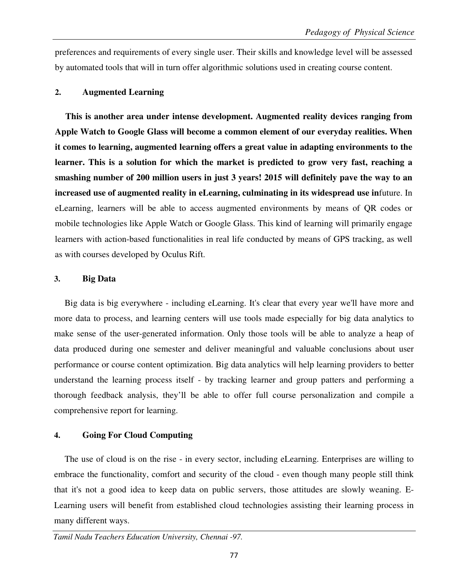preferences and requirements of every single user. Their skills and knowledge level will be assessed by automated tools that will in turn offer algorithmic solutions used in creating course content.

### **2. Augmented Learning**

**This is another area under intense development. Augmented reality devices ranging from Apple Watch to Google Glass will become a common element of our everyday realities. When it comes to learning, augmented learning offers a great value in adapting environments to the learner. This is a solution for which the market is predicted to grow very fast, reaching a smashing number of 200 million users in just 3 years! 2015 will definitely pave the way to an increased use of augmented reality in eLearning, culminating in its widespread use in**future. In eLearning, learners will be able to access augmented environments by means of QR codes or mobile technologies like Apple Watch or Google Glass. This kind of learning will primarily engage learners with action-based functionalities in real life conducted by means of GPS tracking, as well as with courses developed by Oculus Rift.

### **3. Big Data**

Big data is big everywhere - including eLearning. It's clear that every year we'll have more and more data to process, and learning centers will use tools made especially for big data analytics to make sense of the user-generated information. Only those tools will be able to analyze a heap of data produced during one semester and deliver meaningful and valuable conclusions about user performance or course content optimization. Big data analytics will help learning providers to better understand the learning process itself - by tracking learner and group patters and performing a thorough feedback analysis, they'll be able to offer full course personalization and compile a comprehensive report for learning.

## **4. Going For Cloud Computing**

The use of cloud is on the rise - in every sector, including eLearning. Enterprises are willing to embrace the functionality, comfort and security of the cloud - even though many people still think that it's not a good idea to keep data on public servers, those attitudes are slowly weaning. E-Learning users will benefit from established cloud technologies assisting their learning process in many different ways.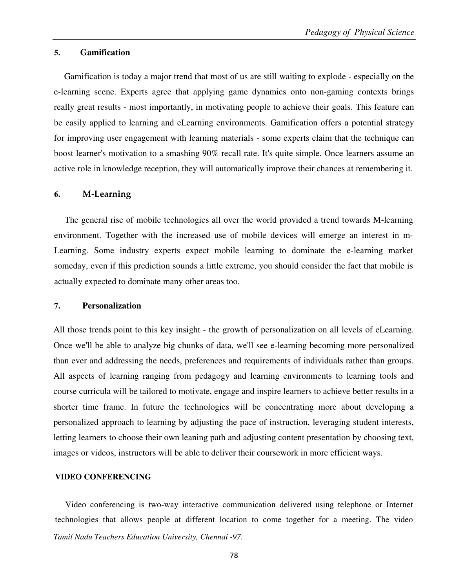#### **5. Gamification**

Gamification is today a major trend that most of us are still waiting to explode - especially on the e-learning scene. Experts agree that applying game dynamics onto non-gaming contexts brings really great results - most importantly, in motivating people to achieve their goals. This feature can be easily applied to learning and eLearning environments. Gamification offers a potential strategy for improving user engagement with learning materials - some experts claim that the technique can boost learner's motivation to a smashing 90% recall rate. It's quite simple. Once learners assume an active role in knowledge reception, they will automatically improve their chances at remembering it.

### **6. M-Learning**

The general rise of mobile technologies all over the world provided a trend towards M-learning environment. Together with the increased use of mobile devices will emerge an interest in m-Learning. Some industry experts expect mobile learning to dominate the e-learning market someday, even if this prediction sounds a little extreme, you should consider the fact that mobile is actually expected to dominate many other areas too.

#### **7. Personalization**

All those trends point to this key insight - the growth of personalization on all levels of eLearning. Once we'll be able to analyze big chunks of data, we'll see e-learning becoming more personalized than ever and addressing the needs, preferences and requirements of individuals rather than groups. All aspects of learning ranging from pedagogy and learning environments to learning tools and course curricula will be tailored to motivate, engage and inspire learners to achieve better results in a shorter time frame. In future the technologies will be concentrating more about developing a personalized approach to learning by adjusting the pace of instruction, leveraging student interests, letting learners to choose their own leaning path and adjusting content presentation by choosing text, images or videos, instructors will be able to deliver their coursework in more efficient ways.

#### **VIDEO CONFERENCING**

Video conferencing is two-way interactive communication delivered using telephone or Internet technologies that allows people at different location to come together for a meeting. The video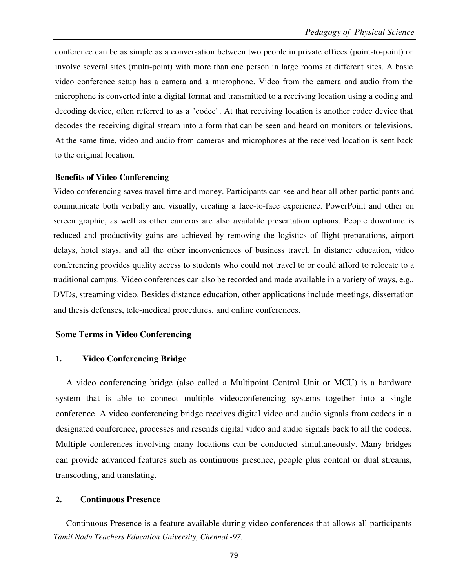conference can be as simple as a conversation between two people in private offices (point-to-point) or involve several sites (multi-point) with more than one person in large rooms at different sites. A basic video conference setup has a camera and a microphone. Video from the camera and audio from the microphone is converted into a digital format and transmitted to a receiving location using a coding and decoding device, often referred to as a "codec". At that receiving location is another codec device that decodes the receiving digital stream into a form that can be seen and heard on monitors or televisions. At the same time, video and audio from cameras and microphones at the received location is sent back to the original location.

#### **Benefits of Video Conferencing**

Video conferencing saves travel time and money. Participants can see and hear all other participants and communicate both verbally and visually, creating a face-to-face experience. PowerPoint and other on screen graphic, as well as other cameras are also available presentation options. People downtime is reduced and productivity gains are achieved by removing the logistics of flight preparations, airport delays, hotel stays, and all the other inconveniences of business travel. In distance education, video conferencing provides quality access to students who could not travel to or could afford to relocate to a traditional campus. Video conferences can also be recorded and made available in a variety of ways, e.g., DVDs, streaming video. Besides distance education, other applications include meetings, dissertation and thesis defenses, tele-medical procedures, and online conferences.

### **Some Terms in Video Conferencing**

### **1. Video Conferencing Bridge**

A video conferencing bridge (also called a Multipoint Control Unit or MCU) is a hardware system that is able to connect multiple videoconferencing systems together into a single conference. A video conferencing bridge receives digital video and audio signals from codecs in a designated conference, processes and resends digital video and audio signals back to all the codecs. Multiple conferences involving many locations can be conducted simultaneously. Many bridges can provide advanced features such as continuous presence, people plus content or dual streams, transcoding, and translating.

#### **2. Continuous Presence**

*Tamil Nadu Teachers Education University, Chennai -97.*  Continuous Presence is a feature available during video conferences that allows all participants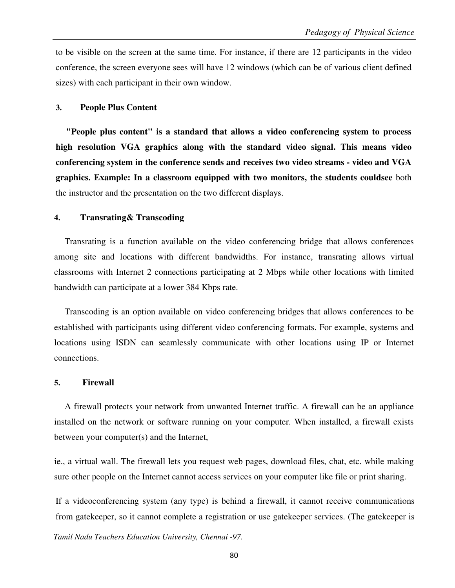to be visible on the screen at the same time. For instance, if there are 12 participants in the video conference, the screen everyone sees will have 12 windows (which can be of various client defined sizes) with each participant in their own window.

#### **3. People Plus Content**

**"People plus content" is a standard that allows a video conferencing system to process high resolution VGA graphics along with the standard video signal. This means video conferencing system in the conference sends and receives two video streams - video and VGA graphics. Example: In a classroom equipped with two monitors, the students couldsee** both the instructor and the presentation on the two different displays.

#### **4. Transrating& Transcoding**

Transrating is a function available on the video conferencing bridge that allows conferences among site and locations with different bandwidths. For instance, transrating allows virtual classrooms with Internet 2 connections participating at 2 Mbps while other locations with limited bandwidth can participate at a lower 384 Kbps rate.

Transcoding is an option available on video conferencing bridges that allows conferences to be established with participants using different video conferencing formats. For example, systems and locations using ISDN can seamlessly communicate with other locations using IP or Internet connections.

#### **5. Firewall**

A firewall protects your network from unwanted Internet traffic. A firewall can be an appliance installed on the network or software running on your computer. When installed, a firewall exists between your computer(s) and the Internet,

ie., a virtual wall. The firewall lets you request web pages, download files, chat, etc. while making sure other people on the Internet cannot access services on your computer like file or print sharing.

If a videoconferencing system (any type) is behind a firewall, it cannot receive communications from gatekeeper, so it cannot complete a registration or use gatekeeper services. (The gatekeeper is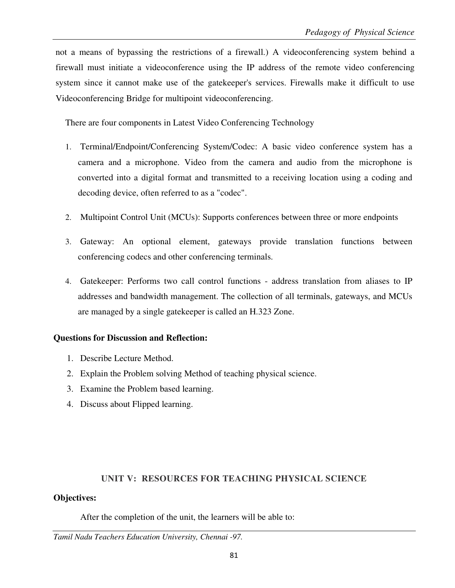not a means of bypassing the restrictions of a firewall.) A videoconferencing system behind a firewall must initiate a videoconference using the IP address of the remote video conferencing system since it cannot make use of the gatekeeper's services. Firewalls make it difficult to use Videoconferencing Bridge for multipoint videoconferencing.

There are four components in Latest Video Conferencing Technology

- 1. Terminal/Endpoint/Conferencing System/Codec: A basic video conference system has a camera and a microphone. Video from the camera and audio from the microphone is converted into a digital format and transmitted to a receiving location using a coding and decoding device, often referred to as a "codec".
- 2. Multipoint Control Unit (MCUs): Supports conferences between three or more endpoints
- 3. Gateway: An optional element, gateways provide translation functions between conferencing codecs and other conferencing terminals.
- 4. Gatekeeper: Performs two call control functions address translation from aliases to IP addresses and bandwidth management. The collection of all terminals, gateways, and MCUs are managed by a single gatekeeper is called an H.323 Zone.

## **Questions for Discussion and Reflection:**

- 1. Describe Lecture Method.
- 2. Explain the Problem solving Method of teaching physical science.
- 3. Examine the Problem based learning.
- 4. Discuss about Flipped learning.

## **UNIT V: RESOURCES FOR TEACHING PHYSICAL SCIENCE**

## **Objectives:**

After the completion of the unit, the learners will be able to: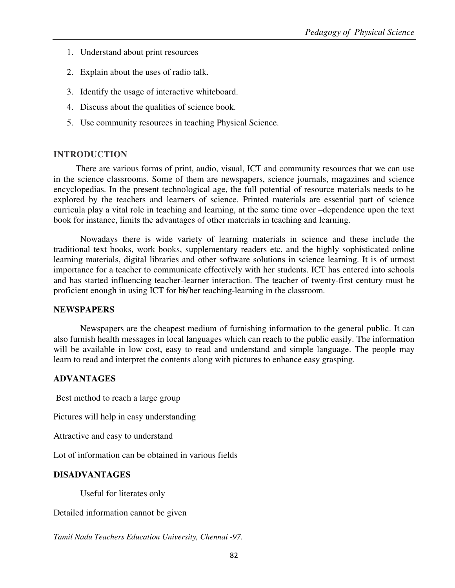- 1. Understand about print resources
- 2. Explain about the uses of radio talk.
- 3. Identify the usage of interactive whiteboard.
- 4. Discuss about the qualities of science book.
- 5. Use community resources in teaching Physical Science.

### **INTRODUCTION**

 There are various forms of print, audio, visual, ICT and community resources that we can use in the science classrooms. Some of them are newspapers, science journals, magazines and science encyclopedias. In the present technological age, the full potential of resource materials needs to be explored by the teachers and learners of science. Printed materials are essential part of science curricula play a vital role in teaching and learning, at the same time over –dependence upon the text book for instance, limits the advantages of other materials in teaching and learning.

 Nowadays there is wide variety of learning materials in science and these include the traditional text books, work books, supplementary readers etc. and the highly sophisticated online learning materials, digital libraries and other software solutions in science learning. It is of utmost importance for a teacher to communicate effectively with her students. ICT has entered into schools and has started influencing teacher-learner interaction. The teacher of twenty-first century must be proficient enough in using ICT for his/ her teaching-learning in the classroom.

### **NEWSPAPERS**

 Newspapers are the cheapest medium of furnishing information to the general public. It can also furnish health messages in local languages which can reach to the public easily. The information will be available in low cost, easy to read and understand and simple language. The people may learn to read and interpret the contents along with pictures to enhance easy grasping.

## **ADVANTAGES**

Best method to reach a large group

Pictures will help in easy understanding

Attractive and easy to understand

Lot of information can be obtained in various fields

## **DISADVANTAGES**

Useful for literates only

Detailed information cannot be given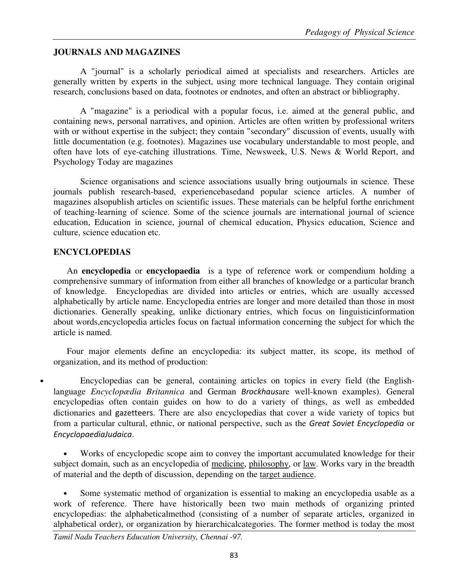## **JOURNALS AND MAGAZINES**

A "journal" is a scholarly periodical aimed at specialists and researchers. Articles are generally written by experts in the subject, using more technical language. They contain original research, conclusions based on data, footnotes or endnotes, and often an abstract or bibliography.

A "magazine" is a periodical with a popular focus, i.e. aimed at the general public, and containing news, personal narratives, and opinion. Articles are often written by professional writers with or without expertise in the subject; they contain "secondary" discussion of events, usually with little documentation (e.g. footnotes). Magazines use vocabulary understandable to most people, and often have lots of eye-catching illustrations. Time, Newsweek, U.S. News & World Report, and Psychology Today are magazines

Science organisations and science associations usually bring outjournals in science. These journals publish research-based, experiencebasedand popular science articles. A number of magazines alsopublish articles on scientific issues. These materials can be helpful forthe enrichment of teaching-learning of science. Some of the science journals are international journal of science education, Education in science, journal of chemical education, Physics education, Science and culture, science education etc.

# **ENCYCLOPEDIAS**

An **encyclopedia** or **encyclopaedia** is a type of reference work or compendium holding a comprehensive summary of information from either all branches of knowledge or a particular branch of knowledge. Encyclopedias are divided into articles or entries, which are usually accessed alphabetically by article name. Encyclopedia entries are longer and more detailed than those in most dictionaries. Generally speaking, unlike dictionary entries, which focus on linguisticinformation about words,encyclopedia articles focus on factual information concerning the subject for which the article is named.

Four major elements define an encyclopedia: its subject matter, its scope, its method of organization, and its method of production:

• Encyclopedias can be general, containing articles on topics in every field (the Englishlanguage *Encyclopædia Britannica* and German *Brockhaus*are well-known examples). General encyclopedias often contain guides on how to do a variety of things, as well as embedded dictionaries and gazetteers. There are also encyclopedias that cover a wide variety of topics but from a particular cultural, ethnic, or national perspective, such as the *Great Soviet Encyclopedia* or *EncyclopaediaJudaica*.

Works of encyclopedic scope aim to convey the important accumulated knowledge for their subject domain, such as an encyclopedia of medicine, philosophy, or <u>law</u>. Works vary in the breadth of material and the depth of discussion, depending on the target audience.

Some systematic method of organization is essential to making an encyclopedia usable as a work of reference. There have historically been two main methods of organizing printed encyclopedias: the alphabeticalmethod (consisting of a number of separate articles, organized in alphabetical order), or organization by hierarchicalcategories. The former method is today the most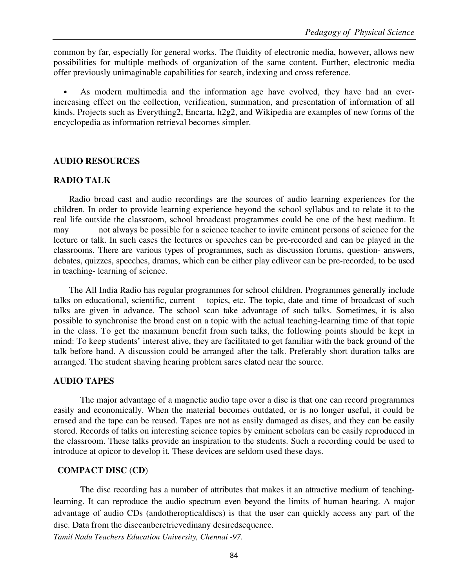common by far, especially for general works. The fluidity of electronic media, however, allows new possibilities for multiple methods of organization of the same content. Further, electronic media offer previously unimaginable capabilities for search, indexing and cross reference.

As modern multimedia and the information age have evolved, they have had an everincreasing effect on the collection, verification, summation, and presentation of information of all kinds. Projects such as Everything2, Encarta, h2g2, and Wikipedia are examples of new forms of the encyclopedia as information retrieval becomes simpler.

## **AUDIO RESOURCES**

### **RADIO TALK**

Radio broad cast and audio recordings are the sources of audio learning experiences for the children. In order to provide learning experience beyond the school syllabus and to relate it to the real life outside the classroom, school broadcast programmes could be one of the best medium. It may not always be possible for a science teacher to invite eminent persons of science for the lecture or talk. In such cases the lectures or speeches can be pre-recorded and can be played in the classrooms. There are various types of programmes, such as discussion forums, question- answers, debates, quizzes, speeches, dramas, which can be either play edliveor can be pre-recorded, to be used in teaching- learning of science.

The All India Radio has regular programmes for school children. Programmes generally include talks on educational, scientific, current topics, etc. The topic, date and time of broadcast of such talks are given in advance. The school scan take advantage of such talks. Sometimes, it is also possible to synchronise the broad cast on a topic with the actual teaching-learning time of that topic in the class. To get the maximum benefit from such talks, the following points should be kept in mind: To keep students' interest alive, they are facilitated to get familiar with the back ground of the talk before hand. A discussion could be arranged after the talk. Preferably short duration talks are arranged. The student shaving hearing problem sares elated near the source.

## **AUDIO TAPES**

 The major advantage of a magnetic audio tape over a disc is that one can record programmes easily and economically. When the material becomes outdated, or is no longer useful, it could be erased and the tape can be reused. Tapes are not as easily damaged as discs, and they can be easily stored. Records of talks on interesting science topics by eminent scholars can be easily reproduced in the classroom. These talks provide an inspiration to the students. Such a recording could be used to introduce at opicor to develop it. These devices are seldom used these days.

## **COMPACT DISC** (**CD**)

The disc recording has a number of attributes that makes it an attractive medium of teachinglearning. It can reproduce the audio spectrum even beyond the limits of human hearing. A major advantage of audio CDs (andotheropticaldiscs) is that the user can quickly access any part of the disc. Data from the disccanberetrievedinany desiredsequence.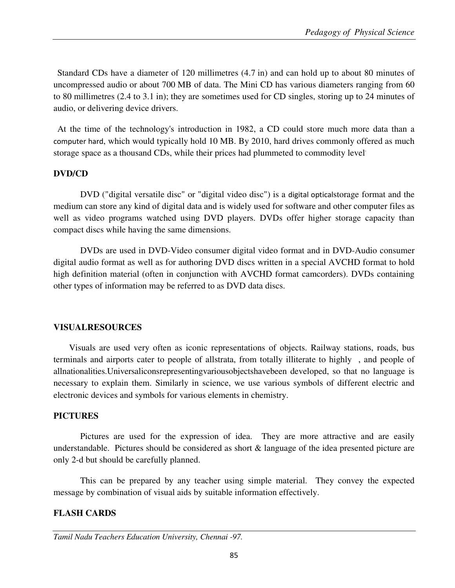Standard CDs have a diameter of 120 millimetres (4.7 in) and can hold up to about 80 minutes of uncompressed audio or about 700 MB of data. The Mini CD has various diameters ranging from 60 to 80 millimetres (2.4 to 3.1 in); they are sometimes used for CD singles, storing up to 24 minutes of audio, or delivering device drivers.

At the time of the technology's introduction in 1982, a CD could store much more data than a computer hard, which would typically hold 10 MB. By 2010, hard drives commonly offered as much storage space as a thousand CDs, while their prices had plummeted to commodity level.

## **DVD/CD**

DVD ("digital versatile disc" or "digital video disc") is a digital opticalstorage format and the medium can store any kind of digital data and is widely used for software and other computer files as well as video programs watched using DVD players. DVDs offer higher storage capacity than compact discs while having the same dimensions.

DVDs are used in DVD-Video consumer digital video format and in DVD-Audio consumer digital audio format as well as for authoring DVD discs written in a special AVCHD format to hold high definition material (often in conjunction with AVCHD format camcorders). DVDs containing other types of information may be referred to as DVD data discs.

## **VISUALRESOURCES**

Visuals are used very often as iconic representations of objects. Railway stations, roads, bus terminals and airports cater to people of allstrata, from totally illiterate to highly , and people of allnationalities.Universaliconsrepresentingvariousobjectshavebeen developed, so that no language is necessary to explain them. Similarly in science, we use various symbols of different electric and electronic devices and symbols for various elements in chemistry.

# **PICTURES**

 Pictures are used for the expression of idea. They are more attractive and are easily understandable. Pictures should be considered as short & language of the idea presented picture are only 2-d but should be carefully planned.

 This can be prepared by any teacher using simple material. They convey the expected message by combination of visual aids by suitable information effectively.

# **FLASH CARDS**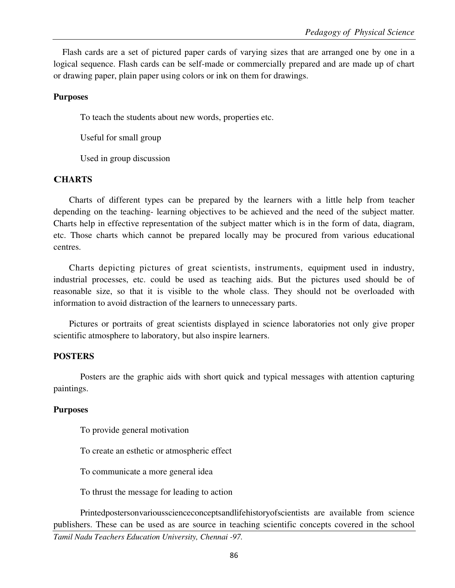Flash cards are a set of pictured paper cards of varying sizes that are arranged one by one in a logical sequence. Flash cards can be self-made or commercially prepared and are made up of chart or drawing paper, plain paper using colors or ink on them for drawings.

### **Purposes**

To teach the students about new words, properties etc.

Useful for small group

Used in group discussion

## **CHARTS**

Charts of different types can be prepared by the learners with a little help from teacher depending on the teaching- learning objectives to be achieved and the need of the subject matter. Charts help in effective representation of the subject matter which is in the form of data, diagram, etc. Those charts which cannot be prepared locally may be procured from various educational centres.

Charts depicting pictures of great scientists, instruments, equipment used in industry, industrial processes, etc. could be used as teaching aids. But the pictures used should be of reasonable size, so that it is visible to the whole class. They should not be overloaded with information to avoid distraction of the learners to unnecessary parts.

Pictures or portraits of great scientists displayed in science laboratories not only give proper scientific atmosphere to laboratory, but also inspire learners.

## **POSTERS**

 Posters are the graphic aids with short quick and typical messages with attention capturing paintings.

### **Purposes**

To provide general motivation

To create an esthetic or atmospheric effect

To communicate a more general idea

To thrust the message for leading to action

*Tamil Nadu Teachers Education University, Chennai -97.*  Printedpostersonvariousscienceconceptsandlifehistoryofscientists are available from science publishers. These can be used as are source in teaching scientific concepts covered in the school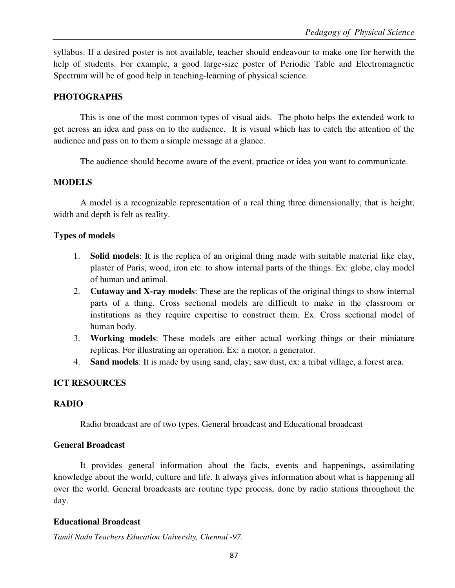syllabus. If a desired poster is not available, teacher should endeavour to make one for herwith the help of students. For example, a good large-size poster of Periodic Table and Electromagnetic Spectrum will be of good help in teaching-learning of physical science.

# **PHOTOGRAPHS**

 This is one of the most common types of visual aids. The photo helps the extended work to get across an idea and pass on to the audience. It is visual which has to catch the attention of the audience and pass on to them a simple message at a glance.

The audience should become aware of the event, practice or idea you want to communicate.

## **MODELS**

 A model is a recognizable representation of a real thing three dimensionally, that is height, width and depth is felt as reality.

### **Types of models**

- 1. **Solid models**: It is the replica of an original thing made with suitable material like clay, plaster of Paris, wood, iron etc. to show internal parts of the things. Ex: globe, clay model of human and animal.
- 2. **Cutaway and X-ray models**: These are the replicas of the original things to show internal parts of a thing. Cross sectional models are difficult to make in the classroom or institutions as they require expertise to construct them. Ex. Cross sectional model of human body.
- 3. **Working models**: These models are either actual working things or their miniature replicas. For illustrating an operation. Ex: a motor, a generator.
- 4. **Sand models**: It is made by using sand, clay, saw dust, ex: a tribal village, a forest area.

## **ICT RESOURCES**

## **RADIO**

Radio broadcast are of two types. General broadcast and Educational broadcast

### **General Broadcast**

 It provides general information about the facts, events and happenings, assimilating knowledge about the world, culture and life. It always gives information about what is happening all over the world. General broadcasts are routine type process, done by radio stations throughout the day.

## **Educational Broadcast**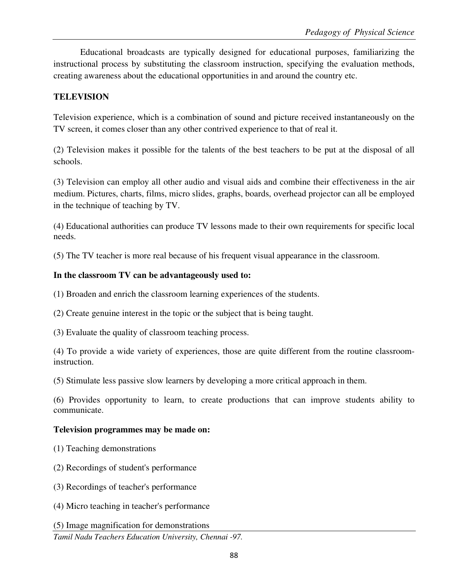Educational broadcasts are typically designed for educational purposes, familiarizing the instructional process by substituting the classroom instruction, specifying the evaluation methods, creating awareness about the educational opportunities in and around the country etc.

## **TELEVISION**

Television experience, which is a combination of sound and picture received instantaneously on the TV screen, it comes closer than any other contrived experience to that of real it.

(2) Television makes it possible for the talents of the best teachers to be put at the disposal of all schools.

(3) Television can employ all other audio and visual aids and combine their effectiveness in the air medium. Pictures, charts, films, micro slides, graphs, boards, overhead projector can all be employed in the technique of teaching by TV.

(4) Educational authorities can produce TV lessons made to their own requirements for specific local needs.

(5) The TV teacher is more real because of his frequent visual appearance in the classroom.

### **In the classroom TV can be advantageously used to:**

(1) Broaden and enrich the classroom learning experiences of the students.

(2) Create genuine interest in the topic or the subject that is being taught.

(3) Evaluate the quality of classroom teaching process.

(4) To provide a wide variety of experiences, those are quite different from the routine classroominstruction.

(5) Stimulate less passive slow learners by developing a more critical approach in them.

(6) Provides opportunity to learn, to create productions that can improve students ability to communicate.

### **Television programmes may be made on:**

(1) Teaching demonstrations

- (2) Recordings of student's performance
- (3) Recordings of teacher's performance
- (4) Micro teaching in teacher's performance

(5) Image magnification for demonstrations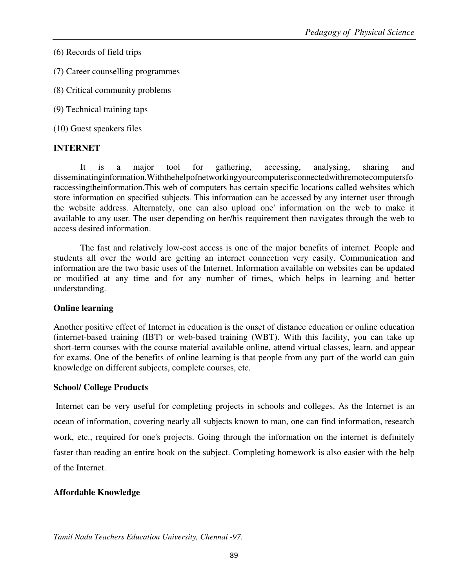- (6) Records of field trips
- (7) Career counselling programmes
- (8) Critical community problems
- (9) Technical training taps

(10) Guest speakers files

### **INTERNET**

It is a major tool for gathering, accessing, analysing, sharing and disseminatinginformation.Withthehelpofnetworkingyourcomputerisconnectedwithremotecomputersfo raccessingtheinformation.This web of computers has certain specific locations called websites which store information on specified subjects. This information can be accessed by any internet user through the website address. Alternately, one can also upload one' information on the web to make it available to any user. The user depending on her/his requirement then navigates through the web to access desired information.

The fast and relatively low-cost access is one of the major benefits of internet. People and students all over the world are getting an internet connection very easily. Communication and information are the two basic uses of the Internet. Information available on websites can be updated or modified at any time and for any number of times, which helps in learning and better understanding.

## **Online learning**

Another positive effect of Internet in education is the onset of distance education or online education (internet-based training (IBT) or web-based training (WBT). With this facility, you can take up short-term courses with the course material available online, attend virtual classes, learn, and appear for exams. One of the benefits of online learning is that people from any part of the world can gain knowledge on different subjects, complete courses, etc.

### **School/ College Products**

 Internet can be very useful for completing projects in schools and colleges. As the Internet is an ocean of information, covering nearly all subjects known to man, one can find information, research work, etc., required for one's projects. Going through the information on the internet is definitely faster than reading an entire book on the subject. Completing homework is also easier with the help of the Internet.

## **Affordable Knowledge**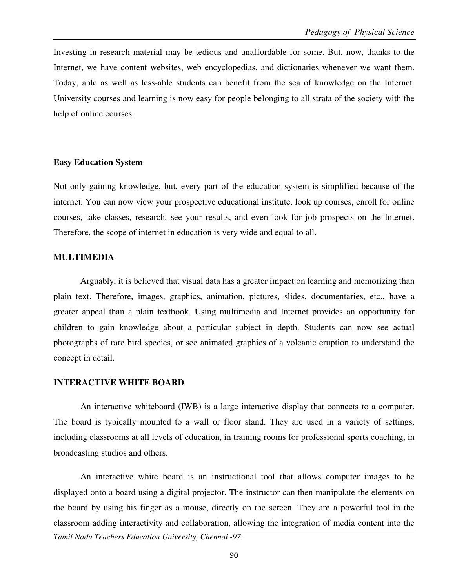Investing in research material may be tedious and unaffordable for some. But, now, thanks to the Internet, we have content websites, web encyclopedias, and dictionaries whenever we want them. Today, able as well as less-able students can benefit from the sea of knowledge on the Internet. University courses and learning is now easy for people belonging to all strata of the society with the help of online courses.

#### **Easy Education System**

Not only gaining knowledge, but, every part of the education system is simplified because of the internet. You can now view your prospective educational institute, look up courses, enroll for online courses, take classes, research, see your results, and even look for job prospects on the Internet. Therefore, the scope of internet in education is very wide and equal to all.

#### **MULTIMEDIA**

Arguably, it is believed that visual data has a greater impact on learning and memorizing than plain text. Therefore, images, graphics, animation, pictures, slides, documentaries, etc., have a greater appeal than a plain textbook. Using multimedia and Internet provides an opportunity for children to gain knowledge about a particular subject in depth. Students can now see actual photographs of rare bird species, or see animated graphics of a volcanic eruption to understand the concept in detail.

#### **INTERACTIVE WHITE BOARD**

 An interactive whiteboard (IWB) is a large interactive display that connects to a computer. The board is typically mounted to a wall or floor stand. They are used in a variety of settings, including classrooms at all levels of education, in training rooms for professional sports coaching, in broadcasting studios and others.

 An interactive white board is an instructional tool that allows computer images to be displayed onto a board using a digital projector. The instructor can then manipulate the elements on the board by using his finger as a mouse, directly on the screen. They are a powerful tool in the classroom adding interactivity and collaboration, allowing the integration of media content into the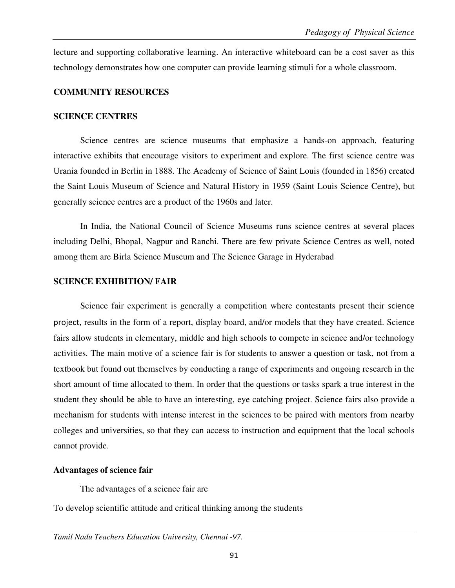lecture and supporting collaborative learning. An interactive whiteboard can be a cost saver as this technology demonstrates how one computer can provide learning stimuli for a whole classroom.

### **COMMUNITY RESOURCES**

#### **SCIENCE CENTRES**

Science centres are science museums that emphasize a hands-on approach, featuring interactive exhibits that encourage visitors to experiment and explore. The first science centre was Urania founded in Berlin in 1888. The Academy of Science of Saint Louis (founded in 1856) created the Saint Louis Museum of Science and Natural History in 1959 (Saint Louis Science Centre), but generally science centres are a product of the 1960s and later.

In India, the National Council of Science Museums runs science centres at several places including Delhi, Bhopal, Nagpur and Ranchi. There are few private Science Centres as well, noted among them are Birla Science Museum and The Science Garage in Hyderabad

### **SCIENCE EXHIBITION/ FAIR**

Science fair experiment is generally a competition where contestants present their science project, results in the form of a report, display board, and/or models that they have created. Science fairs allow students in elementary, middle and high schools to compete in science and/or technology activities. The main motive of a science fair is for students to answer a question or task, not from a textbook but found out themselves by conducting a range of experiments and ongoing research in the short amount of time allocated to them. In order that the questions or tasks spark a true interest in the student they should be able to have an interesting, eye catching project. Science fairs also provide a mechanism for students with intense interest in the sciences to be paired with mentors from nearby colleges and universities, so that they can access to instruction and equipment that the local schools cannot provide.

### **Advantages of science fair**

The advantages of a science fair are

To develop scientific attitude and critical thinking among the students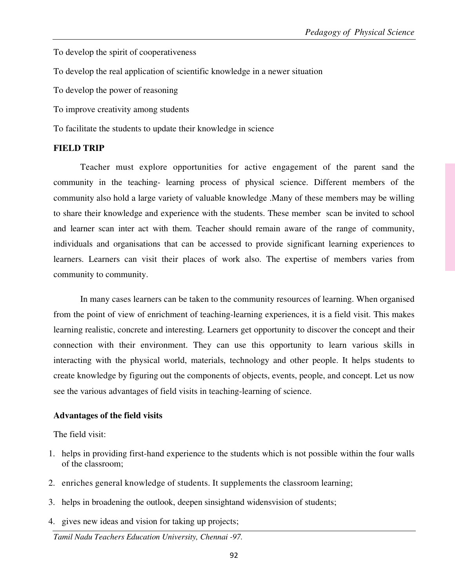To develop the spirit of cooperativeness

To develop the real application of scientific knowledge in a newer situation

To develop the power of reasoning

To improve creativity among students

To facilitate the students to update their knowledge in science

#### **FIELD TRIP**

Teacher must explore opportunities for active engagement of the parent sand the community in the teaching- learning process of physical science. Different members of the community also hold a large variety of valuable knowledge .Many of these members may be willing to share their knowledge and experience with the students. These member scan be invited to school and learner scan inter act with them. Teacher should remain aware of the range of community, individuals and organisations that can be accessed to provide significant learning experiences to learners. Learners can visit their places of work also. The expertise of members varies from community to community.

In many cases learners can be taken to the community resources of learning. When organised from the point of view of enrichment of teaching-learning experiences, it is a field visit. This makes learning realistic, concrete and interesting. Learners get opportunity to discover the concept and their connection with their environment. They can use this opportunity to learn various skills in interacting with the physical world, materials, technology and other people. It helps students to create knowledge by figuring out the components of objects, events, people, and concept. Let us now see the various advantages of field visits in teaching-learning of science.

### **Advantages of the field visits**

The field visit:

- 1. helps in providing first-hand experience to the students which is not possible within the four walls of the classroom;
- 2. enriches general knowledge of students. It supplements the classroom learning;
- 3. helps in broadening the outlook, deepen sinsightand widensvision of students;
- 4. gives new ideas and vision for taking up projects;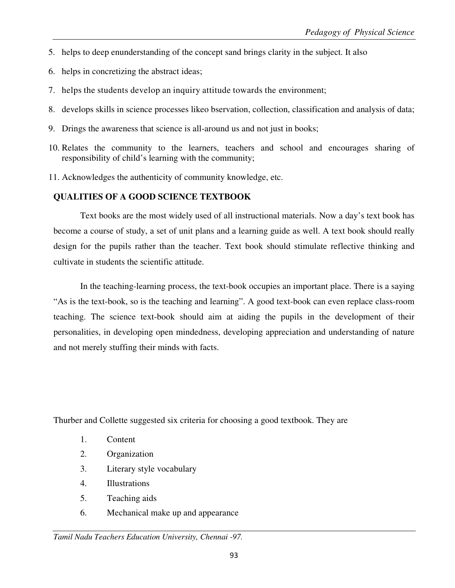- 5. helps to deep enunderstanding of the concept sand brings clarity in the subject. It also
- 6. helps in concretizing the abstract ideas;
- 7. helps the students develop an inquiry attitude towards the environment;
- 8. develops skills in science processes likeo bservation, collection, classification and analysis of data;
- 9. Drings the awareness that science is all-around us and not just in books;
- 10. Relates the community to the learners, teachers and school and encourages sharing of responsibility of child's learning with the community;
- 11. Acknowledges the authenticity of community knowledge, etc.

## **QUALITIES OF A GOOD SCIENCE TEXTBOOK**

 Text books are the most widely used of all instructional materials. Now a day's text book has become a course of study, a set of unit plans and a learning guide as well. A text book should really design for the pupils rather than the teacher. Text book should stimulate reflective thinking and cultivate in students the scientific attitude.

In the teaching-learning process, the text-book occupies an important place. There is a saying "As is the text-book, so is the teaching and learning". A good text-book can even replace class-room teaching. The science text-book should aim at aiding the pupils in the development of their personalities, in developing open mindedness, developing appreciation and understanding of nature and not merely stuffing their minds with facts.

Thurber and Collette suggested six criteria for choosing a good textbook. They are

- 1. Content
- 2. Organization
- 3. Literary style vocabulary
- 4. Illustrations
- 5. Teaching aids
- 6. Mechanical make up and appearance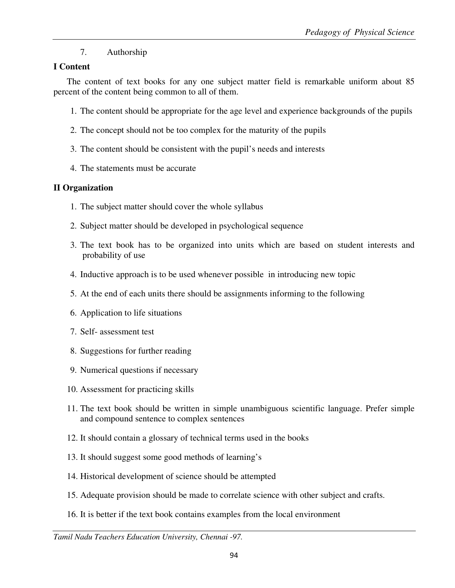# 7. Authorship

## **I Content**

The content of text books for any one subject matter field is remarkable uniform about 85 percent of the content being common to all of them.

- 1. The content should be appropriate for the age level and experience backgrounds of the pupils
- 2. The concept should not be too complex for the maturity of the pupils
- 3. The content should be consistent with the pupil's needs and interests
- 4. The statements must be accurate

# **II Organization**

- 1. The subject matter should cover the whole syllabus
- 2. Subject matter should be developed in psychological sequence
- 3. The text book has to be organized into units which are based on student interests and probability of use
- 4. Inductive approach is to be used whenever possible in introducing new topic
- 5. At the end of each units there should be assignments informing to the following
- 6. Application to life situations
- 7. Self- assessment test
- 8. Suggestions for further reading
- 9. Numerical questions if necessary
- 10. Assessment for practicing skills
- 11. The text book should be written in simple unambiguous scientific language. Prefer simple and compound sentence to complex sentences
- 12. It should contain a glossary of technical terms used in the books
- 13. It should suggest some good methods of learning's
- 14. Historical development of science should be attempted
- 15. Adequate provision should be made to correlate science with other subject and crafts.
- 16. It is better if the text book contains examples from the local environment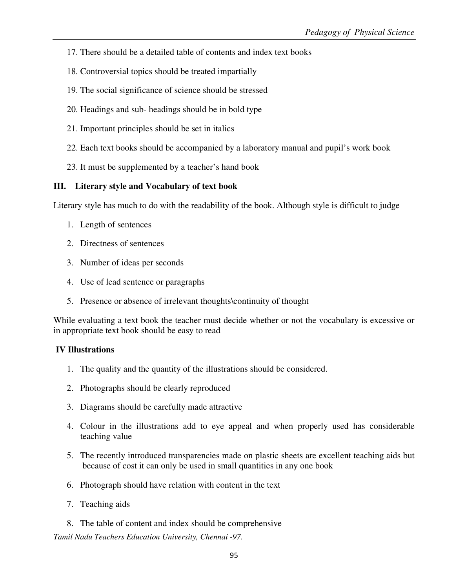- 17. There should be a detailed table of contents and index text books
- 18. Controversial topics should be treated impartially
- 19. The social significance of science should be stressed
- 20. Headings and sub- headings should be in bold type
- 21. Important principles should be set in italics
- 22. Each text books should be accompanied by a laboratory manual and pupil's work book
- 23. It must be supplemented by a teacher's hand book

## **III. Literary style and Vocabulary of text book**

Literary style has much to do with the readability of the book. Although style is difficult to judge

- 1. Length of sentences
- 2. Directness of sentences
- 3. Number of ideas per seconds
- 4. Use of lead sentence or paragraphs
- 5. Presence or absence of irrelevant thoughts\continuity of thought

While evaluating a text book the teacher must decide whether or not the vocabulary is excessive or in appropriate text book should be easy to read

## **IV Illustrations**

- 1. The quality and the quantity of the illustrations should be considered.
- 2. Photographs should be clearly reproduced
- 3. Diagrams should be carefully made attractive
- 4. Colour in the illustrations add to eye appeal and when properly used has considerable teaching value
- 5. The recently introduced transparencies made on plastic sheets are excellent teaching aids but because of cost it can only be used in small quantities in any one book
- 6. Photograph should have relation with content in the text
- 7. Teaching aids
- 8. The table of content and index should be comprehensive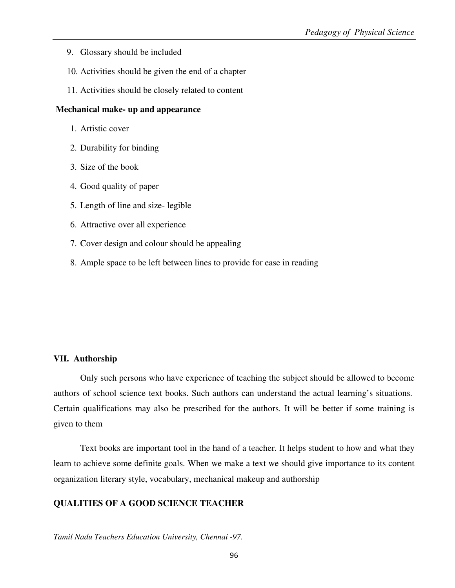- 9. Glossary should be included
- 10. Activities should be given the end of a chapter
- 11. Activities should be closely related to content

## **Mechanical make- up and appearance**

- 1. Artistic cover
- 2. Durability for binding
- 3. Size of the book
- 4. Good quality of paper
- 5. Length of line and size- legible
- 6. Attractive over all experience
- 7. Cover design and colour should be appealing
- 8. Ample space to be left between lines to provide for ease in reading

## **VII. Authorship**

Only such persons who have experience of teaching the subject should be allowed to become authors of school science text books. Such authors can understand the actual learning's situations. Certain qualifications may also be prescribed for the authors. It will be better if some training is given to them

Text books are important tool in the hand of a teacher. It helps student to how and what they learn to achieve some definite goals. When we make a text we should give importance to its content organization literary style, vocabulary, mechanical makeup and authorship

# **QUALITIES OF A GOOD SCIENCE TEACHER**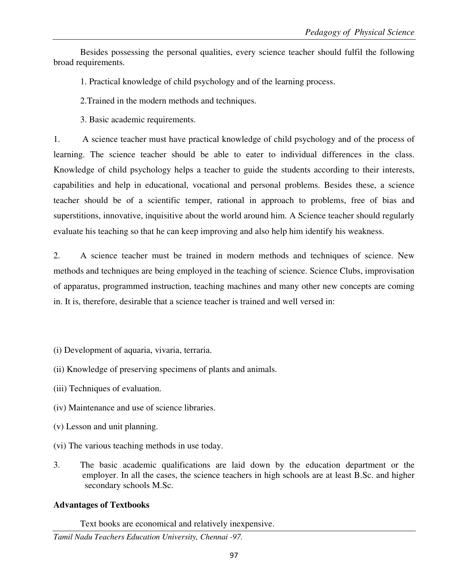Besides possessing the personal qualities, every science teacher should fulfil the following broad requirements.

1. Practical knowledge of child psychology and of the learning process.

2.Trained in the modern methods and techniques.

3. Basic academic requirements.

1. A science teacher must have practical knowledge of child psychology and of the process of learning. The science teacher should be able to eater to individual differences in the class. Knowledge of child psychology helps a teacher to guide the students according to their interests, capabilities and help in educational, vocational and personal problems. Besides these, a science teacher should be of a scientific temper, rational in approach to problems, free of bias and superstitions, innovative, inquisitive about the world around him. A Science teacher should regularly evaluate his teaching so that he can keep improving and also help him identify his weakness.

2. A science teacher must be trained in modern methods and techniques of science. New methods and techniques are being employed in the teaching of science. Science Clubs, improvisation of apparatus, programmed instruction, teaching machines and many other new concepts are coming in. It is, therefore, desirable that a science teacher is trained and well versed in:

(i) Development of aquaria, vivaria, terraria.

(ii) Knowledge of preserving specimens of plants and animals.

- (iii) Techniques of evaluation.
- (iv) Maintenance and use of science libraries.
- (v) Lesson and unit planning.
- (vi) The various teaching methods in use today.
- 3. The basic academic qualifications are laid down by the education department or the employer. In all the cases, the science teachers in high schools are at least B.Sc. and higher secondary schools M.Sc.

## **Advantages of Textbooks**

Text books are economical and relatively inexpensive.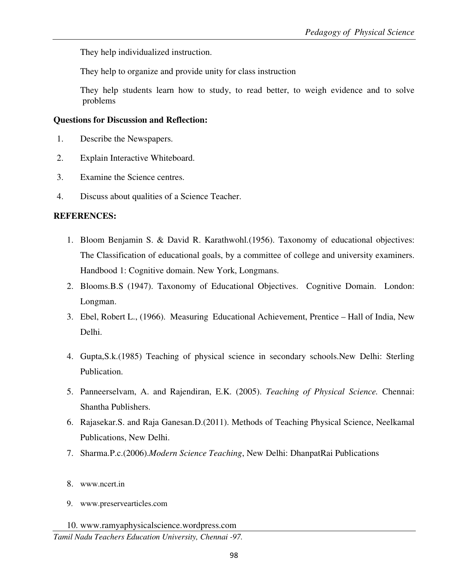They help individualized instruction.

They help to organize and provide unity for class instruction

 They help students learn how to study, to read better, to weigh evidence and to solve problems

### **Questions for Discussion and Reflection:**

- 1. Describe the Newspapers.
- 2. Explain Interactive Whiteboard.
- 3. Examine the Science centres.
- 4. Discuss about qualities of a Science Teacher.

### **REFERENCES:**

- 1. Bloom Benjamin S. & David R. Karathwohl.(1956). Taxonomy of educational objectives: The Classification of educational goals, by a committee of college and university examiners. Handbood 1: Cognitive domain. New York, Longmans.
- 2. Blooms.B.S (1947). Taxonomy of Educational Objectives. Cognitive Domain. London: Longman.
- 3. Ebel, Robert L., (1966). Measuring Educational Achievement, Prentice Hall of India, New Delhi.
- 4. Gupta,S.k.(1985) Teaching of physical science in secondary schools.New Delhi: Sterling Publication.
- 5. Panneerselvam, A. and Rajendiran, E.K. (2005). *Teaching of Physical Science.* Chennai: Shantha Publishers.
- 6. Rajasekar.S. and Raja Ganesan.D.(2011). Methods of Teaching Physical Science, Neelkamal Publications, New Delhi.
- 7. Sharma.P.c.(2006).*Modern Science Teaching*, New Delhi: DhanpatRai Publications
- 8. www.ncert.in
- 9. www.preservearticles.com

### 10. www.ramyaphysicalscience.wordpress.com